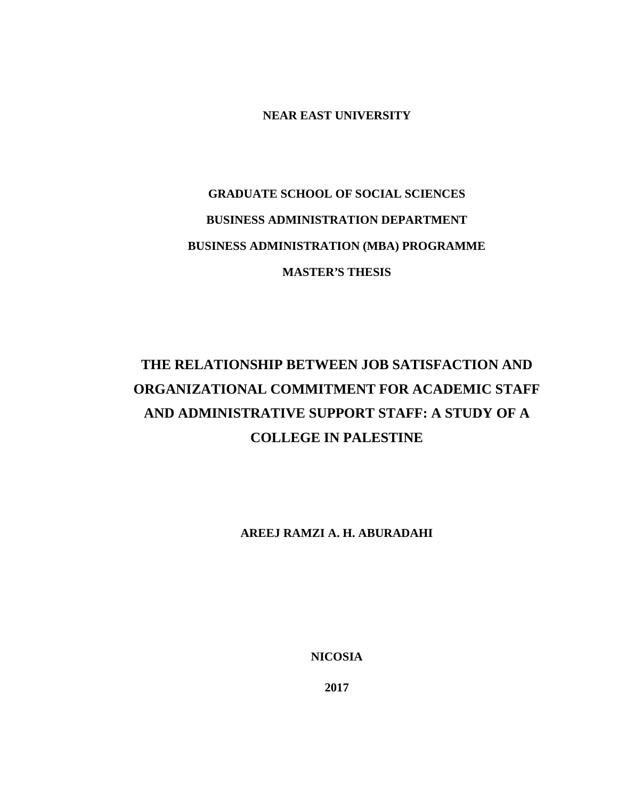**NEAR EAST UNIVERSITY**

# **GRADUATE SCHOOL OF SOCIAL SCIENCES BUSINESS ADMINISTRATION DEPARTMENT BUSINESS ADMINISTRATION (MBA) PROGRAMME MASTER'S THESIS**

# **THE RELATIONSHIP BETWEEN JOB SATISFACTION AND ORGANIZATIONAL COMMITMENT FOR ACADEMIC STAFF AND ADMINISTRATIVE SUPPORT STAFF: A STUDY OF A COLLEGE IN PALESTINE**

**AREEJ RAMZI A. H. ABURADAHI**

**NICOSIA**

**2017**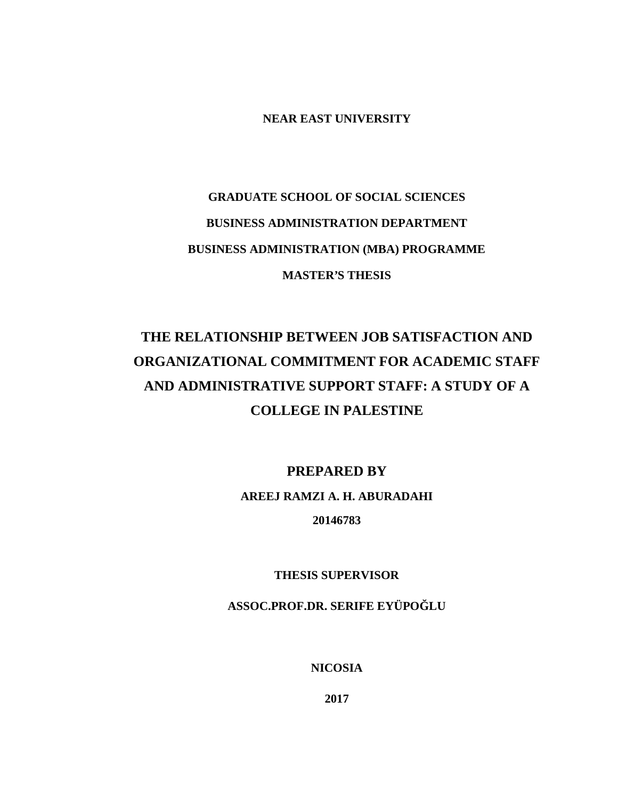**NEAR EAST UNIVERSITY**

# **GRADUATE SCHOOL OF SOCIAL SCIENCES BUSINESS ADMINISTRATION DEPARTMENT BUSINESS ADMINISTRATION (MBA) PROGRAMME MASTER'S THESIS**

## **THE RELATIONSHIP BETWEEN JOB SATISFACTION AND ORGANIZATIONAL COMMITMENT FOR ACADEMIC STAFF AND ADMINISTRATIVE SUPPORT STAFF: A STUDY OF A COLLEGE IN PALESTINE**

**PREPARED BY AREEJ RAMZI A. H. ABURADAHI 20146783**

**THESIS SUPERVISOR**

**ASSOC.PROF.DR. SERIFE EYÜPO LU** 

**NICOSIA**

**2017**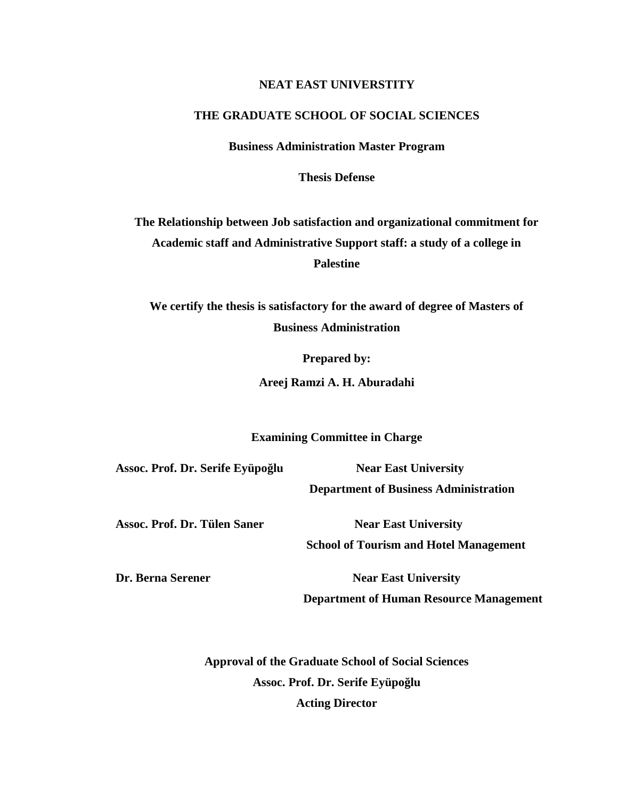## **NEAT EAST UNIVERSTITY**

## **THE GRADUATE SCHOOL OF SOCIAL SCIENCES**

**Business Administration Master Program**

**Thesis Defense**

**The Relationship between Job satisfaction and organizational commitment for Academic staff and Administrative Support staff: a study of a college in Palestine**

**We certify the thesis is satisfactory for the award of degree of Masters of Business Administration**

**Prepared by:**

**Areej Ramzi A. H. Aburadahi**

**Examining Committee in Charge**

**Assoc. Prof. Dr. Serife Eyüpoğlu Near East University**

**Department of Business Administration**

Assoc. Prof. Dr. Tülen Saner Near East University

**School of Tourism and Hotel Management**

**Dr. Berna Serener Near East University** 

**Department of Human Resource Management**

**Approval of the Graduate School of Social Sciences** Assoc. Prof. Dr. Serife Eyüpo lu **Acting Director**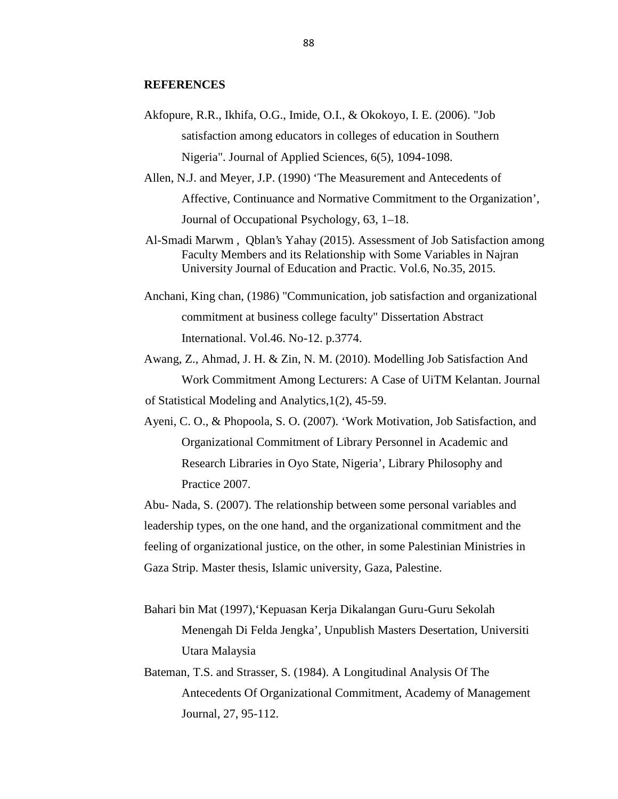### **REFERENCES**

- Akfopure, R.R., Ikhifa, O.G., Imide, O.I., & Okokoyo, I. E. (2006). "Job satisfaction among educators in colleges of education in Southern Nigeria". Journal of Applied Sciences, 6(5), 1094-1098.
- Allen, N.J. and Meyer, J.P. (1990) 'The Measurement and Antecedents of Affective, Continuance and Normative Commitment to the Organization', Journal of Occupational Psychology, 63, 1–18.
- Al-Smadi Marwm , Qblan's Yahay (2015). Assessment of Job Satisfaction among Faculty Members and its Relationship with Some Variables in Najran University Journal of Education and Practic. Vol.6, No.35, 2015.
- Anchani, King chan, (1986) "Communication, job satisfaction and organizational commitment at business college faculty" Dissertation Abstract International. Vol.46. No-12. p.3774.
- Awang, Z., Ahmad, J. H. & Zin, N. M. (2010). Modelling Job Satisfaction And Work Commitment Among Lecturers: A Case of UiTM Kelantan. Journal of Statistical Modeling and Analytics,1(2), 45-59.
- Ayeni, C. O., & Phopoola, S. O. (2007). 'Work Motivation, Job Satisfaction, and Organizational Commitment of Library Personnel in Academic and Research Libraries in Oyo State, Nigeria', Library Philosophy and Practice 2007.

Abu- Nada, S. (2007). The relationship between some personal variables and leadership types, on the one hand, and the organizational commitment and the feeling of organizational justice, on the other, in some Palestinian Ministries in Gaza Strip. Master thesis, Islamic university, Gaza, Palestine.

- Bahari bin Mat (1997),'Kepuasan Kerja Dikalangan Guru-Guru Sekolah Menengah Di Felda Jengka', Unpublish Masters Desertation, Universiti Utara Malaysia
- Bateman, T.S. and Strasser, S. (1984). A Longitudinal Analysis Of The Antecedents Of Organizational Commitment, Academy of Management Journal, 27, 95-112.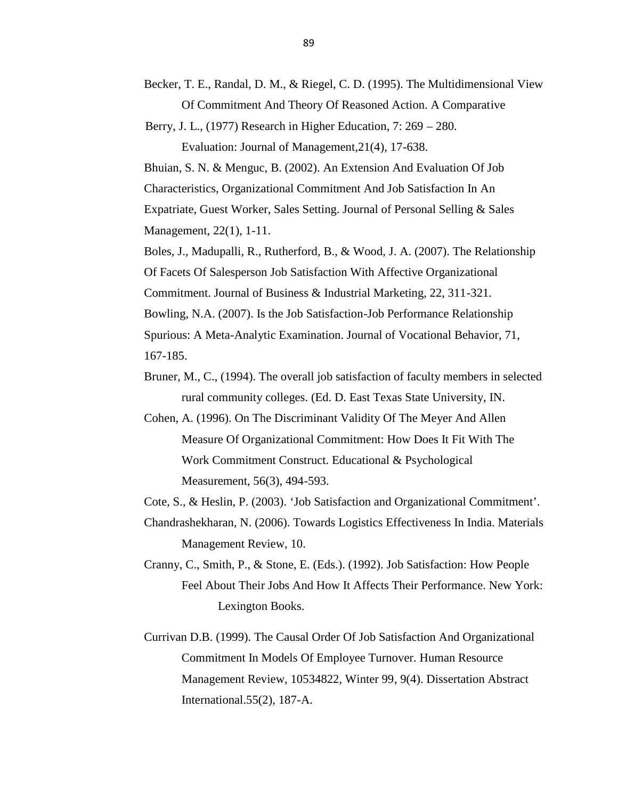- Becker, T. E., Randal, D. M., & Riegel, C. D. (1995). The Multidimensional View Of Commitment And Theory Of Reasoned Action. A Comparative
- Berry, J. L., (1977) Research in Higher Education, 7: 269 280.

Evaluation: Journal of Management,21(4), 17-638.

Bhuian, S. N. & Menguc, B. (2002). An Extension And Evaluation Of Job Characteristics, Organizational Commitment And Job Satisfaction In An Expatriate, Guest Worker, Sales Setting. Journal of Personal Selling & Sales Management, 22(1), 1-11.

Boles, J., Madupalli, R., Rutherford, B., & Wood, J. A. (2007). The Relationship Of Facets Of Salesperson Job Satisfaction With Affective Organizational Commitment. Journal of Business & Industrial Marketing, 22, 311-321. Bowling, N.A. (2007). Is the Job Satisfaction-Job Performance Relationship Spurious: A Meta-Analytic Examination. Journal of Vocational Behavior, 71, 167-185.

- Bruner, M., C., (1994). The overall job satisfaction of faculty members in selected rural community colleges. (Ed. D. East Texas State University, IN.
- Cohen, A. (1996). On The Discriminant Validity Of The Meyer And Allen Measure Of Organizational Commitment: How Does It Fit With The Work Commitment Construct. Educational & Psychological Measurement, 56(3), 494-593.

Cote, S., & Heslin, P. (2003). 'Job Satisfaction and Organizational Commitment'.

Chandrashekharan, N. (2006). Towards Logistics Effectiveness In India. Materials Management Review, 10.

- Cranny, C., Smith, P., & Stone, E. (Eds.). (1992). Job Satisfaction: How People Feel About Their Jobs And How It Affects Their Performance. New York: Lexington Books.
- Currivan D.B. (1999). The Causal Order Of Job Satisfaction And Organizational Commitment In Models Of Employee Turnover. Human Resource Management Review, 10534822, Winter 99, 9(4). Dissertation Abstract International.55(2), 187-A.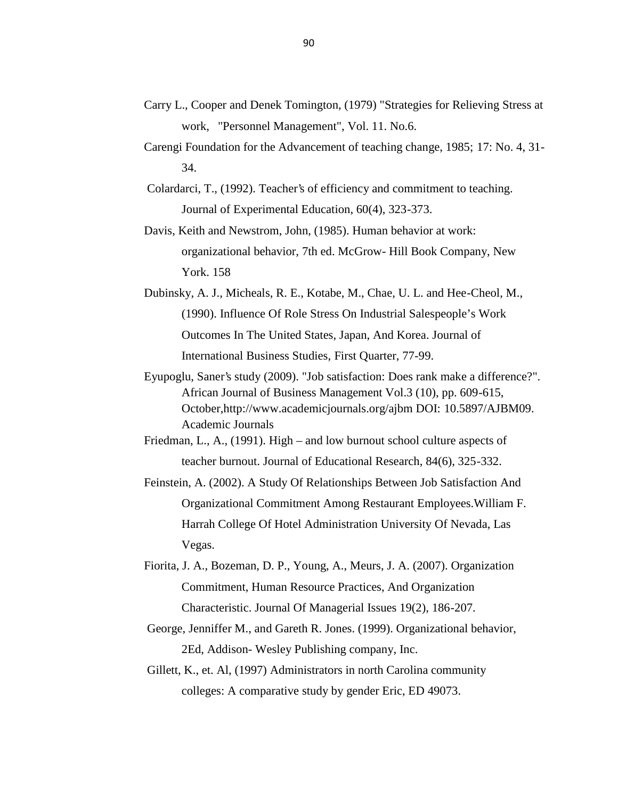- Carry L., Cooper and Denek Tomington, (1979) "Strategies for Relieving Stress at work, "Personnel Management", Vol. 11. No.6.
- Carengi Foundation for the Advancement of teaching change, 1985; 17: No. 4, 31- 34.
- Colardarci, T., (1992). Teacher's of efficiency and commitment to teaching. Journal of Experimental Education, 60(4), 323-373.
- Davis, Keith and Newstrom, John, (1985). Human behavior at work: organizational behavior, 7th ed. McGrow- Hill Book Company, New York. 158
- Dubinsky, A. J., Micheals, R. E., Kotabe, M., Chae, U. L. and Hee-Cheol, M., (1990). Influence Of Role Stress On Industrial Salespeople's Work Outcomes In The United States, Japan, And Korea. Journal of International Business Studies, First Quarter, 77-99.
- Eyupoglu, Saner's study (2009). "Job satisfaction: Does rank make a difference?". African Journal of Business Management Vol.3 (10), pp. 609-615, October,http://www.academicjournals.org/ajbm DOI: 10.5897/AJBM09. Academic Journals
- Friedman, L., A., (1991). High and low burnout school culture aspects of teacher burnout. Journal of Educational Research, 84(6), 325-332.
- Feinstein, A. (2002). A Study Of Relationships Between Job Satisfaction And Organizational Commitment Among Restaurant Employees.William F. Harrah College Of Hotel Administration University Of Nevada, Las Vegas.
- Fiorita, J. A., Bozeman, D. P., Young, A., Meurs, J. A. (2007). Organization Commitment, Human Resource Practices, And Organization Characteristic. Journal Of Managerial Issues 19(2), 186-207.
- George, Jenniffer M., and Gareth R. Jones. (1999). Organizational behavior, 2Ed, Addison- Wesley Publishing company, Inc.
- Gillett, K., et. Al, (1997) Administrators in north Carolina community colleges: A comparative study by gender Eric, ED 49073.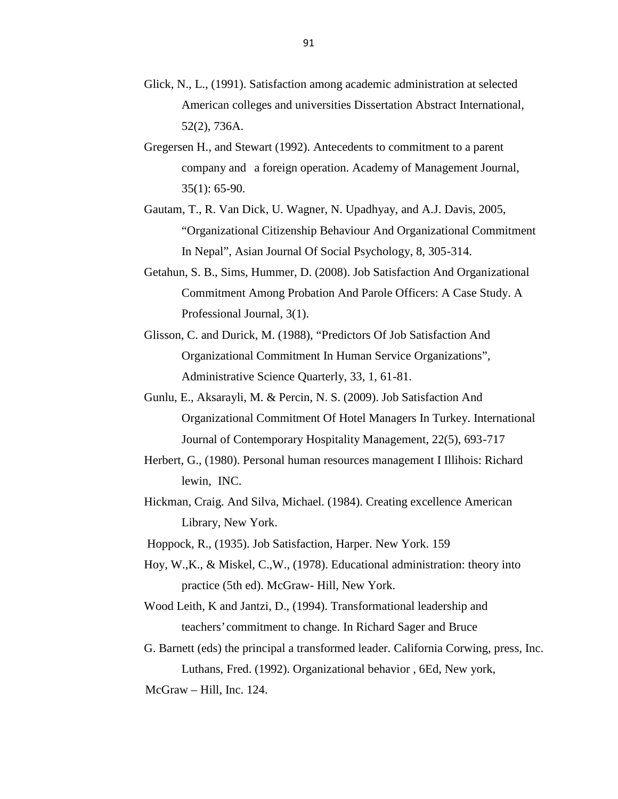- Glick, N., L., (1991). Satisfaction among academic administration at selected American colleges and universities Dissertation Abstract International, 52(2), 736A.
- Gregersen H., and Stewart (1992). Antecedents to commitment to a parent company and a foreign operation. Academy of Management Journal, 35(1): 65-90.
- Gautam, T., R. Van Dick, U. Wagner, N. Upadhyay, and A.J. Davis, 2005, "Organizational Citizenship Behaviour And Organizational Commitment In Nepal", Asian Journal Of Social Psychology, 8, 305-314.
- Getahun, S. B., Sims, Hummer, D. (2008). Job Satisfaction And Organizational Commitment Among Probation And Parole Officers: A Case Study. A Professional Journal, 3(1).
- Glisson, C. and Durick, M. (1988), "Predictors Of Job Satisfaction And Organizational Commitment In Human Service Organizations", Administrative Science Quarterly, 33, 1, 61-81.
- Gunlu, E., Aksarayli, M. & Percin, N. S. (2009). Job Satisfaction And Organizational Commitment Of Hotel Managers In Turkey. International Journal of Contemporary Hospitality Management, 22(5), 693-717
- Herbert, G., (1980). Personal human resources management I Illihois: Richard lewin, INC.
- Hickman, Craig. And Silva, Michael. (1984). Creating excellence American Library, New York.
- Hoppock, R., (1935). Job Satisfaction, Harper. New York. 159
- Hoy, W.,K., & Miskel, C.,W., (1978). Educational administration: theory into practice (5th ed). McGraw- Hill, New York.
- Wood Leith, K and Jantzi, D., (1994). Transformational leadership and teachers' commitment to change. In Richard Sager and Bruce
- G. Barnett (eds) the principal a transformed leader. California Corwing, press, Inc. Luthans, Fred. (1992). Organizational behavior , 6Ed, New york, McGraw – Hill, Inc. 124.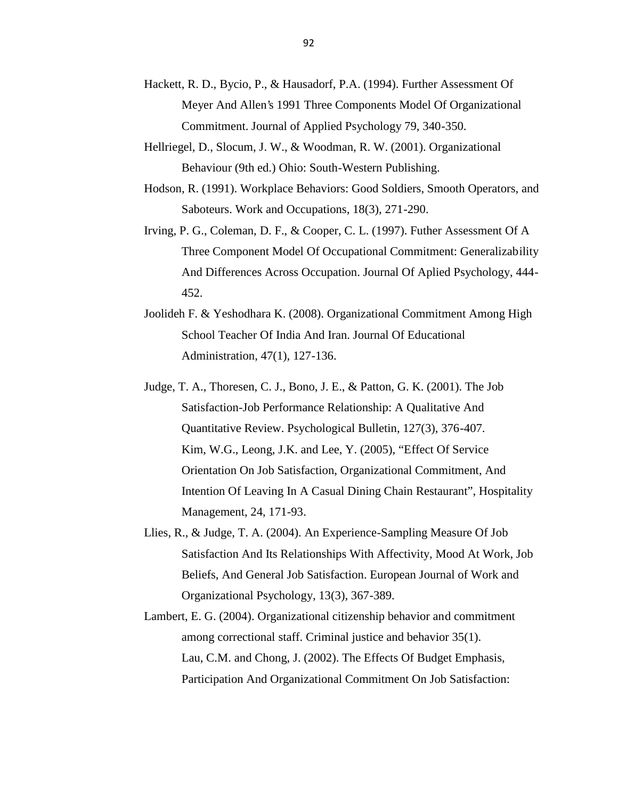- Hackett, R. D., Bycio, P., & Hausadorf, P.A. (1994). Further Assessment Of Meyer And Allen's 1991 Three Components Model Of Organizational Commitment. Journal of Applied Psychology 79, 340-350.
- Hellriegel, D., Slocum, J. W., & Woodman, R. W. (2001). Organizational Behaviour (9th ed.) Ohio: South-Western Publishing.
- Hodson, R. (1991). Workplace Behaviors: Good Soldiers, Smooth Operators, and Saboteurs. Work and Occupations, 18(3), 271-290.
- Irving, P. G., Coleman, D. F., & Cooper, C. L. (1997). Futher Assessment Of A Three Component Model Of Occupational Commitment: Generalizability And Differences Across Occupation. Journal Of Aplied Psychology, 444- 452.
- Joolideh F. & Yeshodhara K. (2008). Organizational Commitment Among High School Teacher Of India And Iran. Journal Of Educational Administration, 47(1), 127-136.
- Judge, T. A., Thoresen, C. J., Bono, J. E., & Patton, G. K. (2001). The Job Satisfaction-Job Performance Relationship: A Qualitative And Quantitative Review. Psychological Bulletin, 127(3), 376-407. Kim, W.G., Leong, J.K. and Lee, Y. (2005), "Effect Of Service Orientation On Job Satisfaction, Organizational Commitment, And Intention Of Leaving In A Casual Dining Chain Restaurant", Hospitality Management, 24, 171-93.
- Llies, R., & Judge, T. A. (2004). An Experience-Sampling Measure Of Job Satisfaction And Its Relationships With Affectivity, Mood At Work, Job Beliefs, And General Job Satisfaction. European Journal of Work and Organizational Psychology, 13(3), 367-389.
- Lambert, E. G. (2004). Organizational citizenship behavior and commitment among correctional staff. Criminal justice and behavior 35(1). Lau, C.M. and Chong, J. (2002). The Effects Of Budget Emphasis, Participation And Organizational Commitment On Job Satisfaction: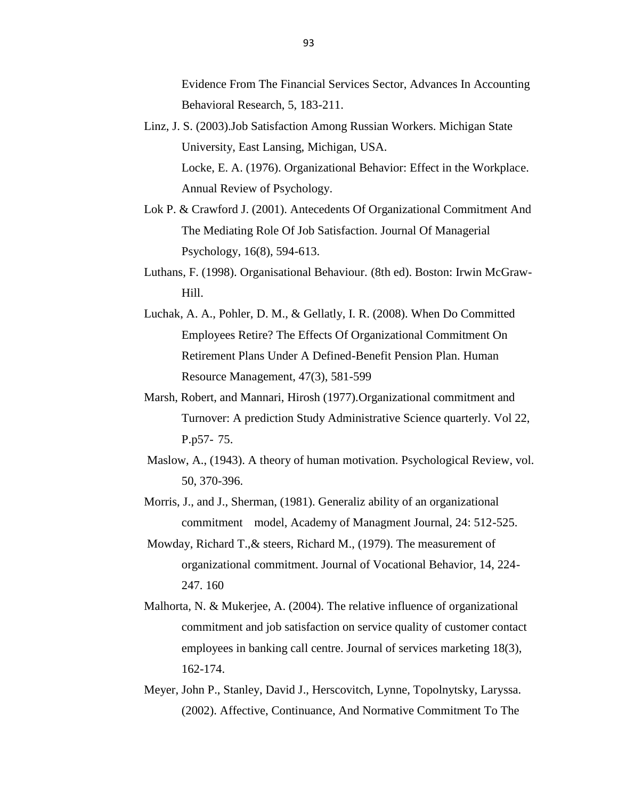Evidence From The Financial Services Sector, Advances In Accounting Behavioral Research, 5, 183-211.

- Linz, J. S. (2003).Job Satisfaction Among Russian Workers. Michigan State University, East Lansing, Michigan, USA. Locke, E. A. (1976). Organizational Behavior: Effect in the Workplace. Annual Review of Psychology.
- Lok P. & Crawford J. (2001). Antecedents Of Organizational Commitment And The Mediating Role Of Job Satisfaction. Journal Of Managerial Psychology, 16(8), 594-613.
- Luthans, F. (1998). Organisational Behaviour. (8th ed). Boston: Irwin McGraw- Hill.
- Luchak, A. A., Pohler, D. M., & Gellatly, I. R. (2008). When Do Committed Employees Retire? The Effects Of Organizational Commitment On Retirement Plans Under A Defined-Benefit Pension Plan. Human Resource Management, 47(3), 581-599
- Marsh, Robert, and Mannari, Hirosh (1977).Organizational commitment and Turnover: A prediction Study Administrative Science quarterly. Vol 22, P.p57- 75.
- Maslow, A., (1943). A theory of human motivation. Psychological Review, vol. 50, 370-396.
- Morris, J., and J., Sherman, (1981). Generaliz ability of an organizational commitment model, Academy of Managment Journal, 24: 512-525.
- Mowday, Richard T.,& steers, Richard M., (1979). The measurement of organizational commitment. Journal of Vocational Behavior, 14, 224- 247. 160
- Malhorta, N. & Mukerjee, A. (2004). The relative influence of organizational commitment and job satisfaction on service quality of customer contact employees in banking call centre. Journal of services marketing 18(3), 162-174.
- Meyer, John P., Stanley, David J., Herscovitch, Lynne, Topolnytsky, Laryssa. (2002). Affective, Continuance, And Normative Commitment To The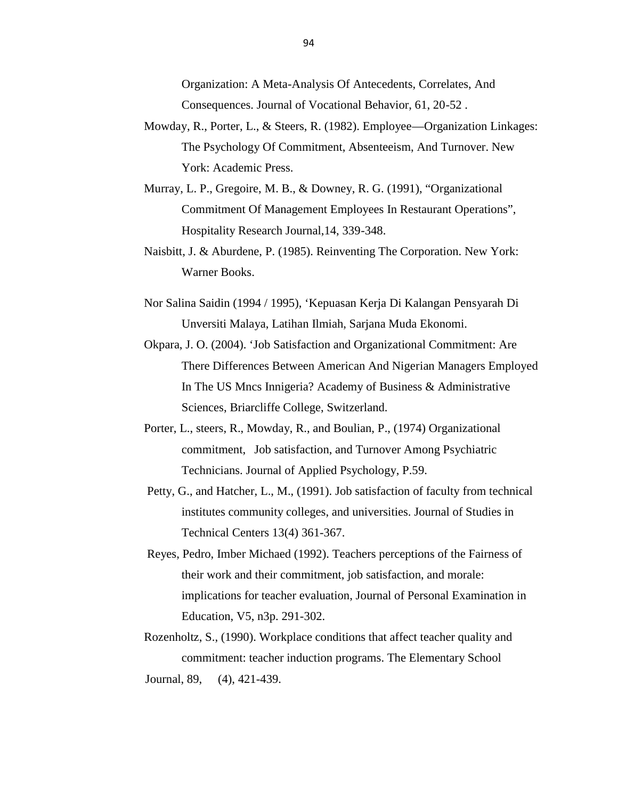Organization: A Meta-Analysis Of Antecedents, Correlates, And Consequences. Journal of Vocational Behavior, 61, 20-52 .

- Mowday, R., Porter, L., & Steers, R. (1982). Employee—Organization Linkages: The Psychology Of Commitment, Absenteeism, And Turnover. New York: Academic Press.
- Murray, L. P., Gregoire, M. B., & Downey, R. G. (1991), "Organizational Commitment Of Management Employees In Restaurant Operations", Hospitality Research Journal,14, 339-348.
- Naisbitt, J. & Aburdene, P. (1985). Reinventing The Corporation. New York: Warner Books.
- Nor Salina Saidin (1994 / 1995), 'Kepuasan Kerja Di Kalangan Pensyarah Di Unversiti Malaya, Latihan Ilmiah, Sarjana Muda Ekonomi.
- Okpara, J. O. (2004). 'Job Satisfaction and Organizational Commitment: Are There Differences Between American And Nigerian Managers Employed In The US Mncs Innigeria? Academy of Business & Administrative Sciences, Briarcliffe College, Switzerland.
- Porter, L., steers, R., Mowday, R., and Boulian, P., (1974) Organizational commitment, Job satisfaction, and Turnover Among Psychiatric Technicians. Journal of Applied Psychology, P.59.
- Petty, G., and Hatcher, L., M., (1991). Job satisfaction of faculty from technical institutes community colleges, and universities. Journal of Studies in Technical Centers 13(4) 361-367.
- Reyes, Pedro, Imber Michaed (1992). Teachers perceptions of the Fairness of their work and their commitment, job satisfaction, and morale: implications for teacher evaluation, Journal of Personal Examination in Education, V5, n3p. 291-302.
- Rozenholtz, S., (1990). Workplace conditions that affect teacher quality and commitment: teacher induction programs. The Elementary School Journal, 89, (4), 421-439.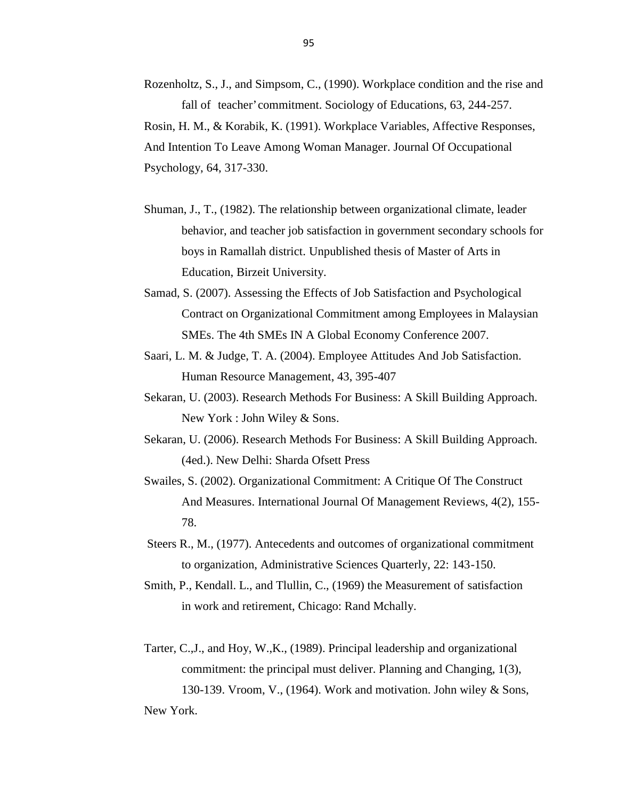Rozenholtz, S., J., and Simpsom, C., (1990). Workplace condition and the rise and fall of teacher' commitment. Sociology of Educations, 63, 244-257. Rosin, H. M., & Korabik, K. (1991). Workplace Variables, Affective Responses, And Intention To Leave Among Woman Manager. Journal Of Occupational Psychology, 64, 317-330.

- Shuman, J., T., (1982). The relationship between organizational climate, leader behavior, and teacher job satisfaction in government secondary schools for boys in Ramallah district. Unpublished thesis of Master of Arts in Education, Birzeit University.
- Samad, S. (2007). Assessing the Effects of Job Satisfaction and Psychological Contract on Organizational Commitment among Employees in Malaysian SMEs. The 4th SMEs IN A Global Economy Conference 2007.
- Saari, L. M. & Judge, T. A. (2004). Employee Attitudes And Job Satisfaction. Human Resource Management, 43, 395-407
- Sekaran, U. (2003). Research Methods For Business: A Skill Building Approach. New York : John Wiley & Sons.
- Sekaran, U. (2006). Research Methods For Business: A Skill Building Approach. (4ed.). New Delhi: Sharda Ofsett Press
- Swailes, S. (2002). Organizational Commitment: A Critique Of The Construct And Measures. International Journal Of Management Reviews, 4(2), 155- 78.
- Steers R., M., (1977). Antecedents and outcomes of organizational commitment to organization, Administrative Sciences Quarterly, 22: 143-150.
- Smith, P., Kendall. L., and Tlullin, C., (1969) the Measurement of satisfaction in work and retirement, Chicago: Rand Mchally.
- Tarter, C.,J., and Hoy, W.,K., (1989). Principal leadership and organizational commitment: the principal must deliver. Planning and Changing, 1(3), 130-139. Vroom, V., (1964). Work and motivation. John wiley & Sons, New York.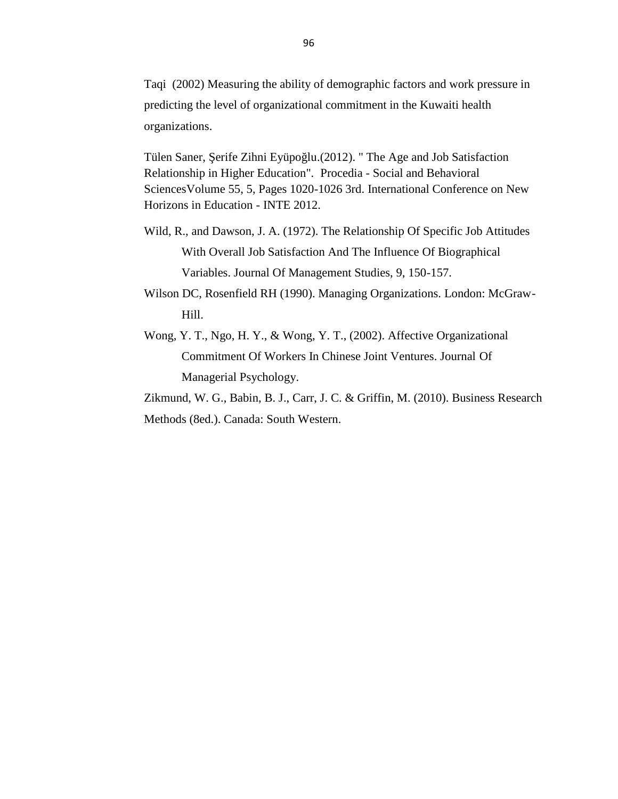Taqi (2002) Measuring the ability of demographic factors and work pressure in predicting the level of organizational commitment in the Kuwaiti health organizations.

Tülen Saner, erife Zihni Eyüpo lu.(2012). " The Age and Job Satisfaction Relationship in Higher Education". Procedia - Social and Behavioral SciencesVolume 55, 5, Pages 1020-1026 3rd. International Conference on New Horizons in Education - INTE 2012.

- Wild, R., and Dawson, J. A. (1972). The Relationship Of Specific Job Attitudes With Overall Job Satisfaction And The Influence Of Biographical Variables. Journal Of Management Studies, 9, 150-157.
- Wilson DC, Rosenfield RH (1990). Managing Organizations. London: McGraw- Hill.
- Wong, Y. T., Ngo, H. Y., & Wong, Y. T., (2002). Affective Organizational Commitment Of Workers In Chinese Joint Ventures. Journal Of Managerial Psychology.

Zikmund, W. G., Babin, B. J., Carr, J. C. & Griffin, M. (2010). Business Research Methods (8ed.). Canada: South Western.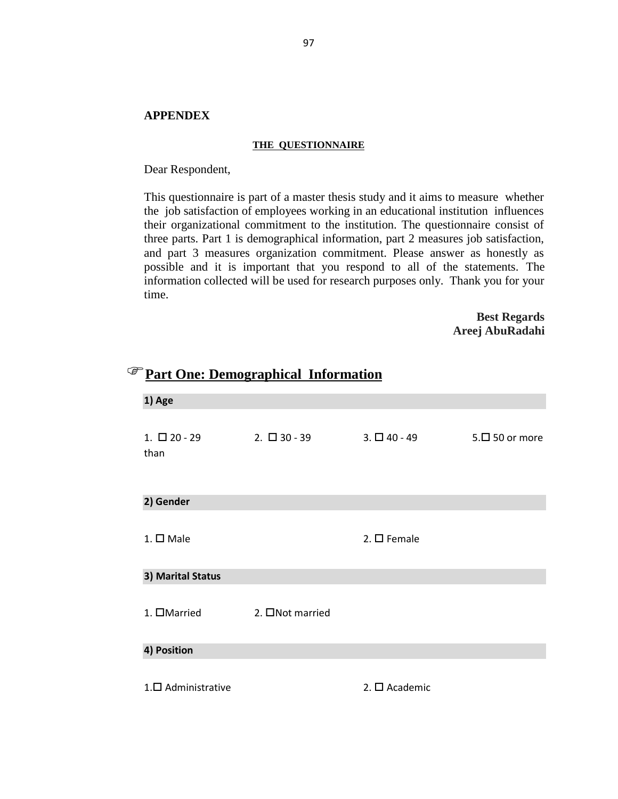## **APPENDEX**

#### **THE QUESTIONNAIRE**

Dear Respondent,

This questionnaire is part of a master thesis study and it aims to measure whether the job satisfaction of employees working in an educational institution influences their organizational commitment to the institution. The questionnaire consist of three parts. Part 1 is demographical information, part 2 measures job satisfaction, and part 3 measures organization commitment. Please answer as honestly as possible and it is important that you respond to all of the statements. The information collected will be used for research purposes only. Thank you for your time.

> **Best Regards Areej AbuRadahi**

| 1) Age                    |                   |                       |                     |
|---------------------------|-------------------|-----------------------|---------------------|
| $1. \Box 20 - 29$<br>than | $2. \Box 30 - 39$ | $3. \Box 40 - 49$     | $5.\Box$ 50 or more |
| 2) Gender                 |                   |                       |                     |
| $1. \square$ Male         |                   | 2. $\square$ Female   |                     |
| 3) Marital Status         |                   |                       |                     |
| 1. □Married               | 2. □Not married   |                       |                     |
| 4) Position               |                   |                       |                     |
| $1. \Box$ Administrative  |                   | 2. $\square$ Academic |                     |

## **Part One: Demographical Information**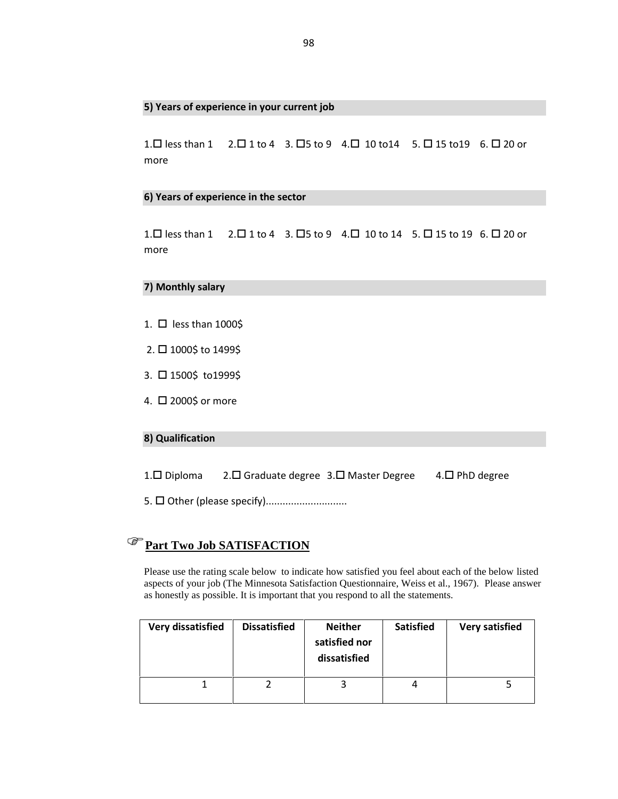#### **5) Years of experience in your current job**

 $1.\Box$  less than  $1 \quad 2.\Box$  1 to  $4 \quad 3.\Box$ 5 to  $9 \quad 4.\Box$  10 to  $14 \quad 5.\Box$  15 to  $19 \quad 6.\Box$  20 or more

#### **6) Years of experience in the sector**

1.  $\Box$  less than 1 2.  $\Box$  1 to 4 3.  $\Box$  5 to 9 4.  $\Box$  10 to 14 5.  $\Box$  15 to 19 6.  $\Box$  20 or more

#### **7) Monthly salary**

- 1.  $\Box$  less than 1000\$
- 2. □ 1000\$ to 1499\$
- 3. □ 1500\$ to1999\$
- 4. □ 2000\$ or more

## **8) Qualification**

1. Diploma 2. D Graduate degree 3. D Master Degree 4. D PhD degree

5. Other (please specify).............................

## **Part Two Job SATISFACTION**

Please use the rating scale below to indicate how satisfied you feel about each of the below listed aspects of your job (The Minnesota Satisfaction Questionnaire, Weiss et al., 1967). Please answer as honestly as possible. It is important that you respond to all the statements.

| Very dissatisfied | <b>Dissatisfied</b> | <b>Neither</b><br>satisfied nor<br>dissatisfied | <b>Satisfied</b> | <b>Very satisfied</b> |
|-------------------|---------------------|-------------------------------------------------|------------------|-----------------------|
|                   |                     |                                                 | 4                |                       |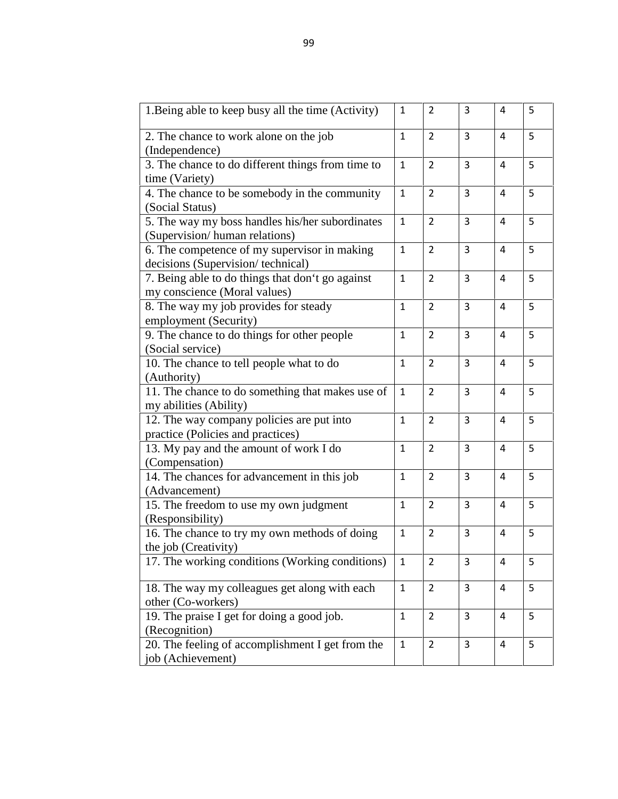| 1. Being able to keep busy all the time (Activity) | $\mathbf{1}$ | 2              | 3              | 4              | 5 |
|----------------------------------------------------|--------------|----------------|----------------|----------------|---|
| 2. The chance to work alone on the job             | $\mathbf{1}$ | $\overline{2}$ | 3              | 4              | 5 |
| (Independence)                                     |              |                |                |                |   |
| 3. The chance to do different things from time to  | $\mathbf{1}$ | $\overline{2}$ | $\overline{3}$ | $\overline{4}$ | 5 |
| time (Variety)                                     |              |                |                |                |   |
| 4. The chance to be somebody in the community      | $\mathbf{1}$ | $\overline{2}$ | 3              | $\overline{4}$ | 5 |
| (Social Status)                                    |              |                |                |                |   |
| 5. The way my boss handles his/her subordinates    | $\mathbf{1}$ | $\overline{2}$ | 3              | 4              | 5 |
| (Supervision/human relations)                      |              |                |                |                |   |
| 6. The competence of my supervisor in making       | $\mathbf{1}$ | $\overline{2}$ | 3              | 4              | 5 |
| decisions (Supervision/technical)                  |              |                |                |                |   |
| 7. Being able to do things that don't go against   | $\mathbf{1}$ | $\overline{2}$ | $\overline{3}$ | $\overline{a}$ | 5 |
| my conscience (Moral values)                       |              |                |                |                |   |
| 8. The way my job provides for steady              | $\mathbf{1}$ | $\overline{2}$ | 3              | 4              | 5 |
| employment (Security)                              |              |                |                |                |   |
| 9. The chance to do things for other people        | $\mathbf 1$  | $\overline{2}$ | 3              | 4              | 5 |
| (Social service)                                   |              |                |                |                |   |
| 10. The chance to tell people what to do           | $\mathbf{1}$ | $\overline{2}$ | $\overline{3}$ | $\overline{4}$ | 5 |
| (Authority)                                        |              |                |                |                |   |
| 11. The chance to do something that makes use of   | $\mathbf{1}$ | $\overline{2}$ | 3              | 4              | 5 |
| my abilities (Ability)                             |              |                |                |                |   |
| 12. The way company policies are put into          | $\mathbf{1}$ | $\overline{2}$ | 3              | 4              | 5 |
| practice (Policies and practices)                  |              |                |                |                |   |
| 13. My pay and the amount of work I do             | $\mathbf{1}$ | $\overline{2}$ | $\overline{3}$ | 4              | 5 |
| (Compensation)                                     |              |                |                |                |   |
| 14. The chances for advancement in this job        | $\mathbf{1}$ | $\overline{2}$ | 3              | 4              | 5 |
| (Advancement)                                      |              |                |                |                |   |
| 15. The freedom to use my own judgment             | 1            | $\overline{2}$ | 3              | 4              | 5 |
| (Responsibility)                                   |              |                |                |                |   |
| 16. The chance to try my own methods of doing      | $\mathbf{1}$ | $\overline{2}$ | 3              | $\overline{4}$ | 5 |
| the job (Creativity)                               |              |                |                |                |   |
| 17. The working conditions (Working conditions)    | $\mathbf{1}$ | 2              | 3              | 4              | 5 |
| 18. The way my colleagues get along with each      | $\mathbf{1}$ | $\overline{2}$ | 3              | 4              | 5 |
| other (Co-workers)                                 |              |                |                |                |   |
| 19. The praise I get for doing a good job.         | $\mathbf{1}$ | $\overline{2}$ | 3              | 4              | 5 |
| (Recognition)                                      |              |                |                |                |   |
| 20. The feeling of accomplishment I get from the   | $\mathbf{1}$ | $\overline{2}$ | 3              | 4              | 5 |
| job (Achievement)                                  |              |                |                |                |   |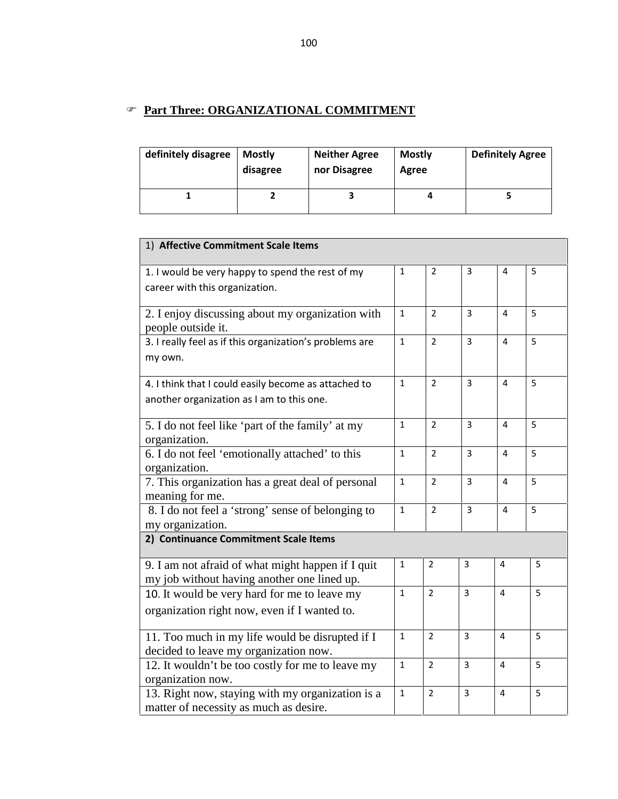## **Part Three: ORGANIZATIONAL COMMITMENT**

| definitely disagree | <b>Mostly</b><br>disagree | <b>Neither Agree</b><br>nor Disagree | <b>Mostly</b><br>Agree | <b>Definitely Agree</b> |
|---------------------|---------------------------|--------------------------------------|------------------------|-------------------------|
|                     |                           |                                      |                        |                         |

| 1) Affective Commitment Scale Items                                                        |              |                |                |   |   |
|--------------------------------------------------------------------------------------------|--------------|----------------|----------------|---|---|
| 1. I would be very happy to spend the rest of my<br>career with this organization.         | $\mathbf{1}$ | $\overline{2}$ | 3              | 4 | 5 |
|                                                                                            |              |                |                |   |   |
| 2. I enjoy discussing about my organization with<br>people outside it.                     | $\mathbf{1}$ | $\overline{2}$ | 3              | 4 | 5 |
| 3. I really feel as if this organization's problems are<br>my own.                         | $\mathbf{1}$ | $\overline{2}$ | $\overline{3}$ | 4 | 5 |
| 4. I think that I could easily become as attached to                                       | $\mathbf{1}$ | $\overline{2}$ | 3              | 4 | 5 |
| another organization as I am to this one.                                                  |              |                |                |   |   |
| 5. I do not feel like 'part of the family' at my                                           | $\mathbf{1}$ | $\overline{2}$ | $\overline{3}$ | 4 | 5 |
| organization.                                                                              |              |                |                |   |   |
| 6. I do not feel 'emotionally attached' to this<br>organization.                           | $\mathbf{1}$ | $\overline{2}$ | $\overline{3}$ | 4 | 5 |
| 7. This organization has a great deal of personal                                          | $\mathbf{1}$ | $\overline{2}$ | $\overline{3}$ | 4 | 5 |
| meaning for me.                                                                            |              |                |                |   |   |
| 8. I do not feel a 'strong' sense of belonging to                                          | $\mathbf{1}$ | $\overline{2}$ | $\overline{3}$ | 4 | 5 |
| my organization.                                                                           |              |                |                |   |   |
| 2) Continuance Commitment Scale Items                                                      |              |                |                |   |   |
| 9. I am not afraid of what might happen if I quit                                          | 1            | $\overline{2}$ | 3              | 4 | 5 |
| my job without having another one lined up.                                                |              |                |                |   |   |
| 10. It would be very hard for me to leave my                                               | $\mathbf{1}$ | $\overline{2}$ | $\overline{3}$ | 4 | 5 |
| organization right now, even if I wanted to.                                               |              |                |                |   |   |
| 11. Too much in my life would be disrupted if I                                            | $\mathbf{1}$ | $\overline{2}$ | 3              | 4 | 5 |
| decided to leave my organization now.                                                      |              |                |                |   |   |
| 12. It wouldn't be too costly for me to leave my                                           | $\mathbf{1}$ | $\overline{2}$ | $\overline{3}$ | 4 | 5 |
| organization now.                                                                          |              |                |                |   |   |
| 13. Right now, staying with my organization is a<br>matter of necessity as much as desire. | $\mathbf{1}$ | $\overline{2}$ | 3              | 4 | 5 |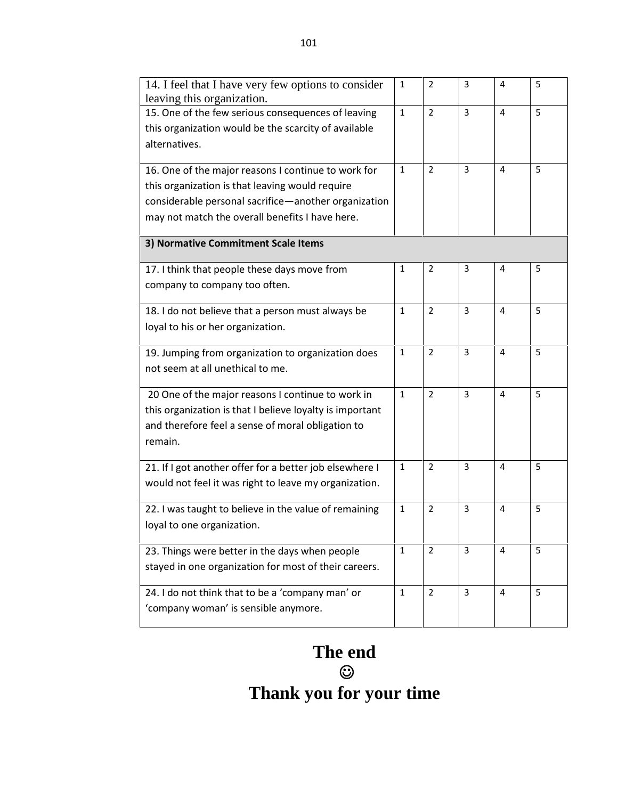| 14. I feel that I have very few options to consider<br>leaving this organization.                                                                                                                                 | 1            | $\overline{2}$ | 3 | 4              | 5 |
|-------------------------------------------------------------------------------------------------------------------------------------------------------------------------------------------------------------------|--------------|----------------|---|----------------|---|
| 15. One of the few serious consequences of leaving<br>this organization would be the scarcity of available<br>alternatives.                                                                                       | $\mathbf{1}$ | $\overline{2}$ | 3 | $\overline{4}$ | 5 |
| 16. One of the major reasons I continue to work for<br>this organization is that leaving would require<br>considerable personal sacrifice-another organization<br>may not match the overall benefits I have here. | 1            | $\overline{2}$ | 3 | 4              | 5 |
| 3) Normative Commitment Scale Items                                                                                                                                                                               |              |                |   |                |   |
| 17. I think that people these days move from<br>company to company too often.                                                                                                                                     | 1            | 2              | 3 | 4              | 5 |
| 18. I do not believe that a person must always be<br>loyal to his or her organization.                                                                                                                            | 1            | 2              | 3 | $\overline{4}$ | 5 |
| 19. Jumping from organization to organization does<br>not seem at all unethical to me.                                                                                                                            | 1            | $\overline{2}$ | 3 | 4              | 5 |
| 20 One of the major reasons I continue to work in<br>this organization is that I believe loyalty is important<br>and therefore feel a sense of moral obligation to<br>remain.                                     | $\mathbf{1}$ | $\overline{2}$ | 3 | 4              | 5 |
| 21. If I got another offer for a better job elsewhere I<br>would not feel it was right to leave my organization.                                                                                                  | 1            | 2              | 3 | 4              | 5 |
| 22. I was taught to believe in the value of remaining<br>loyal to one organization.                                                                                                                               | $\mathbf{1}$ | $\overline{2}$ | 3 | 4              | 5 |
| 23. Things were better in the days when people<br>stayed in one organization for most of their careers.                                                                                                           | $\mathbf{1}$ | $\overline{2}$ | 3 | 4              | 5 |
| 24. I do not think that to be a 'company man' or<br>'company woman' is sensible anymore.                                                                                                                          | $\mathbf{1}$ | $\overline{2}$ | 3 | 4              | 5 |

## **The end**  $\bigcirc$  and  $\bigcirc$ **Thank you for your time**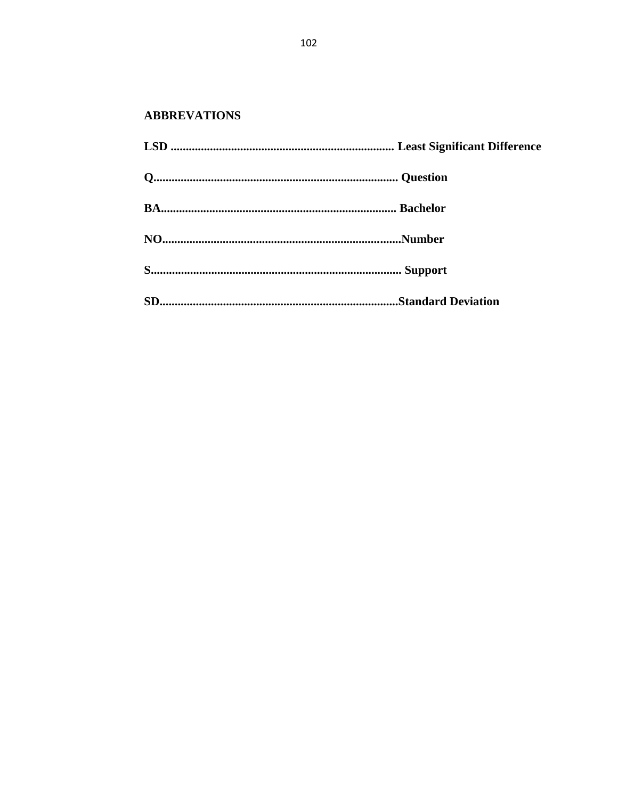## **ABBREVATIONS**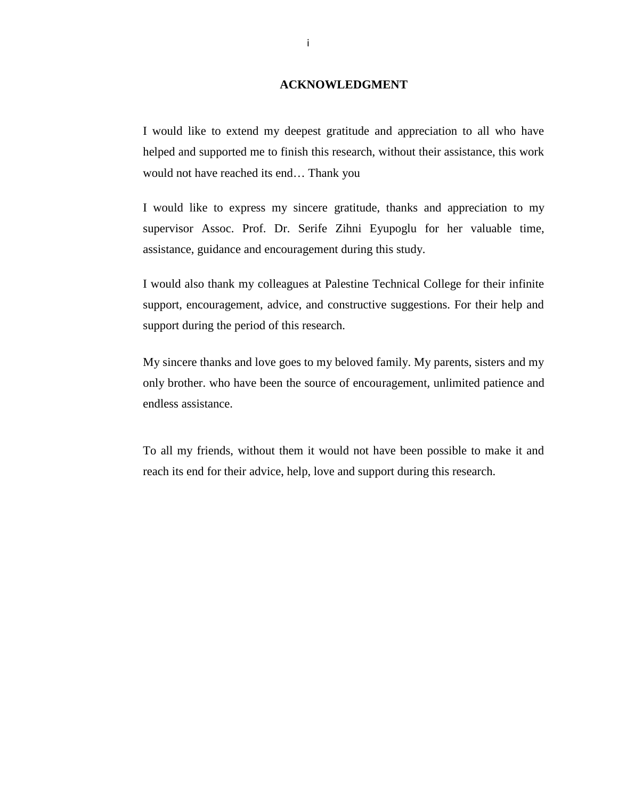## **ACKNOWLEDGMENT**

I would like to extend my deepest gratitude and appreciation to all who have helped and supported me to finish this research, without their assistance, this work would not have reached its end… Thank you

I would like to express my sincere gratitude, thanks and appreciation to my supervisor Assoc. Prof. Dr. Serife Zihni Eyupoglu for her valuable time, assistance, guidance and encouragement during this study.

I would also thank my colleagues at Palestine Technical College for their infinite support, encouragement, advice, and constructive suggestions. For their help and support during the period of this research.

My sincere thanks and love goes to my beloved family. My parents, sisters and my only brother. who have been the source of encouragement, unlimited patience and endless assistance.

To all my friends, without them it would not have been possible to make it and reach its end for their advice, help, love and support during this research.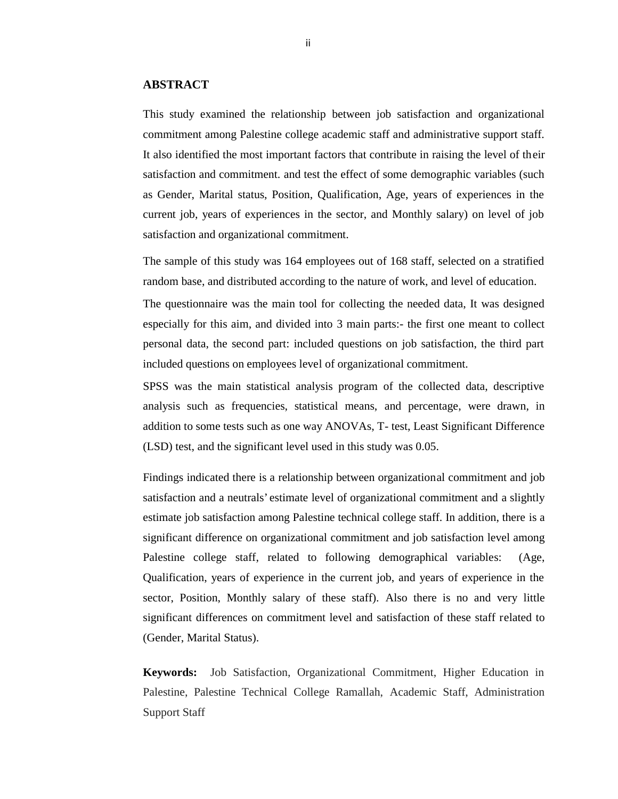## **ABSTRACT**

This study examined the relationship between job satisfaction and organizational commitment among Palestine college academic staff and administrative support staff. It also identified the most important factors that contribute in raising the level of their satisfaction and commitment. and test the effect of some demographic variables (such as Gender, Marital status, Position, Qualification, Age, years of experiences in the current job, years of experiences in the sector, and Monthly salary) on level of job satisfaction and organizational commitment.

The sample of this study was 164 employees out of 168 staff, selected on a stratified random base, and distributed according to the nature of work, and level of education.

The questionnaire was the main tool for collecting the needed data, It was designed especially for this aim, and divided into 3 main parts:- the first one meant to collect personal data, the second part: included questions on job satisfaction, the third part included questions on employees level of organizational commitment.

SPSS was the main statistical analysis program of the collected data, descriptive analysis such as frequencies, statistical means, and percentage, were drawn, in addition to some tests such as one way ANOVAs, T- test, Least Significant Difference (LSD) test, and the significant level used in this study was 0.05.

Findings indicated there is a relationship between organizational commitment and job satisfaction and a neutrals' estimate level of organizational commitment and a slightly estimate job satisfaction among Palestine technical college staff. In addition, there is a significant difference on organizational commitment and job satisfaction level among Palestine college staff, related to following demographical variables: (Age, Qualification, years of experience in the current job, and years of experience in the sector, Position, Monthly salary of these staff). Also there is no and very little significant differences on commitment level and satisfaction of these staff related to (Gender, Marital Status).

**Keywords:** Job Satisfaction, Organizational Commitment, Higher Education in Palestine, Palestine Technical College Ramallah, Academic Staff, Administration Support Staff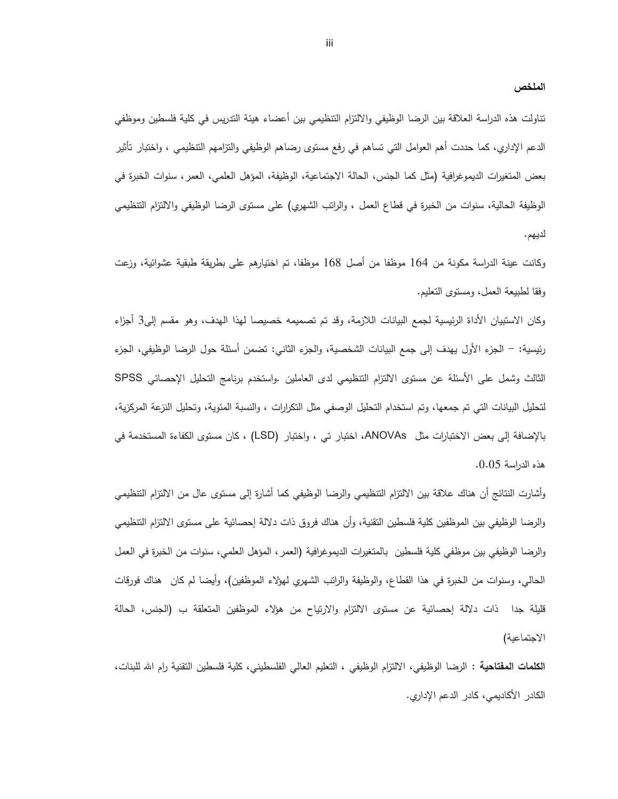**الملخص** 

تناولت هذه الدراسة العلاقة بین الرضا الوظیفي والالتزام التنظیمي بین أعضاء هیئة التدریس في كلیة فلسطین وموظفي الدعم الإداري، كما حددت أهم العوامل التي تساهم في رفع مستوى رضاهم الوظیفي والتزامهم التنظیمي ، واختبار تأثیر بعض المتغیرات الدیموغرافیة (مثل كما الجنس، الحالة الاجتماعیة، الوظیفة، المؤهل العلمي، العمر، سنوات الخبرة في الوظیفة الحالیة، سنوات من الخبرة في قطاع العمل ، والراتب الشهري) على مستوى الرضا الوظیفي والالتزام التنظیمي لدیهم.

وكانت عینة الدراسة مكونة من 164 موظفا من أصل 168 موظفا، تم اختیارهم على بطریقة طبقیة عشوائیة، وزعت وفقا لطبیعة العمل، ومستوى التعلیم.

وكان الاستبیان الأداة الرئیسیة لجمع البیانات اللازمة، وقد تم تصمیمه خصیصا لهذا الهدف، و هو مقسم إلى3 أجزاء رئیسیة: - الجزء الأول یهدف إلى جمع البیانات الشخصیة، والجزء الثاني: تضمن أسئلة حول الرضا الوظیفي، الجزء الثالث وشمل على الأسئلة عن مستوى الالتزام التنظیمي لدى العاملین .واستخدم برنامج التحلیل الإحصائي SPSS لتحلیل البیانات التي تم جمعها، وتم استخدام التحلیل الوصفي مثل التكرارات ، والنسبة المئویة، وتحلیل النزعة المركزیة، بالإضافة إلى بعض الاختبارات مثل ANOVAs، اختبار تي ، واختبار (LSD (، كان مستوى الكفاءة المستخدمة في هذه الدراسة .0.05

وأشارت النتائج أن هناك علاقة بین الالتزام التنظیمي والرضا الوظیفي كما أشارة إلى مستوى عال من الالتزام التنظیمي والرضا الوظیفي بین الموظفین كلیة فلسطین التقنیة، وأن هناك فروق ذات دلالة إحصائیة على مستوى الالتزام التنظیمي والرضا الوظیفي بین موظفي كلیة فلسطین بالمتغیرات الدیموغرافیة (العمر، المؤهل العلمي، سنوات من الخبرة في العمل الحالي، وسنوات من الخبرة في هذا القطاع، والوظیفة والراتب الشهري لهؤلاء الموظفین)، وأیضا لم كان هناك فورقات قلیلة جدا ذات دلالة إحصائیة عن مستوى الالتزام والارتیاح من هؤلاء الموظفین المتعلقة ب (الجنس، الحالة الاجتماعیة)

**الكلمات المفتاحیة :** الرضا الوظیفي، الالتزام الوظیفي ، التعلیم العالي الفلسطیني، كلیة فلسطین التقنیة رام االله للبنات، الكادر الأكادیمي، كادر الدعم الإداري.

iii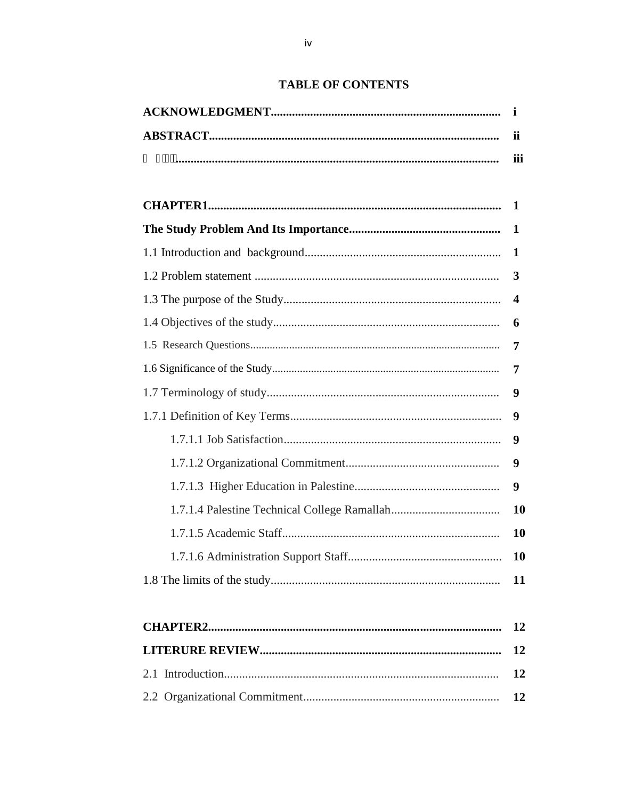## **TABLE OF CONTENTS**

| ii          |
|-------------|
| iii         |
|             |
| -1          |
| $\mathbf 1$ |
| 1           |
| 3           |
| 4           |
| 6           |
| 7           |
| 7           |
| 9           |
| 9           |
| 9           |
| 9           |
| 9           |
| 10          |
| <b>10</b>   |
| 10          |
| 11          |

12

**12**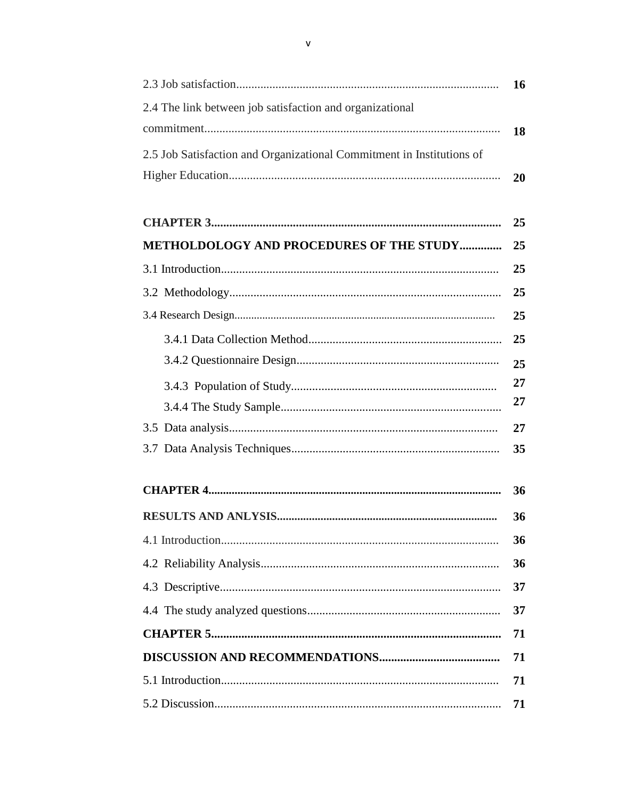|                                                                       | 16 |
|-----------------------------------------------------------------------|----|
| 2.4 The link between job satisfaction and organizational              |    |
|                                                                       | 18 |
| 2.5 Job Satisfaction and Organizational Commitment in Institutions of |    |
|                                                                       | 20 |
|                                                                       |    |
|                                                                       | 25 |
| <b>METHOLDOLOGY AND PROCEDURES OF THE STUDY</b>                       | 25 |
|                                                                       | 25 |
|                                                                       | 25 |
|                                                                       | 25 |
|                                                                       |    |

| 36 |
|----|
| 36 |
| 36 |
|    |
|    |
|    |
|    |
|    |
|    |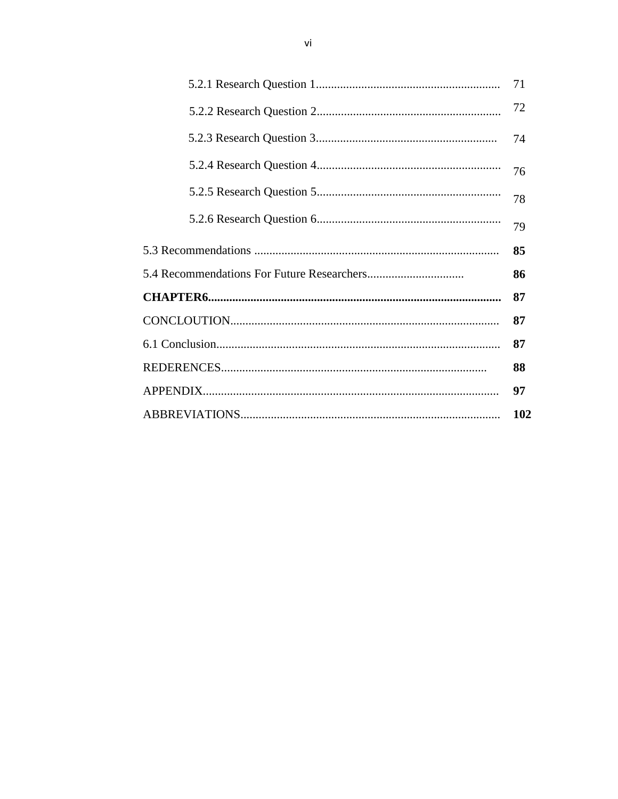| 71  |
|-----|
| 72  |
| 74  |
| 76  |
| 78  |
| 79  |
| 85  |
| 86  |
| 87  |
| 87  |
| 87  |
| 88  |
| 97  |
| 102 |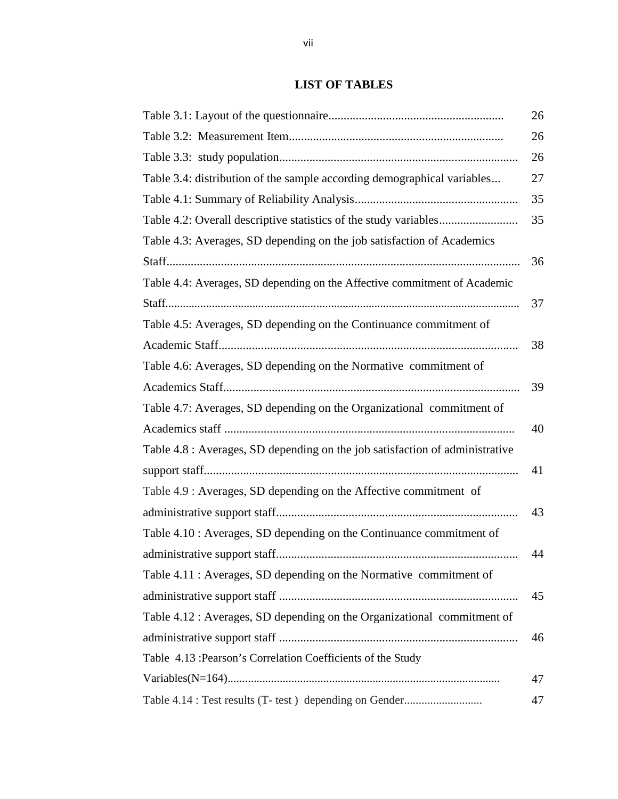## **LIST OF TABLES**

|                                                                              | 26 |
|------------------------------------------------------------------------------|----|
|                                                                              | 26 |
|                                                                              | 26 |
| Table 3.4: distribution of the sample according demographical variables      | 27 |
|                                                                              | 35 |
|                                                                              | 35 |
| Table 4.3: Averages, SD depending on the job satisfaction of Academics       |    |
|                                                                              | 36 |
| Table 4.4: Averages, SD depending on the Affective commitment of Academic    |    |
|                                                                              | 37 |
| Table 4.5: Averages, SD depending on the Continuance commitment of           |    |
|                                                                              | 38 |
| Table 4.6: Averages, SD depending on the Normative commitment of             |    |
|                                                                              | 39 |
| Table 4.7: Averages, SD depending on the Organizational commitment of        |    |
|                                                                              | 40 |
| Table 4.8 : Averages, SD depending on the job satisfaction of administrative |    |
|                                                                              | 41 |
| Table 4.9 : Averages, SD depending on the Affective commitment of            |    |
|                                                                              | 43 |
| Table 4.10 : Averages, SD depending on the Continuance commitment of         |    |
|                                                                              | 44 |
| Table 4.11 : Averages, SD depending on the Normative commitment of           |    |
|                                                                              | 45 |
| Table 4.12 : Averages, SD depending on the Organizational commitment of      |    |
|                                                                              | 46 |
| Table 4.13 : Pearson's Correlation Coefficients of the Study                 |    |
|                                                                              | 47 |
| Table 4.14 : Test results (T- test) depending on Gender                      | 47 |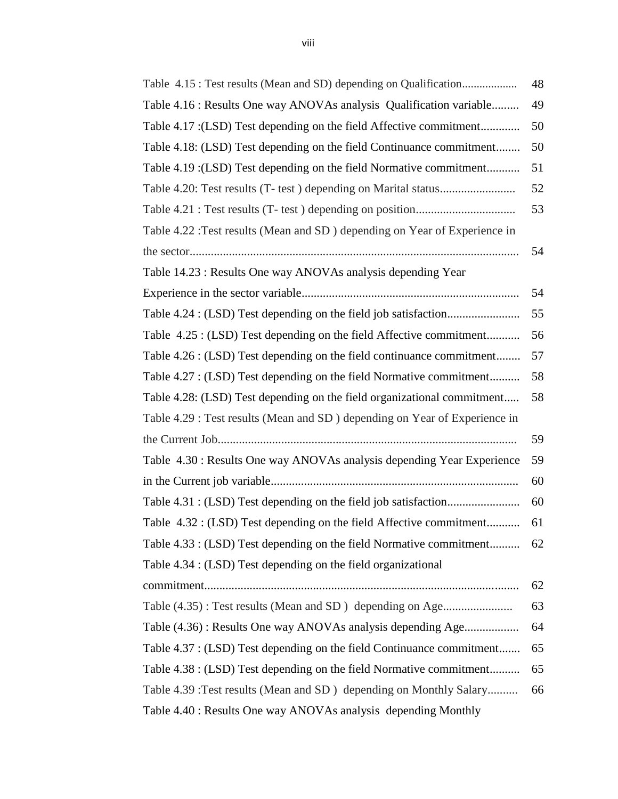|                                                                            | 48 |
|----------------------------------------------------------------------------|----|
| Table 4.16 : Results One way ANOVAs analysis Qualification variable        | 49 |
| Table 4.17 : (LSD) Test depending on the field Affective commitment        | 50 |
| Table 4.18: (LSD) Test depending on the field Continuance commitment       | 50 |
| Table 4.19 : (LSD) Test depending on the field Normative commitment        | 51 |
|                                                                            | 52 |
|                                                                            | 53 |
| Table 4.22 : Test results (Mean and SD) depending on Year of Experience in |    |
|                                                                            | 54 |
| Table 14.23 : Results One way ANOVAs analysis depending Year               |    |
|                                                                            | 54 |
|                                                                            | 55 |
| Table 4.25 : (LSD) Test depending on the field Affective commitment        | 56 |
| Table 4.26 : (LSD) Test depending on the field continuance commitment      | 57 |
| Table 4.27 : (LSD) Test depending on the field Normative commitment        | 58 |
| Table 4.28: (LSD) Test depending on the field organizational commitment    | 58 |
| Table 4.29 : Test results (Mean and SD) depending on Year of Experience in |    |
|                                                                            | 59 |
| Table 4.30 : Results One way ANOVAs analysis depending Year Experience     | 59 |
|                                                                            | 60 |
|                                                                            | 60 |
| Table 4.32 : (LSD) Test depending on the field Affective commitment        | 61 |
| Table 4.33 : (LSD) Test depending on the field Normative commitment        | 62 |
| Table 4.34 : (LSD) Test depending on the field organizational              |    |
|                                                                            | 62 |
| Table (4.35): Test results (Mean and SD) depending on Age                  | 63 |
| Table (4.36): Results One way ANOVAs analysis depending Age                | 64 |
| Table 4.37 : (LSD) Test depending on the field Continuance commitment      | 65 |
| Table 4.38 : (LSD) Test depending on the field Normative commitment        | 65 |
| Table 4.39 : Test results (Mean and SD) depending on Monthly Salary        | 66 |
| Table 4.40 : Results One way ANOVAs analysis depending Monthly             |    |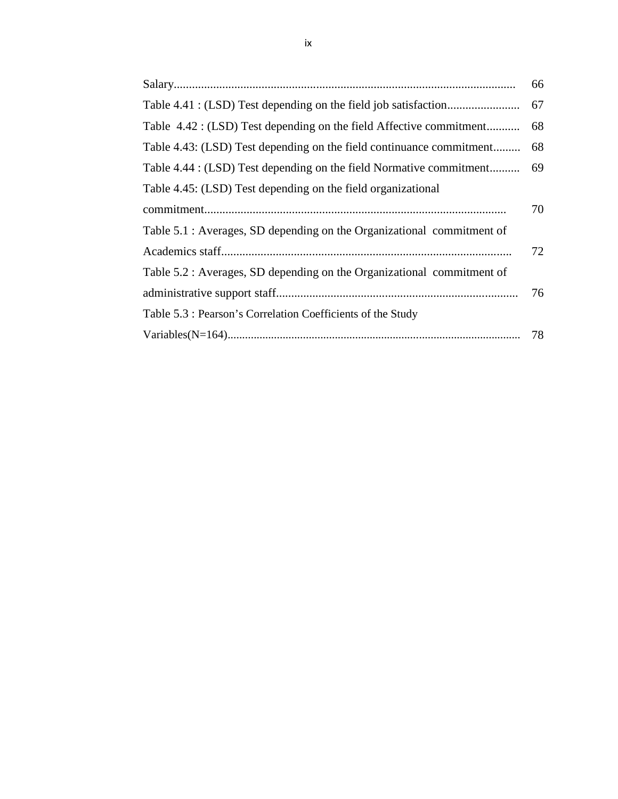|                                                                         | 66   |
|-------------------------------------------------------------------------|------|
|                                                                         |      |
| Table 4.42 : (LSD) Test depending on the field Affective commitment     | - 68 |
| Table 4.43: (LSD) Test depending on the field continuance commitment 68 |      |
| Table 4.44 : (LSD) Test depending on the field Normative commitment     | - 69 |
| Table 4.45: (LSD) Test depending on the field organizational            |      |
|                                                                         | 70   |
| Table 5.1 : Averages, SD depending on the Organizational commitment of  |      |
|                                                                         | 72   |
| Table 5.2 : Averages, SD depending on the Organizational commitment of  |      |
|                                                                         | 76   |
| Table 5.3 : Pearson's Correlation Coefficients of the Study             |      |
|                                                                         | 78   |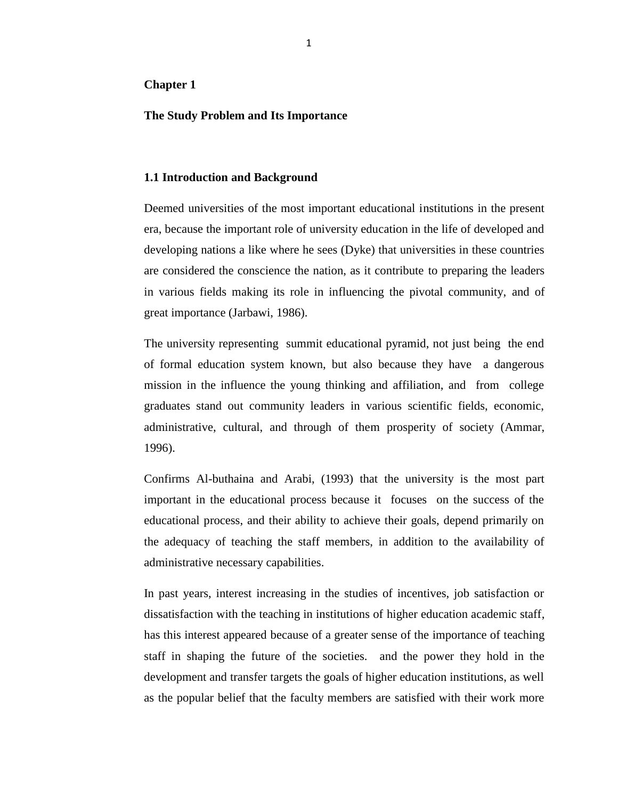## **Chapter 1**

## **The Study Problem and Its Importance**

## **1.1 Introduction and Background**

Deemed universities of the most important educational institutions in the present era, because the important role of university education in the life of developed and developing nations a like where he sees (Dyke) that universities in these countries are considered the conscience the nation, as it contribute to preparing the leaders in various fields making its role in influencing the pivotal community, and of great importance (Jarbawi, 1986).

The university representing summit educational pyramid, not just being the end of formal education system known, but also because they have a dangerous mission in the influence the young thinking and affiliation, and from college graduates stand out community leaders in various scientific fields, economic, administrative, cultural, and through of them prosperity of society (Ammar, 1996).

Confirms Al-buthaina and Arabi, (1993) that the university is the most part important in the educational process because it focuses on the success of the educational process, and their ability to achieve their goals, depend primarily on the adequacy of teaching the staff members, in addition to the availability of administrative necessary capabilities.

In past years, interest increasing in the studies of incentives, job satisfaction or dissatisfaction with the teaching in institutions of higher education academic staff, has this interest appeared because of a greater sense of the importance of teaching staff in shaping the future of the societies. and the power they hold in the development and transfer targets the goals of higher education institutions, as well as the popular belief that the faculty members are satisfied with their work more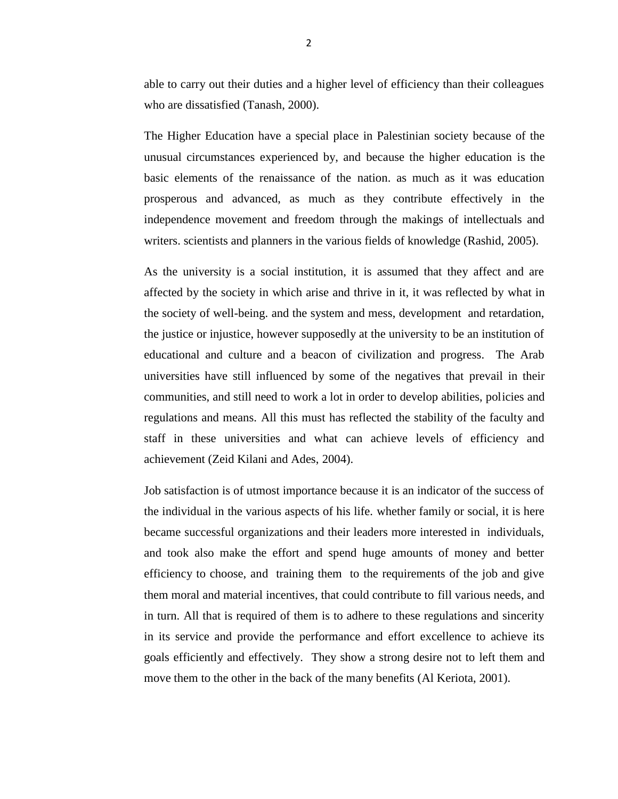able to carry out their duties and a higher level of efficiency than their colleagues who are dissatisfied (Tanash, 2000).

The Higher Education have a special place in Palestinian society because of the unusual circumstances experienced by, and because the higher education is the basic elements of the renaissance of the nation. as much as it was education prosperous and advanced, as much as they contribute effectively in the independence movement and freedom through the makings of intellectuals and writers. scientists and planners in the various fields of knowledge (Rashid, 2005).

As the university is a social institution, it is assumed that they affect and are affected by the society in which arise and thrive in it, it was reflected by what in the society of well-being. and the system and mess, development and retardation, the justice or injustice, however supposedly at the university to be an institution of educational and culture and a beacon of civilization and progress. The Arab universities have still influenced by some of the negatives that prevail in their communities, and still need to work a lot in order to develop abilities, policies and regulations and means. All this must has reflected the stability of the faculty and staff in these universities and what can achieve levels of efficiency and achievement (Zeid Kilani and Ades, 2004).

Job satisfaction is of utmost importance because it is an indicator of the success of the individual in the various aspects of his life. whether family or social, it is here became successful organizations and their leaders more interested in individuals, and took also make the effort and spend huge amounts of money and better efficiency to choose, and training them to the requirements of the job and give them moral and material incentives, that could contribute to fill various needs, and in turn. All that is required of them is to adhere to these regulations and sincerity in its service and provide the performance and effort excellence to achieve its goals efficiently and effectively. They show a strong desire not to leftthem and move them to the other in the back of the many benefits (Al Keriota, 2001).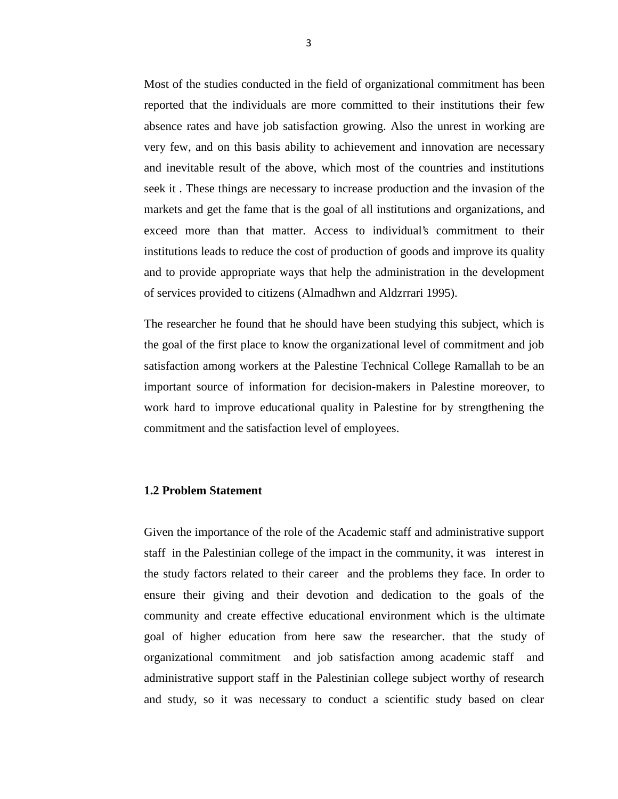Most of the studies conducted in the field of organizational commitment has been reported that the individuals are more committed to their institutions their few absence rates and have job satisfaction growing. Also the unrest in working are very few, and on this basis ability to achievement and innovation are necessary and inevitable result of the above, which most of the countries and institutions seek it . These things are necessary to increase production and the invasion of the markets and get the fame that is the goal of all institutions and organizations, and exceed more than that matter. Access to individual's commitment to their institutions leads to reduce the cost of production of goods and improve its quality and to provide appropriate ways that help the administration in the development of services provided to citizens (Almadhwn and Aldzrrari 1995).

The researcher he found that he should have been studying this subject, which is the goal of the first place to know the organizational level of commitment and job satisfaction among workers at the Palestine Technical College Ramallah to be an important source of information for decision-makers in Palestine moreover, to work hard to improve educational quality in Palestine for by strengthening the commitment and the satisfaction level of employees.

## **1.2 Problem Statement**

Given the importance of the role of the Academic staff and administrative support staff in the Palestinian college of the impact in the community, it was interest in the study factors related to their career and the problems they face. In order to ensure their giving and their devotion and dedication to the goals of the community and create effective educational environment which is the ultimate goal of higher education from here saw the researcher. that the study of organizational commitment and job satisfaction among academic staff and administrative support staff in the Palestinian college subject worthy of research and study, so it was necessary to conduct a scientific study based on clear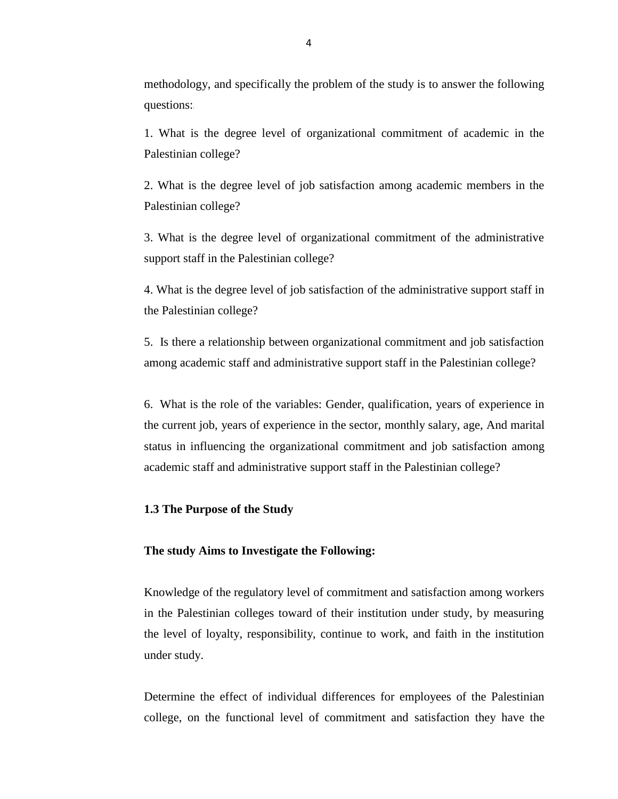methodology, and specifically the problem of the study is to answer the following questions:

1. What is the degree level of organizational commitment of academic in the Palestinian college?

2. What is the degree level of job satisfaction among academic members in the Palestinian college?

3. What is the degree level of organizational commitment of the administrative support staff in the Palestinian college?

4. What is the degree level of job satisfaction of the administrative support staff in the Palestinian college?

5. Is there a relationship between organizational commitment and job satisfaction among academic staff and administrative support staff in the Palestinian college?

6. What is the role of the variables: Gender, qualification, years of experience in the current job, years of experience in the sector, monthly salary, age, And marital status in influencing the organizational commitment and job satisfaction among academic staff and administrative support staff in the Palestinian college?

### **1.3 The Purpose of the Study**

### **The study Aims to Investigate the Following:**

Knowledge of the regulatory level of commitment and satisfaction among workers in the Palestinian colleges toward of their institution under study, by measuring the level of loyalty, responsibility, continue to work, and faith in the institution under study.

Determine the effect of individual differences for employees of the Palestinian college, on the functional level of commitment and satisfaction they have the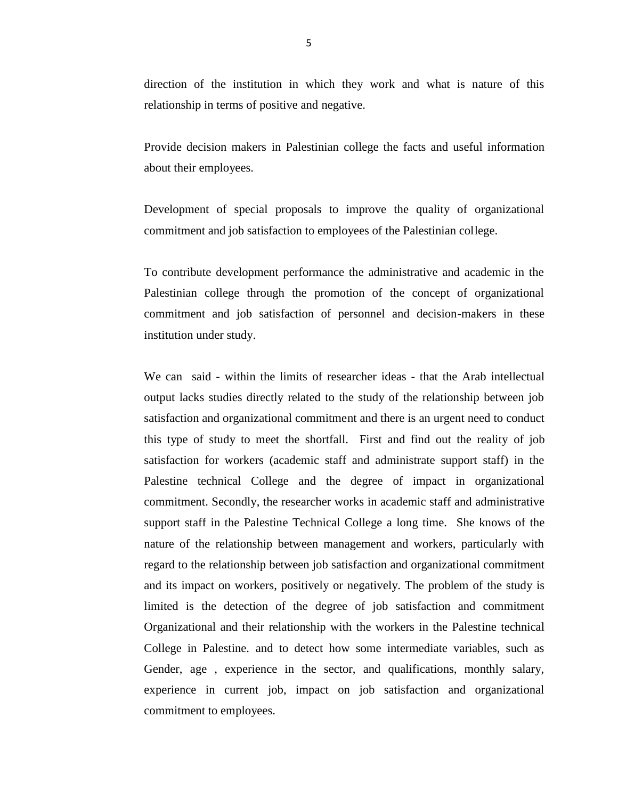direction of the institution in which they work and what is nature of this relationship in terms of positive and negative.

Provide decision makers in Palestinian college the facts and useful information about their employees.

Development of special proposals to improve the quality of organizational commitment and job satisfaction to employees of the Palestinian college.

To contribute development performance the administrative and academic in the Palestinian college through the promotion of the concept of organizational commitment and job satisfaction of personnel and decision-makers in these institution under study.

We can said - within the limits of researcher ideas - that the Arab intellectual output lacks studies directly related to the study of the relationship between job satisfaction and organizational commitment and there is an urgent need to conduct this type of study to meet the shortfall. First and find out the reality of job satisfaction for workers (academic staff and administrate support staff) in the Palestine technical College and the degree of impact in organizational commitment. Secondly, the researcher works in academic staff and administrative support staff in the Palestine Technical College a long time. She knows of the nature of the relationship between management and workers, particularly with regard to the relationship between job satisfaction and organizational commitment and its impact on workers, positively or negatively. The problem of the study is limited is the detection of the degree of job satisfaction and commitment Organizational and their relationship with the workers in the Palestine technical College in Palestine. and to detect how some intermediate variables, such as Gender, age , experience in the sector, and qualifications, monthly salary, experience in current job, impact on job satisfaction and organizational commitment to employees.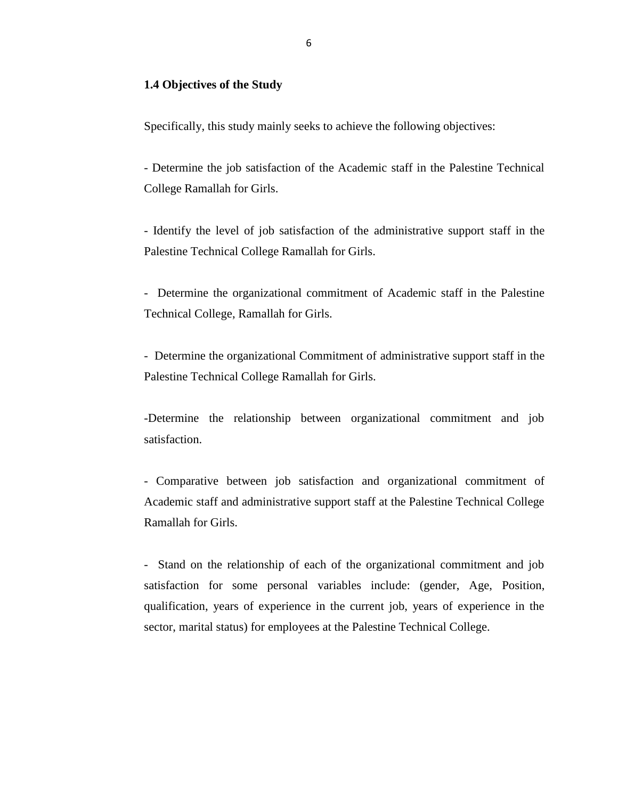## **1.4 Objectives of the Study**

Specifically, this study mainly seeks to achieve the following objectives:

- Determine the job satisfaction of the Academic staff in the Palestine Technical College Ramallah for Girls.

- Identify the level of job satisfaction of the administrative support staff in the Palestine Technical College Ramallah for Girls.

- Determine the organizational commitment of Academic staff in the Palestine Technical College, Ramallah for Girls.

- Determine the organizational Commitment of administrative support staff in the Palestine Technical College Ramallah for Girls.

-Determine the relationship between organizational commitment and job satisfaction.

- Comparative between job satisfaction and organizational commitment of Academic staff and administrative support staff at the Palestine Technical College Ramallah for Girls.

- Stand on the relationship of each of the organizational commitment and job satisfaction for some personal variables include: (gender, Age, Position, qualification, years of experience in the current job, years of experience in the sector, marital status) for employees at the Palestine Technical College.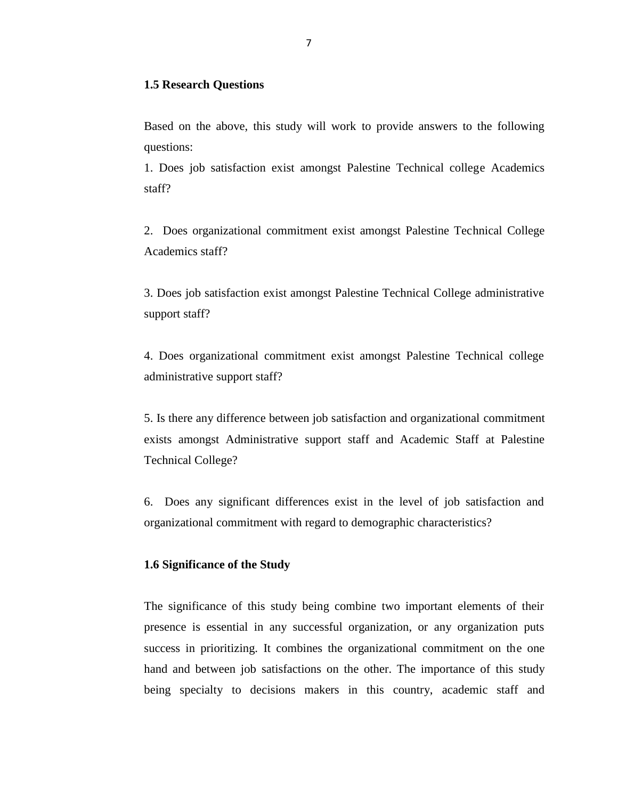### **1.5 Research Questions**

Based on the above, this study will work to provide answers to the following questions:

1. Does job satisfaction exist amongst Palestine Technical college Academics staff?

2. Does organizational commitment exist amongst Palestine Technical College Academics staff?

3. Does job satisfaction exist amongst Palestine Technical College administrative support staff?

4. Does organizational commitment exist amongst Palestine Technical college administrative support staff?

5. Is there any difference between job satisfaction and organizational commitment exists amongst Administrative support staff and Academic Staff at Palestine Technical College?

6. Does any significant differences exist in the level of job satisfaction and organizational commitment with regard to demographic characteristics?

## **1.6 Significance of the Study**

The significance of this study being combine two important elements of their presence is essential in any successful organization, or any organization puts success in prioritizing. It combines the organizational commitment on the one hand and between job satisfactions on the other. The importance of this study being specialty to decisions makers in this country, academic staff and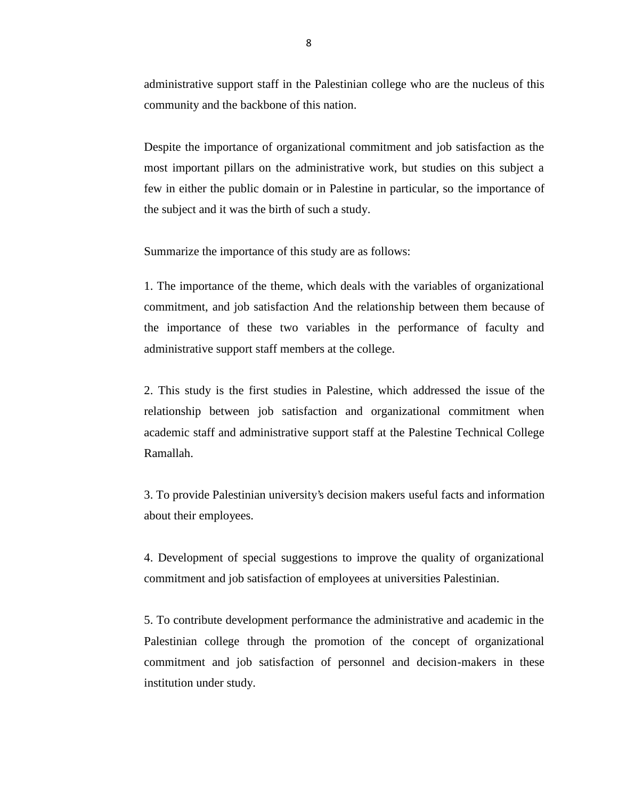administrative support staff in the Palestinian college who are the nucleus of this community and the backbone of this nation.

Despite the importance of organizational commitment and job satisfaction as the most important pillars on the administrative work, but studies on this subject a few in either the public domain or in Palestine in particular, so the importance of the subject and it was the birth of such a study.

Summarize the importance of this study are as follows:

1. The importance of the theme, which deals with the variables of organizational commitment, and job satisfaction And the relationship between them because of the importance of these two variables in the performance of faculty and administrative support staff members at the college.

2. This study is the first studies in Palestine, which addressed the issue of the relationship between job satisfaction and organizational commitment when academic staff and administrative support staff at the Palestine Technical College Ramallah.

3. To provide Palestinian university's decision makers useful facts and information about their employees.

4. Development of special suggestions to improve the quality of organizational commitment and job satisfaction of employees at universities Palestinian.

5. To contribute development performance the administrative and academic in the Palestinian college through the promotion of the concept of organizational commitment and job satisfaction of personnel and decision-makers in these institution under study.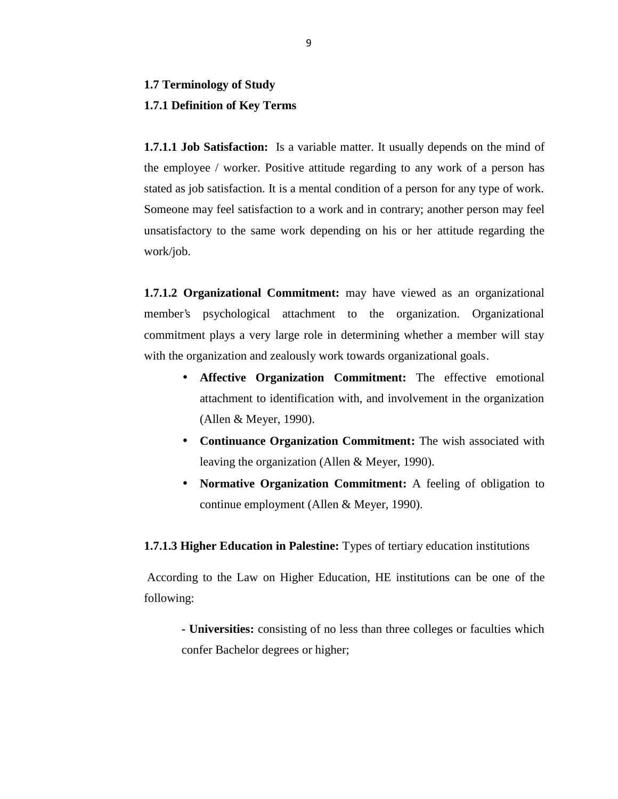## **1.7 Terminology of Study 1.7.1 Definition of Key Terms**

**1.7.1.1 Job Satisfaction:** Is a variable matter. It usually depends on the mind of the employee / worker. Positive attitude regarding to any work of a person has stated as job satisfaction. It is a mental condition of a person for any type of work. Someone may feel satisfaction to a work and in contrary; another person may feel unsatisfactory to the same work depending on his or her attitude regarding the work/job.

**1.7.1.2 Organizational Commitment:** may have viewed as an organizational member's psychological attachment to the organization. Organizational commitment plays a very large role in determining whether a member will stay with the organization and zealously work towards organizational goals.

- **Affective Organization Commitment:** The effective emotional attachment to identification with, and involvement in the organization (Allen & Meyer, 1990).
- **Continuance Organization Commitment:** The wish associated with leaving the organization (Allen & Meyer, 1990).
- **Normative Organization Commitment:** A feeling of obligation to continue employment (Allen & Meyer, 1990).

**1.7.1.3 Higher Education in Palestine:** Types of tertiary education institutions

According to the Law on Higher Education, HE institutions can be one of the following:

**- Universities:** consisting of no less than three colleges or faculties which confer Bachelor degrees or higher;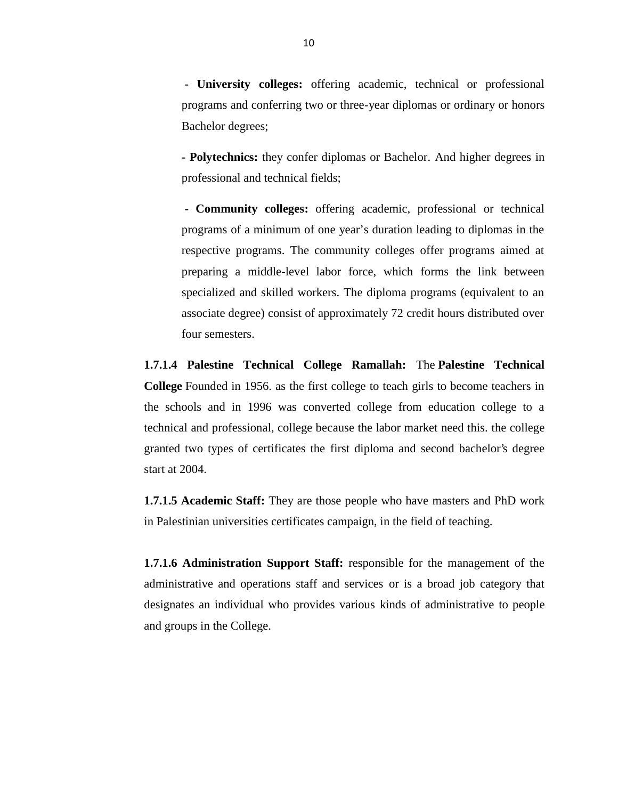**- University colleges:** offering academic, technical or professional programs and conferring two or three-year diplomas or ordinary or honors Bachelor degrees;

**- Polytechnics:** they confer diplomas or Bachelor. And higher degrees in professional and technical fields;

**- Community colleges:** offering academic, professional or technical programs of a minimum of one year's duration leading to diplomas in the respective programs. The community colleges offer programs aimed at preparing a middle-level labor force, which forms the link between specialized and skilled workers. The diploma programs (equivalent to an associate degree) consist of approximately 72 credit hours distributed over four semesters.

**1.7.1.4 Palestine Technical College Ramallah:** The **Palestine Technical College** Founded in 1956. as the first college to teach girls to become teachers in the schools and in 1996 was converted college from education college to a technical and professional, college because the labor market need this. the college granted two types of certificates the first diploma and second bachelor's degree start at 2004.

**1.7.1.5 Academic Staff:** They are those people who have masters and PhD work in Palestinian universities certificates campaign, in the field of teaching.

**1.7.1.6 Administration Support Staff:** responsible for the management of the administrative and operations staff and services or is a broad job category that designates an individual who provides various kinds of administrative to people and groups in the College.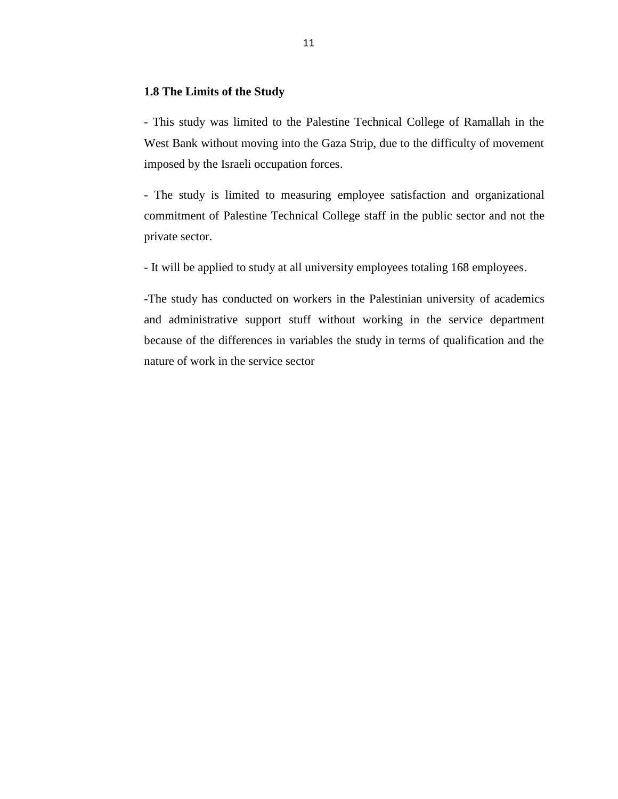## **1.8 The Limits of the Study**

- This study was limited to the Palestine Technical College of Ramallah in the West Bank without moving into the Gaza Strip, due to the difficulty of movement imposed by the Israeli occupation forces.

- The study is limited to measuring employee satisfaction and organizational commitment of Palestine Technical College staff in the public sector and not the private sector.

- It will be applied to study at all university employees totaling 168 employees.

-The study has conducted on workers in the Palestinian university of academics and administrative support stuff without working in the service department because of the differences in variables the study in terms of qualification and the nature of work in the service sector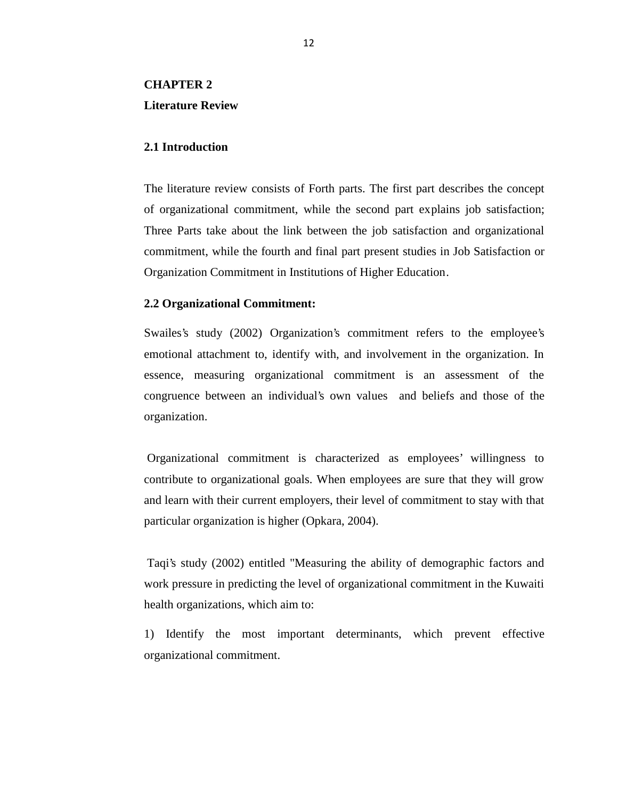# **CHAPTER 2 Literature Review**

## **2.1 Introduction**

The literature review consists of Forth parts. The first part describes the concept of organizational commitment, while the second part explains job satisfaction; Three Parts take about the link between the job satisfaction and organizational commitment, while the fourth and final part present studies in Job Satisfaction or Organization Commitment in Institutions of Higher Education.

#### **2.2 Organizational Commitment:**

Swailes's study (2002) Organization's commitment refers to the employee's emotional attachment to, identify with, and involvement in the organization. In essence, measuring organizational commitment is an assessment of the congruence between an individual's own values and beliefs and those of the organization.

Organizational commitment is characterized as employees' willingness to contribute to organizational goals. When employees are sure that they will grow and learn with their current employers, their level of commitment to stay with that particular organization is higher (Opkara, 2004).

Taqi's study (2002) entitled "Measuring the ability of demographic factors and work pressure in predicting the level of organizational commitment in the Kuwaiti health organizations, which aim to:

1) Identify the most important determinants, which prevent effective organizational commitment.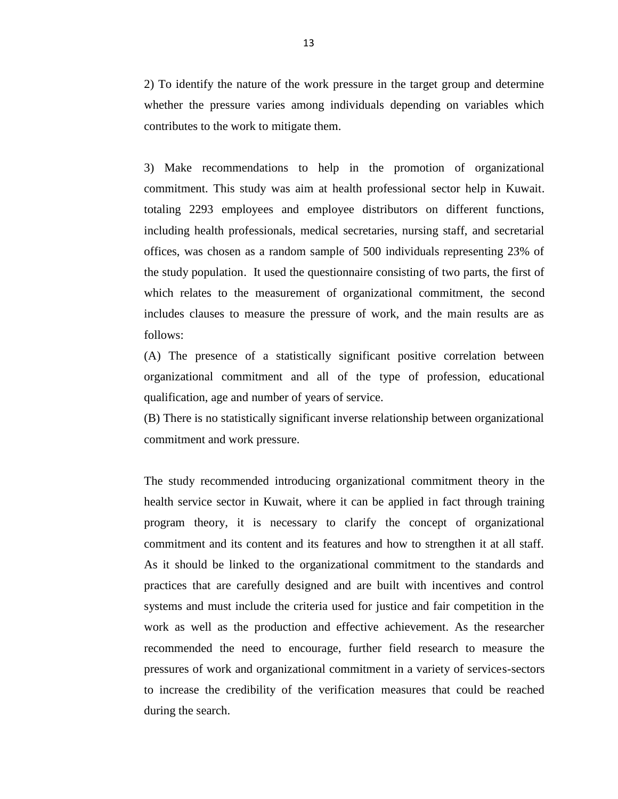2) To identify the nature of the work pressure in the target group and determine whether the pressure varies among individuals depending on variables which contributes to the work to mitigate them.

3) Make recommendations to help in the promotion of organizational commitment. This study was aim at health professional sector help in Kuwait. totaling 2293 employees and employee distributors on different functions, including health professionals, medical secretaries, nursing staff, and secretarial offices, was chosen as a random sample of 500 individuals representing 23% of the study population. It used the questionnaire consisting of two parts, the first of which relates to the measurement of organizational commitment, the second includes clauses to measure the pressure of work, and the main results are as follows:

(A) The presence of a statistically significant positive correlation between organizational commitment and all of the type of profession, educational qualification, age and number of years of service.

(B) There is no statistically significant inverse relationship between organizational commitment and work pressure.

The study recommended introducing organizational commitment theory in the health service sector in Kuwait, where it can be applied in fact through training program theory, it is necessary to clarify the concept of organizational commitment and its content and its features and how to strengthen it at all staff. As it should be linked to the organizational commitment to the standards and practices that are carefully designed and are built with incentives and control systems and must include the criteria used for justice and fair competition in the work as well as the production and effective achievement. As the researcher recommended the need to encourage, further field research to measure the pressures of work and organizational commitment in a variety of services-sectors to increase the credibility of the verification measures that could be reached during the search.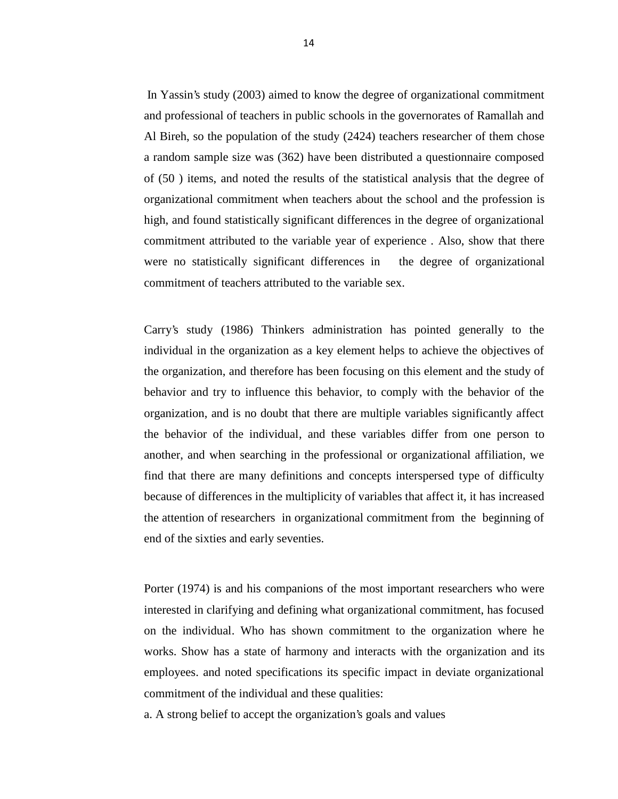In Yassin's study (2003) aimed to know the degree of organizational commitment and professional of teachers in public schools in the governorates of Ramallah and Al Bireh, so the population of the study (2424) teachers researcher of them chose a random sample size was (362) have been distributed a questionnaire composed of (50 ) items, and noted the results of the statistical analysis that the degree of organizational commitment when teachers about the school and the profession is high, and found statistically significant differences in the degree of organizational commitment attributed to the variable year of experience . Also, show that there were no statistically significant differences in the degree of organizational commitment of teachers attributed to the variable sex.

Carry's study (1986) Thinkers administration has pointed generally to the individual in the organization as a key element helps to achieve the objectives of the organization, and therefore has been focusing on this element and the study of behavior and try to influence this behavior, to comply with the behavior of the organization, and is no doubt that there are multiple variables significantly affect the behavior of the individual, and these variables differ from one person to another, and when searching in the professional or organizational affiliation, we find that there are many definitions and concepts interspersed type of difficulty because of differences in the multiplicity of variables that affect it, it has increased the attention of researchers in organizational commitment from the beginning of end of the sixties and early seventies.

Porter (1974) is and his companions of the most important researchers who were interested in clarifying and defining what organizational commitment, has focused on the individual. Who has shown commitment to the organization where he works. Show has a state of harmony and interacts with the organization and its employees. and noted specifications its specific impact in deviate organizational commitment of the individual and these qualities:

a. A strong belief to accept the organization's goals and values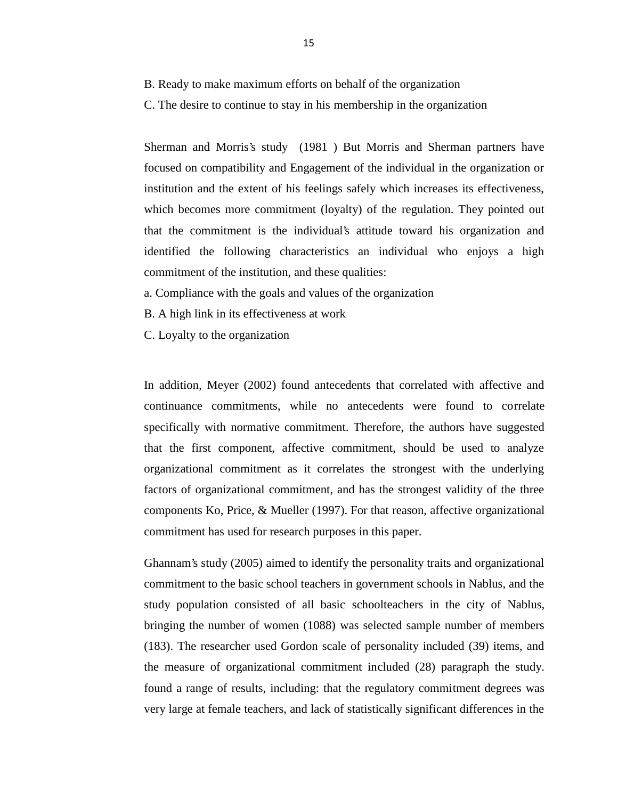B. Ready to make maximum efforts on behalf of the organization

C. The desire to continue to stay in his membership in the organization

Sherman and Morris's study (1981 ) But Morris and Sherman partners have focused on compatibility and Engagement of the individual in the organization or institution and the extent of his feelings safely which increases its effectiveness, which becomes more commitment (loyalty) of the regulation. They pointed out that the commitment is the individual's attitude toward his organization and identified the following characteristics an individual who enjoys a high commitment of the institution, and these qualities:

a. Compliance with the goals and values of the organization

B. A high link in its effectiveness at work

C. Loyalty to the organization

In addition, Meyer (2002) found antecedents that correlated with affective and continuance commitments, while no antecedents were found to correlate specifically with normative commitment. Therefore, the authors have suggested that the first component, affective commitment, should be used to analyze organizational commitment as it correlates the strongest with the underlying factors of organizational commitment, and has the strongest validity of the three components Ko, Price, & Mueller (1997). For that reason, affective organizational commitment has used for research purposes in this paper.

Ghannam's study (2005) aimed to identify the personality traits and organizational commitment to the basic school teachers in government schools in Nablus, and the study population consisted of all basic schoolteachers in the city of Nablus, bringing the number of women (1088) was selected sample number of members (183). The researcher used Gordon scale of personality included (39) items, and the measure of organizational commitment included (28) paragraph the study. found a range of results, including: that the regulatory commitment degrees was very large at female teachers, and lack of statistically significant differences in the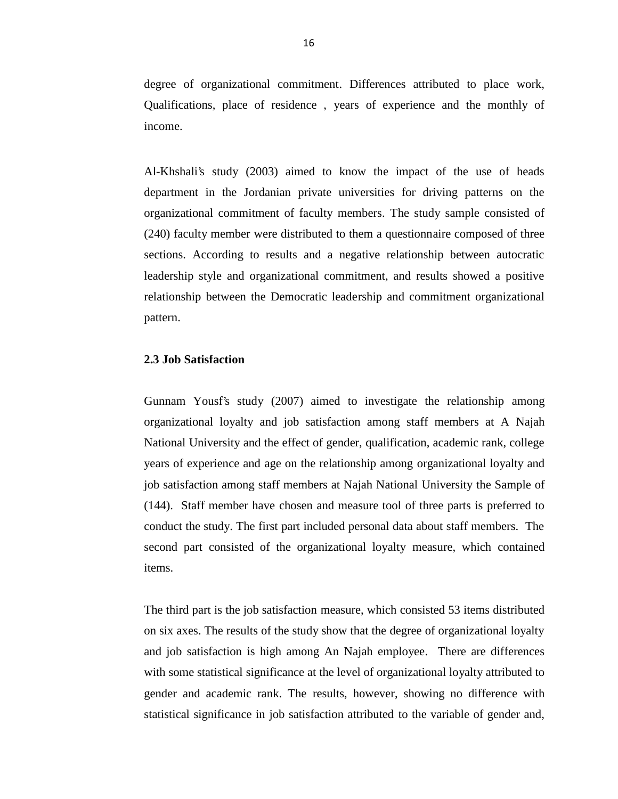degree of organizational commitment. Differences attributed to place work, Qualifications, place of residence , years of experience and the monthly of income.

Al-Khshali's study (2003) aimed to know the impact of the use of heads department in the Jordanian private universities for driving patterns on the organizational commitment of faculty members. The study sample consisted of (240) faculty member were distributed to them a questionnaire composed of three sections. According to results and a negative relationship between autocratic leadership style and organizational commitment, and results showed a positive relationship between the Democratic leadership and commitment organizational pattern.

#### **2.3 Job Satisfaction**

Gunnam Yousf's study (2007) aimed to investigate the relationship among organizational loyalty and job satisfaction among staff members at A Najah National University and the effect of gender, qualification, academic rank, college years of experience and age on the relationship among organizational loyalty and job satisfaction among staff members at Najah National University the Sample of (144). Staff member have chosen and measure tool of three parts is preferred to conduct the study. The first part included personal data about staff members. The second part consisted of the organizational loyalty measure, which contained items.

The third part is the job satisfaction measure, which consisted 53 items distributed on six axes. The results of the study show that the degree of organizational loyalty and job satisfaction is high among An Najah employee. There are differences with some statistical significance at the level of organizational loyalty attributed to gender and academic rank. The results, however, showing no difference with statistical significance in job satisfaction attributed to the variable of gender and,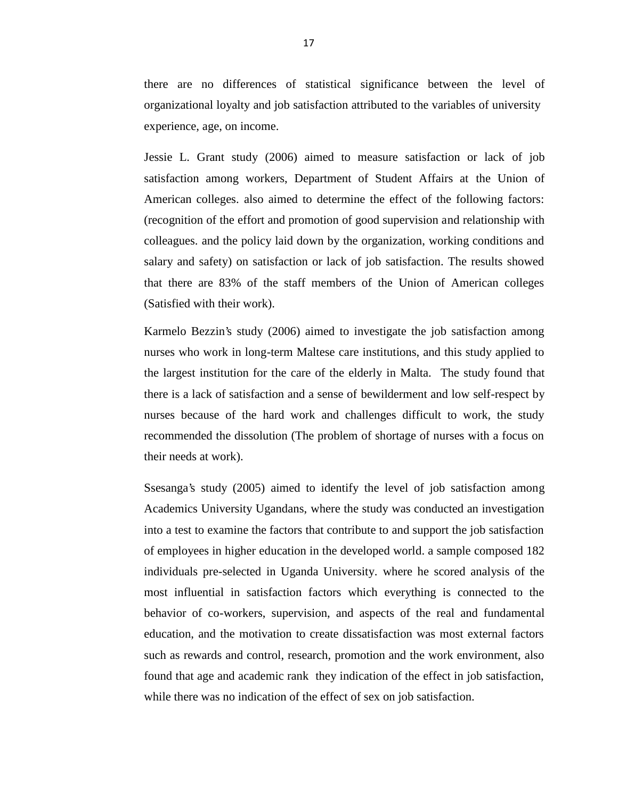there are no differences of statistical significance between the level of organizational loyalty and job satisfaction attributed to the variables of university experience, age, on income.

Jessie L. Grant study (2006) aimed to measure satisfaction or lack of job satisfaction among workers, Department of Student Affairs at the Union of American colleges. also aimed to determine the effect of the following factors: (recognition of the effort and promotion of good supervision and relationship with colleagues. and the policy laid down by the organization, working conditions and salary and safety) on satisfaction or lack of job satisfaction. The results showed that there are 83% of the staff members of the Union of American colleges (Satisfied with their work).

Karmelo Bezzin's study (2006) aimed to investigate the job satisfaction among nurses who work in long-term Maltese care institutions, and this study applied to the largest institution for the care of the elderly in Malta. The study found that there is a lack of satisfaction and a sense of bewilderment and low self-respect by nurses because of the hard work and challenges difficult to work, the study recommended the dissolution (The problem of shortage of nurses with a focus on their needs at work).

Ssesanga's study (2005) aimed to identify the level of job satisfaction among Academics University Ugandans, where the study was conducted an investigation into a test to examine the factors that contribute to and support the job satisfaction of employees in higher education in the developed world. a sample composed 182 individuals pre-selected in Uganda University. where he scored analysis of the most influential in satisfaction factors which everything is connected to the behavior of co-workers, supervision, and aspects of the real and fundamental education, and the motivation to create dissatisfaction was most external factors such as rewards and control, research, promotion and the work environment, also found that age and academic rank they indication of the effect in job satisfaction, while there was no indication of the effect of sex on job satisfaction.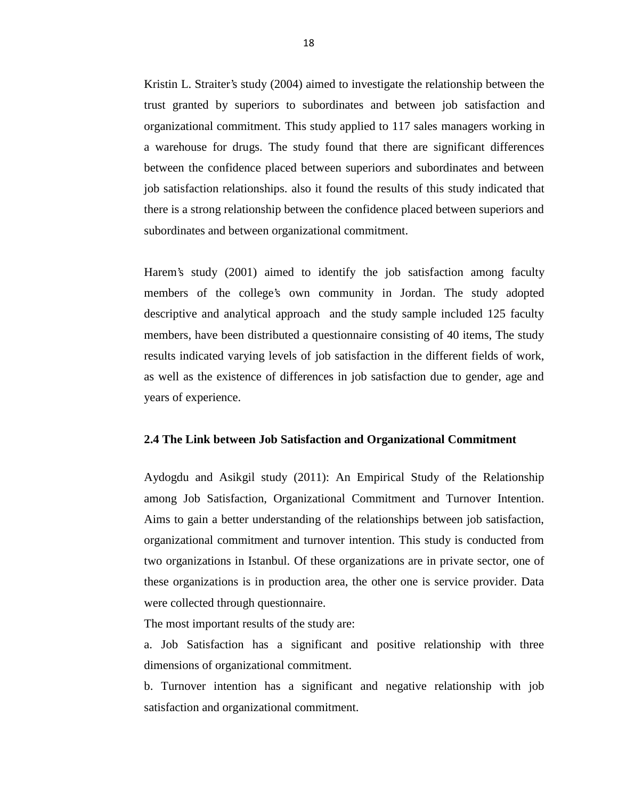Kristin L. Straiter's study (2004) aimed to investigate the relationship between the trust granted by superiors to subordinates and between job satisfaction and organizational commitment. This study applied to 117 sales managers working in a warehouse for drugs. The study found that there are significant differences between the confidence placed between superiors and subordinates and between job satisfaction relationships. also it found the results of this study indicated that there is a strong relationship between the confidence placed between superiors and subordinates and between organizational commitment.

Harem's study (2001) aimed to identify the job satisfaction among faculty members of the college's own community in Jordan. The study adopted descriptive and analytical approach and the study sample included 125 faculty members, have been distributed a questionnaire consisting of 40 items, The study results indicated varying levels of job satisfaction in the different fields of work, as well as the existence of differences in job satisfaction due to gender, age and years of experience.

#### **2.4 The Link between Job Satisfaction and Organizational Commitment**

Aydogdu and Asikgil study (2011): An Empirical Study of the Relationship among Job Satisfaction, Organizational Commitment and Turnover Intention. Aims to gain a better understanding of the relationships between job satisfaction, organizational commitment and turnover intention. This study is conducted from two organizations in Istanbul. Of these organizations are in private sector, one of these organizations is in production area, the other one is service provider. Data were collected through questionnaire.

The most important results of the study are:

a. Job Satisfaction has a significant and positive relationship with three dimensions of organizational commitment.

b. Turnover intention has a significant and negative relationship with job satisfaction and organizational commitment.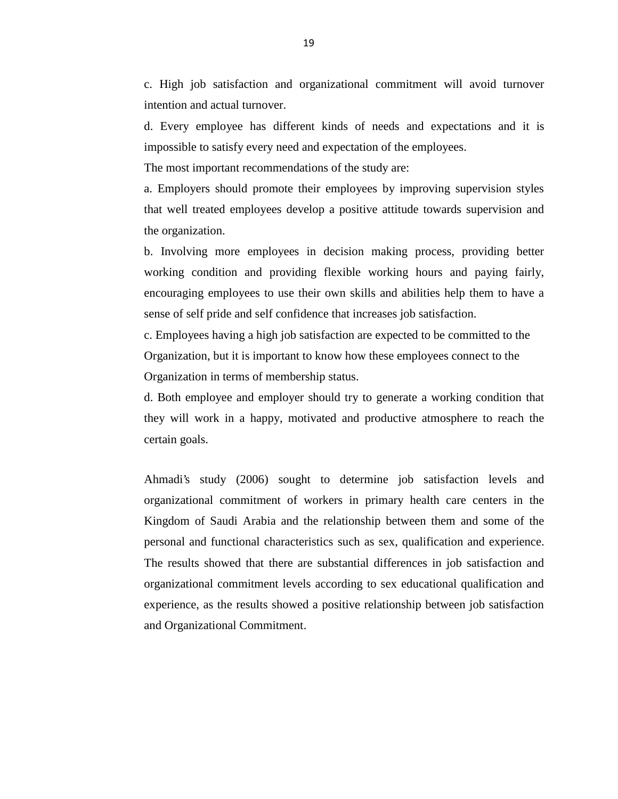c. High job satisfaction and organizational commitment will avoid turnover intention and actual turnover.

d. Every employee has different kinds of needs and expectations and it is impossible to satisfy every need and expectation of the employees.

The most important recommendations of the study are:

a. Employers should promote their employees by improving supervision styles that well treated employees develop a positive attitude towards supervision and the organization.

b. Involving more employees in decision making process, providing better working condition and providing flexible working hours and paying fairly, encouraging employees to use their own skills and abilities help them to have a sense of self pride and self confidence that increases job satisfaction.

c. Employees having a high job satisfaction are expected to be committed to the Organization, but it is important to know how these employees connect to the Organization in terms of membership status.

d. Both employee and employer should try to generate a working condition that they will work in a happy, motivated and productive atmosphere to reach the certain goals.

Ahmadi's study (2006) sought to determine job satisfaction levels and organizational commitment of workers in primary health care centers in the Kingdom of Saudi Arabia and the relationship between them and some of the personal and functional characteristics such as sex, qualification and experience. The results showed that there are substantial differences in job satisfaction and organizational commitment levels according to sex educational qualification and experience, as the results showed a positive relationship between job satisfaction and Organizational Commitment.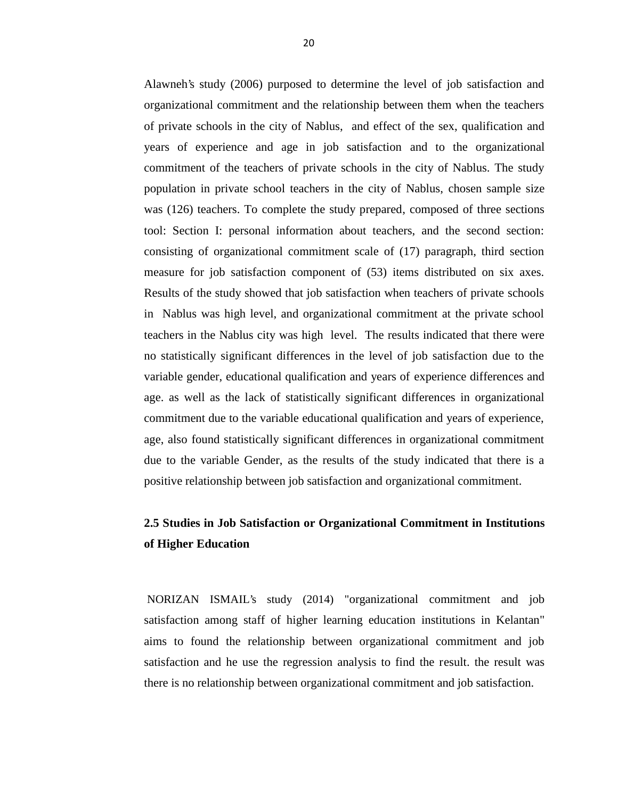Alawneh's study (2006) purposed to determine the level of job satisfaction and organizational commitment and the relationship between them when the teachers of private schools in the city of Nablus, and effect of the sex, qualification and years of experience and age in job satisfaction and to the organizational commitment of the teachers of private schools in the city of Nablus. The study population in private school teachers in the city of Nablus, chosen sample size was (126) teachers. To complete the study prepared, composed of three sections tool: Section I: personal information about teachers, and the second section: consisting of organizational commitment scale of (17) paragraph, third section measure for job satisfaction component of (53) items distributed on six axes. Results of the study showed that job satisfaction when teachers of private schools in Nablus was high level, and organizational commitment at the private school teachers in the Nablus city was high level. The results indicated that there were no statistically significant differences in the level of job satisfaction due to the variable gender, educational qualification and years of experience differences and age. as well as the lack of statistically significant differences in organizational commitment due to the variable educational qualification and years of experience, age, also found statistically significant differences in organizational commitment due to the variable Gender, as the results of the study indicated that there is a positive relationship between job satisfaction and organizational commitment.

# **2.5 Studies in Job Satisfaction or Organizational Commitment in Institutions of Higher Education**

NORIZAN ISMAIL's study (2014) "organizational commitment and job satisfaction among staff of higher learning education institutions in Kelantan" aims to found the relationship between organizational commitment and job satisfaction and he use the regression analysis to find the result. the result was there is no relationship between organizational commitment and job satisfaction.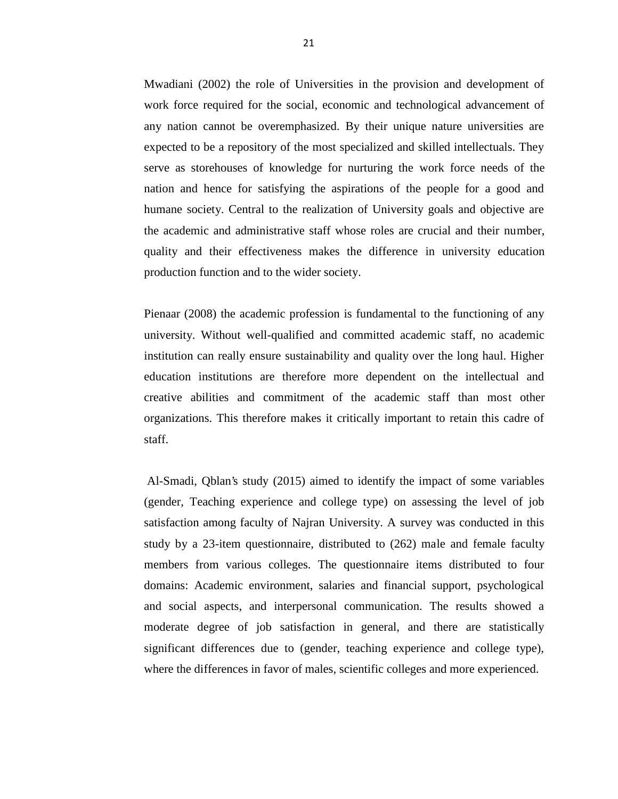Mwadiani (2002) the role of Universities in the provision and development of work force required for the social, economic and technological advancement of any nation cannot be overemphasized. By their unique nature universities are expected to be a repository of the most specialized and skilled intellectuals. They serve as storehouses of knowledge for nurturing the work force needs of the nation and hence for satisfying the aspirations of the people for a good and humane society. Central to the realization of University goals and objective are the academic and administrative staff whose roles are crucial and their number, quality and their effectiveness makes the difference in university education production function and to the wider society.

Pienaar (2008) the academic profession is fundamental to the functioning of any university. Without well-qualified and committed academic staff, no academic institution can really ensure sustainability and quality over the long haul. Higher education institutions are therefore more dependent on the intellectual and creative abilities and commitment of the academic staff than most other organizations. This therefore makes it critically important to retain this cadre of staff.

Al-Smadi, Qblan's study (2015) aimed to identify the impact of some variables (gender, Teaching experience and college type) on assessing the level of job satisfaction among faculty of Najran University. A survey was conducted in this study by a 23-item questionnaire, distributed to (262) male and female faculty members from various colleges. The questionnaire items distributed to four domains: Academic environment, salaries and financial support, psychological and social aspects, and interpersonal communication. The results showed a moderate degree of job satisfaction in general, and there are statistically significant differences due to (gender, teaching experience and college type), where the differences in favor of males, scientific colleges and more experienced.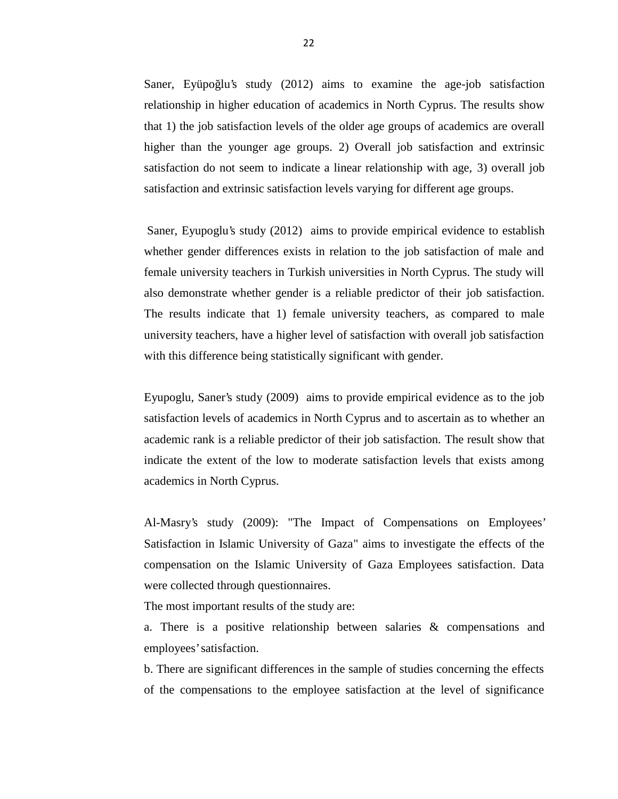Saner, Eyüpo lu's study  $(2012)$  aims to examine the age-job satisfaction relationship in higher education of academics in North Cyprus. The results show that 1) the job satisfaction levels of the older age groups of academics are overall higher than the younger age groups. 2) Overall job satisfaction and extrinsic satisfaction do not seem to indicate a linear relationship with age, 3) overall job satisfaction and extrinsic satisfaction levels varying for different age groups.

Saner, Eyupoglu's study (2012) aims to provide empirical evidence to establish whether gender differences exists in relation to the job satisfaction of male and female university teachers in Turkish universities in North Cyprus. The study will also demonstrate whether gender is a reliable predictor of their job satisfaction. The results indicate that 1) female university teachers, as compared to male university teachers, have a higher level of satisfaction with overall job satisfaction with this difference being statistically significant with gender.

Eyupoglu, Saner's study (2009) aims to provide empirical evidence as to the job satisfaction levels of academics in North Cyprus and to ascertain as to whether an academic rank is a reliable predictor of their job satisfaction. The result show that indicate the extent of the low to moderate satisfaction levels that exists among academics in North Cyprus.

Al-Masry's study (2009): "The Impact of Compensations on Employees' Satisfaction in Islamic University of Gaza" aims to investigate the effects of the compensation on the Islamic University of Gaza Employees satisfaction. Data were collected through questionnaires.

The most important results of the study are:

a. There is a positive relationship between salaries & compensations and employees' satisfaction.

b. There are significant differences in the sample of studies concerning the effects of the compensations to the employee satisfaction at the level of significance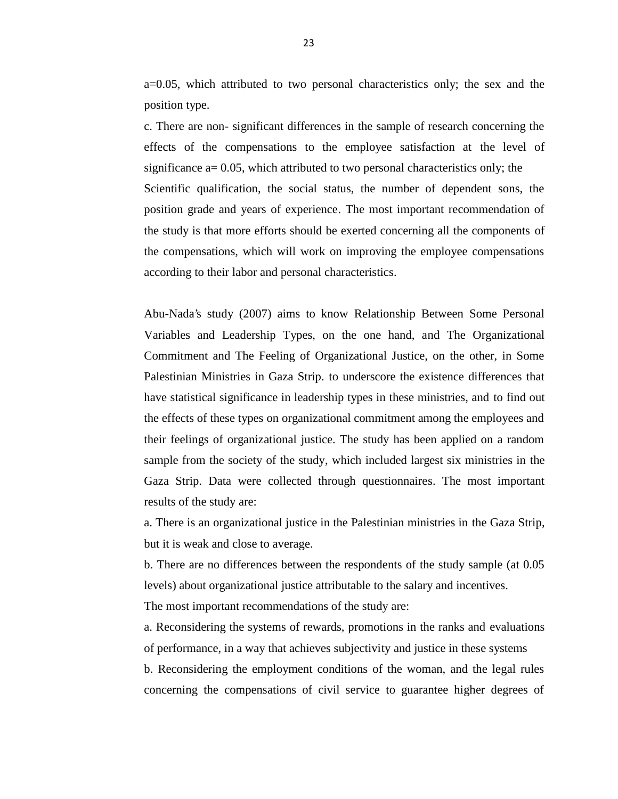a=0.05, which attributed to two personal characteristics only; the sex and the position type.

c. There are non- significant differences in the sample of research concerning the effects of the compensations to the employee satisfaction at the level of significance  $a = 0.05$ , which attributed to two personal characteristics only; the Scientific qualification, the social status, the number of dependent sons, the position grade and years of experience. The most important recommendation of the study is that more efforts should be exerted concerning all the components of the compensations, which will work on improving the employee compensations according to their labor and personal characteristics.

Abu-Nada's study (2007) aims to know Relationship Between Some Personal Variables and Leadership Types, on the one hand, and The Organizational Commitment and The Feeling of Organizational Justice, on the other, in Some Palestinian Ministries in Gaza Strip. to underscore the existence differences that have statistical significance in leadership types in these ministries, and to find out the effects of these types on organizational commitment among the employees and their feelings of organizational justice. The study has been applied on a random sample from the society of the study, which included largest six ministries in the Gaza Strip. Data were collected through questionnaires. The most important results of the study are:

a. There is an organizational justice in the Palestinian ministries in the Gaza Strip, but it is weak and close to average.

b. There are no differences between the respondents of the study sample (at 0.05 levels) about organizational justice attributable to the salary and incentives.

The most important recommendations of the study are:

a. Reconsidering the systems of rewards, promotions in the ranks and evaluations of performance, in a way that achieves subjectivity and justice in these systems

b. Reconsidering the employment conditions of the woman, and the legal rules concerning the compensations of civil service to guarantee higher degrees of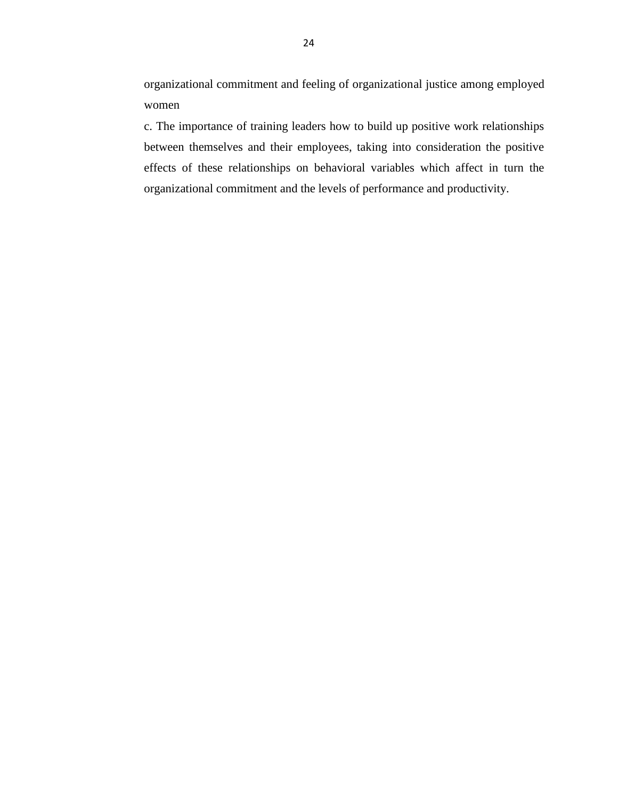organizational commitment and feeling of organizational justice among employed women

c. The importance of training leaders how to build up positive work relationships between themselves and their employees, taking into consideration the positive effects of these relationships on behavioral variables which affect in turn the organizational commitment and the levels of performance and productivity.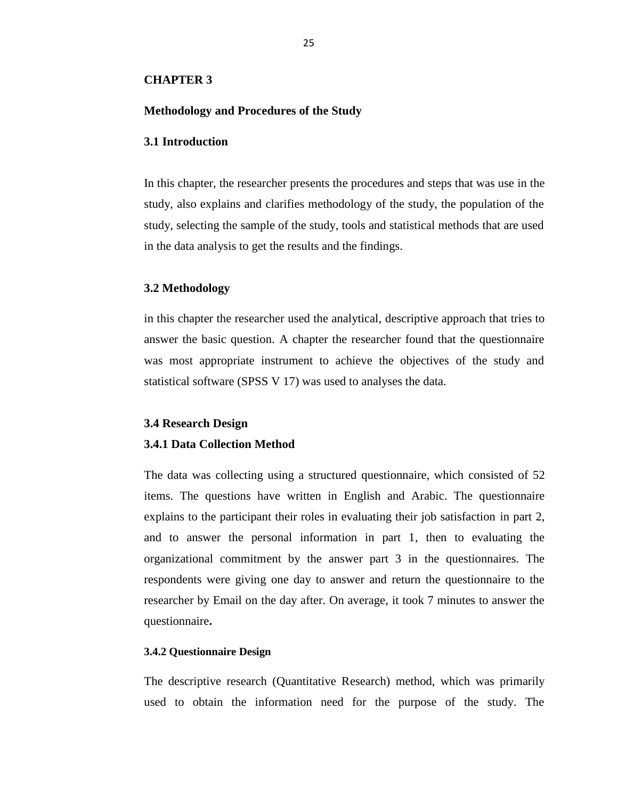#### **CHAPTER 3**

### **Methodology and Procedures of the Study**

#### **3.1 Introduction**

In this chapter, the researcher presents the procedures and steps that was use in the study, also explains and clarifies methodology of the study, the population of the study, selecting the sample of the study, tools and statistical methods that are used in the data analysis to get the results and the findings.

### **3.2 Methodology**

in this chapter the researcher used the analytical, descriptive approach that tries to answer the basic question. A chapter the researcher found that the questionnaire was most appropriate instrument to achieve the objectives of the study and statistical software (SPSS V 17) was used to analyses the data.

#### **3.4 Research Design**

#### **3.4.1 Data Collection Method**

The data was collecting using a structured questionnaire, which consisted of 52 items. The questions have written in English and Arabic. The questionnaire explains to the participant their roles in evaluating their job satisfaction in part 2, and to answer the personal information in part 1, then to evaluating the organizational commitment by the answer part 3 in the questionnaires. The respondents were giving one day to answer and return the questionnaire to the researcher by Email on the day after. On average, it took 7 minutes to answer the questionnaire**.**

#### **3.4.2 Questionnaire Design**

The descriptive research (Quantitative Research) method, which was primarily used to obtain the information need for the purpose of the study. The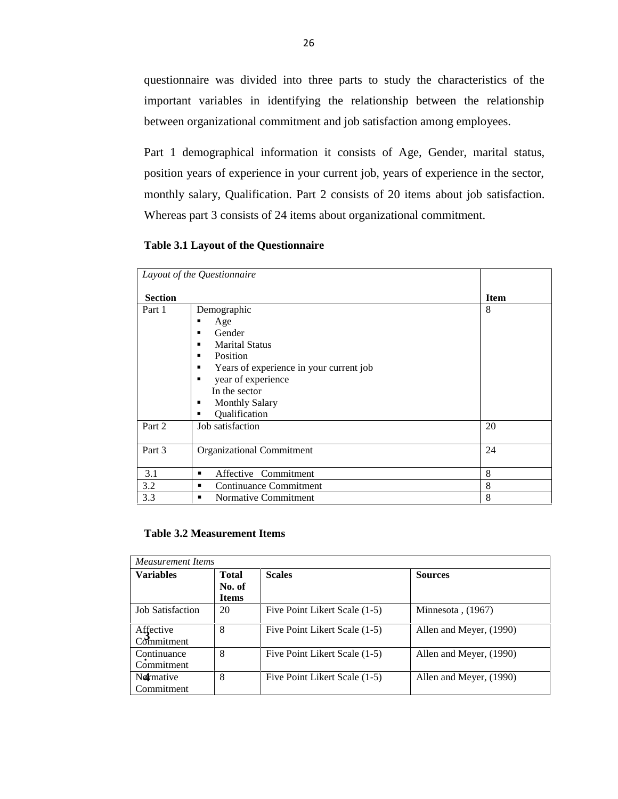questionnaire was divided into three parts to study the characteristics of the important variables in identifying the relationship between the relationship between organizational commitment and job satisfaction among employees.

Part 1 demographical information it consists of Age, Gender, marital status, position years of experience in your current job, years of experience in the sector, monthly salary, Qualification. Part 2 consists of 20 items about job satisfaction. Whereas part 3 consists of 24 items about organizational commitment.

**Table 3.1 Layout of the Questionnaire**

|                | Layout of the Questionnaire                                                                                                                                                                                       |             |
|----------------|-------------------------------------------------------------------------------------------------------------------------------------------------------------------------------------------------------------------|-------------|
| <b>Section</b> |                                                                                                                                                                                                                   | <b>Item</b> |
| Part 1         | Demographic<br>Age<br>Gender<br>٠<br><b>Marital Status</b><br>٠<br>Position<br>٠<br>Years of experience in your current job<br>year of experience<br>In the sector<br><b>Monthly Salary</b><br>٠<br>Qualification | 8           |
| Part 2         | Job satisfaction                                                                                                                                                                                                  | 20          |
| Part 3         | <b>Organizational Commitment</b>                                                                                                                                                                                  | 24          |
| 3.1            | Affective Commitment<br>٠                                                                                                                                                                                         | 8           |
| 3.2            | Continuance Commitment                                                                                                                                                                                            | 8           |
| 3.3            | Normative Commitment<br>٠                                                                                                                                                                                         | 8           |

#### **Table 3.2 Measurement Items**

| <b>Measurement Items</b>  |                                 |                               |                         |  |  |  |
|---------------------------|---------------------------------|-------------------------------|-------------------------|--|--|--|
| <b>Variables</b>          | Total<br>No. of<br><b>Items</b> | <b>Scales</b>                 | <b>Sources</b>          |  |  |  |
| <b>Job Satisfaction</b>   | 20                              | Five Point Likert Scale (1-5) | Minnesota, $(1967)$     |  |  |  |
| Affective<br>Commitment   | 8                               | Five Point Likert Scale (1-5) | Allen and Meyer, (1990) |  |  |  |
| Continuance<br>Commitment | 8                               | Five Point Likert Scale (1-5) | Allen and Meyer, (1990) |  |  |  |
| Normative<br>Commitment   | 8                               | Five Point Likert Scale (1-5) | Allen and Meyer, (1990) |  |  |  |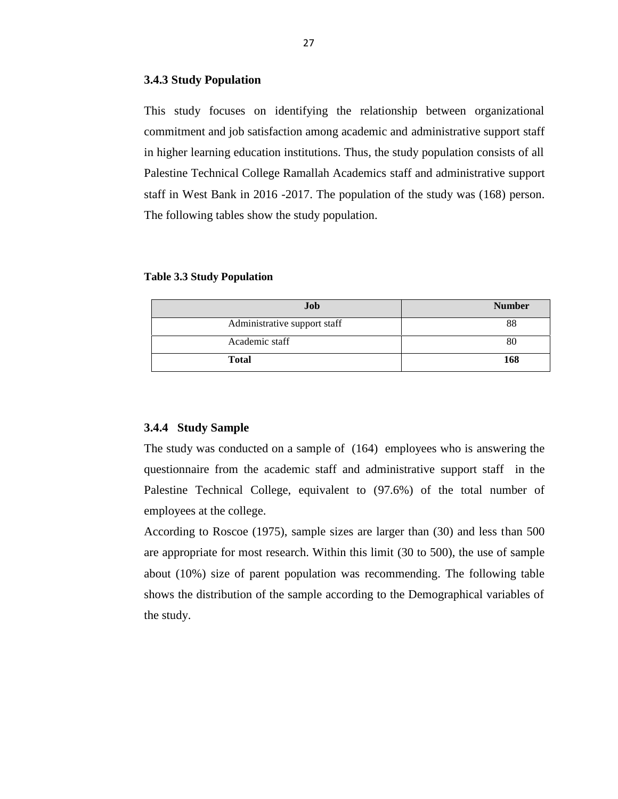#### **3.4.3 Study Population**

This study focuses on identifying the relationship between organizational commitment and job satisfaction among academic and administrative support staff in higher learning education institutions. Thus, the study population consists of all Palestine Technical College Ramallah Academics staff and administrative support staff in West Bank in 2016 -2017. The population of the study was (168) person. The following tables show the study population.

#### **Table 3.3 Study Population**

| Job                          | <b>Number</b> |
|------------------------------|---------------|
| Administrative support staff | 88            |
| Academic staff               | 80            |
| Total                        | 168           |

## **3.4.4 Study Sample**

The study was conducted on a sample of (164) employees who is answering the questionnaire from the academic staff and administrative support staff in the Palestine Technical College, equivalent to (97.6%) of the total number of employees at the college.

According to Roscoe (1975), sample sizes are larger than (30) and less than 500 are appropriate for most research. Within this limit (30 to 500), the use of sample about (10%) size of parent population was recommending. The following table shows the distribution of the sample according to the Demographical variables of the study.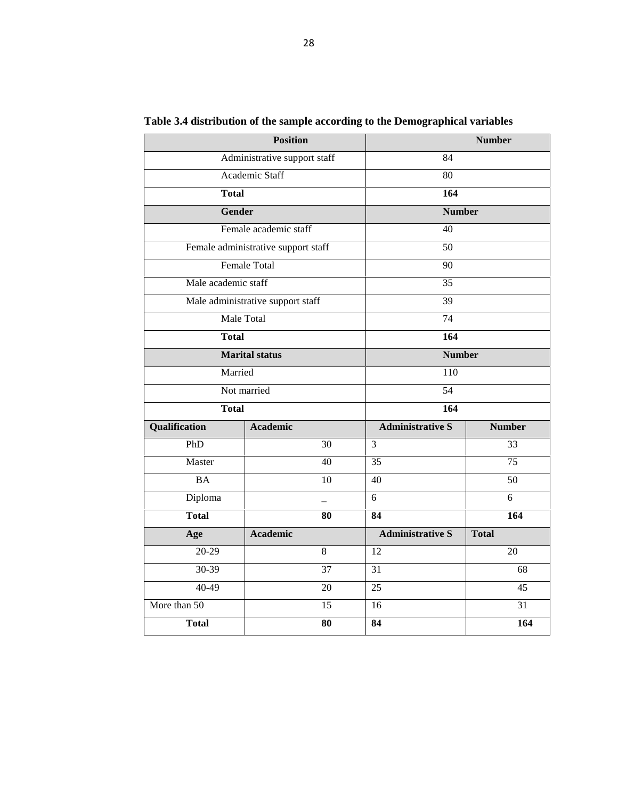|                     | <b>Position</b>                     |                         | <b>Number</b> |  |  |  |
|---------------------|-------------------------------------|-------------------------|---------------|--|--|--|
|                     | Administrative support staff        | 84                      |               |  |  |  |
|                     | Academic Staff                      | 80                      |               |  |  |  |
| <b>Total</b>        |                                     | 164                     |               |  |  |  |
|                     | <b>Gender</b>                       | <b>Number</b>           |               |  |  |  |
|                     | Female academic staff               | 40                      |               |  |  |  |
|                     | Female administrative support staff | 50                      |               |  |  |  |
|                     | <b>Female Total</b>                 | 90                      |               |  |  |  |
| Male academic staff |                                     | 35                      |               |  |  |  |
|                     | Male administrative support staff   | 39                      |               |  |  |  |
|                     | Male Total                          | 74                      |               |  |  |  |
| <b>Total</b>        |                                     | 164                     |               |  |  |  |
|                     | <b>Marital status</b>               | <b>Number</b>           |               |  |  |  |
|                     | Married                             | 110                     |               |  |  |  |
|                     | Not married                         | 54                      |               |  |  |  |
| <b>Total</b>        |                                     | 164                     |               |  |  |  |
| Qualification       | <b>Academic</b>                     | <b>Administrative S</b> | <b>Number</b> |  |  |  |
| PhD                 | 30                                  | 3                       | 33            |  |  |  |
| Master              | 40                                  | $\overline{35}$         | 75            |  |  |  |
| <b>BA</b>           | 10                                  | 40                      | 50            |  |  |  |
| Diploma             |                                     | 6                       | 6             |  |  |  |
| <b>Total</b>        | 80                                  | 84                      | 164           |  |  |  |
| Age                 | <b>Academic</b>                     | <b>Administrative S</b> | <b>Total</b>  |  |  |  |
| 20-29               | 8                                   | 12                      | 20            |  |  |  |
| 30-39               | 37                                  | 31                      | 68            |  |  |  |
| 40-49               | 20                                  | 25                      | 45            |  |  |  |
| More than 50        | 15                                  | 16                      | 31            |  |  |  |
| <b>Total</b>        | 80                                  | 84                      | 164           |  |  |  |

**Table 3.4 distribution of the sample according to the Demographical variables**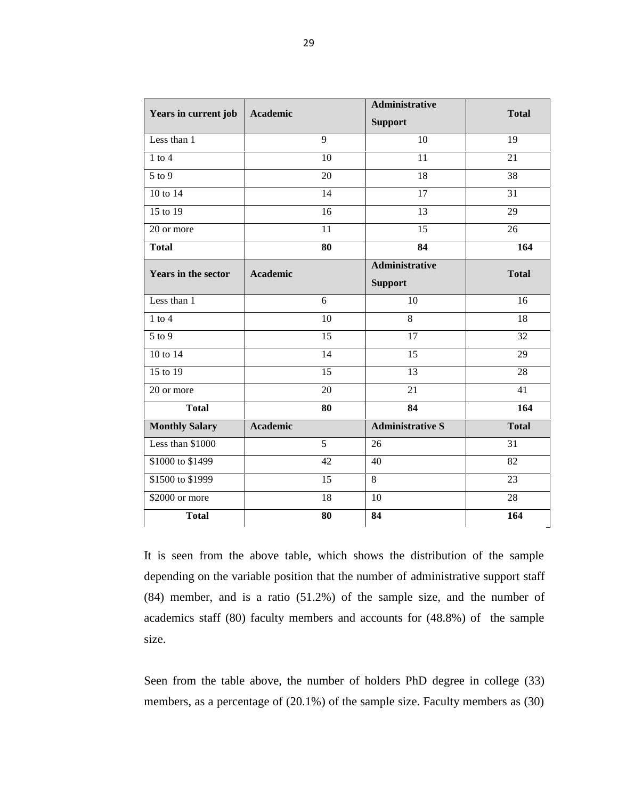| Years in current job       | Academic        | <b>Administrative</b>                   | <b>Total</b> |  |
|----------------------------|-----------------|-----------------------------------------|--------------|--|
|                            |                 | <b>Support</b>                          |              |  |
| Less than 1                | 9               | 10                                      | 19           |  |
| $1$ to $4$                 | 10              | 11                                      | 21           |  |
| 5 to 9                     | 20              | 18                                      | 38           |  |
| 10 to 14                   | 14              | 17                                      | 31           |  |
| 15 to 19                   | 16              | 13                                      | 29           |  |
| 20 or more                 | 11              | 15                                      | 26           |  |
| <b>Total</b>               | 80              | 84                                      | 164          |  |
| <b>Years in the sector</b> | <b>Academic</b> | <b>Administrative</b><br><b>Support</b> | <b>Total</b> |  |
| Less than 1                | 6               | 10                                      | 16           |  |
| $1$ to $4$                 | 10              | 8                                       | 18           |  |
| $\overline{5}$ to 9        | 15              | 17                                      | 32           |  |
| 10 to 14                   | 14              | 15                                      | 29           |  |
| 15 to 19                   | 15              | 13                                      | 28           |  |
| 20 or more                 | 20              | 21                                      | 41           |  |
| <b>Total</b>               | 80              | 84                                      | 164          |  |
| <b>Monthly Salary</b>      | <b>Academic</b> | <b>Administrative S</b>                 | <b>Total</b> |  |
| Less than \$1000           | 5               | 26                                      | 31           |  |
| \$1000 to \$1499           | 42              | 40                                      | 82           |  |
| \$1500 to \$1999           | 15              | 8                                       | 23           |  |
| \$2000 or more             | 18              | 10                                      | 28           |  |
| <b>Total</b>               | 80              | 84                                      | 164          |  |

It is seen from the above table, which shows the distribution of the sample depending on the variable position that the number of administrative support staff (84) member, and is a ratio (51.2%) of the sample size, and the number of academics staff (80) faculty members and accounts for (48.8%) of the sample size.

Seen from the table above, the number of holders PhD degree in college (33) members, as a percentage of (20.1%) of the sample size. Faculty members as (30)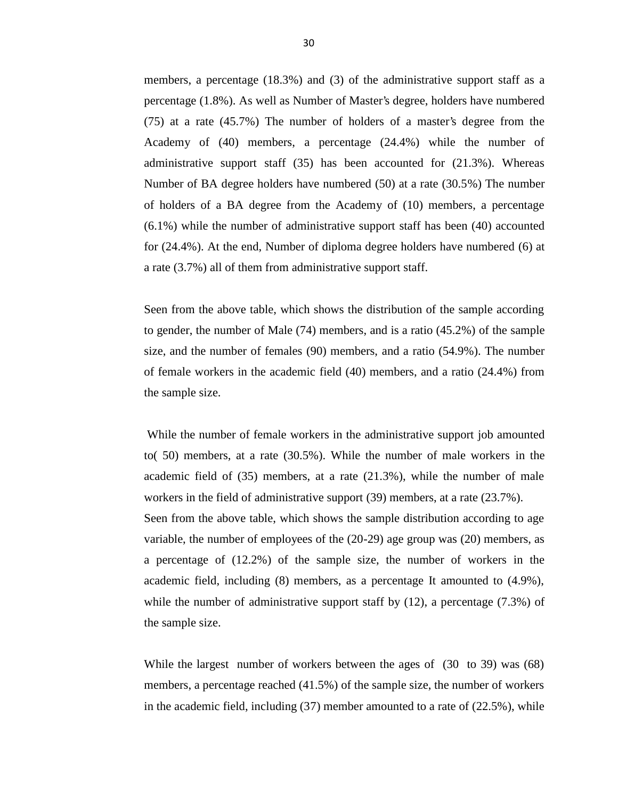members, a percentage (18.3%) and (3) of the administrative support staff as a percentage (1.8%). As well as Number of Master's degree, holders have numbered (75) at a rate (45.7%) The number of holders of a master's degree from the Academy of (40) members, a percentage (24.4%) while the number of administrative support staff (35) has been accounted for (21.3%). Whereas Number of BA degree holders have numbered (50) at a rate (30.5%) The number of holders of a BA degree from the Academy of (10) members, a percentage (6.1%) while the number of administrative support staff has been (40) accounted for (24.4%). At the end, Number of diploma degree holders have numbered (6) at a rate (3.7%) all of them from administrative support staff.

Seen from the above table, which shows the distribution of the sample according to gender, the number of Male (74) members, and is a ratio (45.2%) of the sample size, and the number of females (90) members, and a ratio (54.9%). The number of female workers in the academic field (40) members, and a ratio (24.4%) from the sample size.

While the number of female workers in the administrative support job amounted to( 50) members, at a rate (30.5%). While the number of male workers in the academic field of (35) members, at a rate (21.3%), while the number of male workers in the field of administrative support (39) members, at a rate (23.7%). Seen from the above table, which shows the sample distribution according to age variable, the number of employees of the (20-29) age group was (20) members, as a percentage of (12.2%) of the sample size, the number of workers in the academic field, including (8) members, as a percentage It amounted to (4.9%), while the number of administrative support staff by  $(12)$ , a percentage  $(7.3\%)$  of the sample size.

While the largest number of workers between the ages of (30 to 39) was (68) members, a percentage reached (41.5%) of the sample size, the number of workers in the academic field, including  $(37)$  member amounted to a rate of  $(22.5\%)$ , while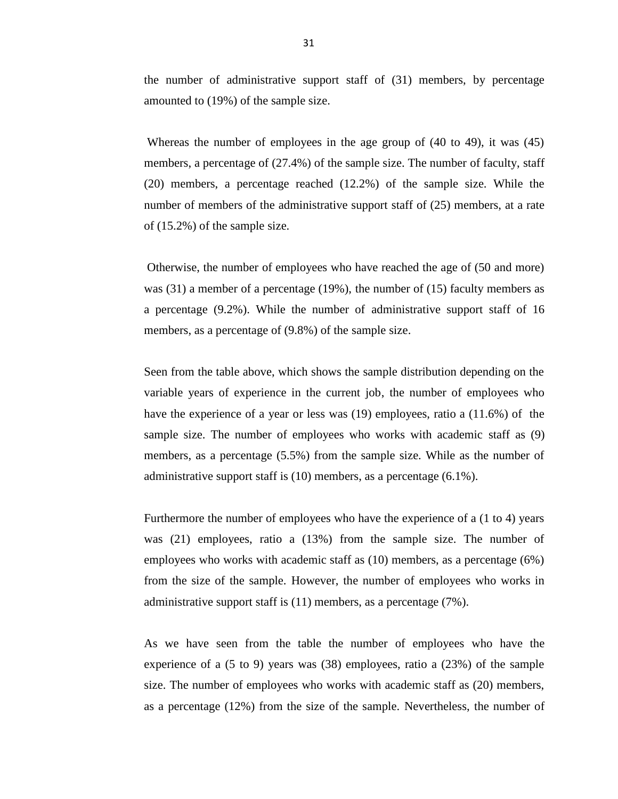the number of administrative support staff of (31) members, by percentage amounted to (19%) of the sample size.

Whereas the number of employees in the age group of (40 to 49), it was (45) members, a percentage of (27.4%) of the sample size. The number of faculty, staff (20) members, a percentage reached (12.2%) of the sample size. While the number of members of the administrative support staff of (25) members, at a rate of (15.2%) of the sample size.

Otherwise, the number of employees who have reached the age of (50 and more) was (31) a member of a percentage (19%), the number of (15) faculty members as a percentage (9.2%). While the number of administrative support staff of 16 members, as a percentage of (9.8%) of the sample size.

Seen from the table above, which shows the sample distribution depending on the variable years of experience in the current job, the number of employees who have the experience of a year or less was (19) employees, ratio a (11.6%) of the sample size. The number of employees who works with academic staff as (9) members, as a percentage (5.5%) from the sample size. While as the number of administrative support staff is (10) members, as a percentage (6.1%).

Furthermore the number of employees who have the experience of a (1 to 4) years was (21) employees, ratio a (13%) from the sample size. The number of employees who works with academic staff as (10) members, as a percentage (6%) from the size of the sample. However, the number of employees who works in administrative support staff is (11) members, as a percentage (7%).

As we have seen from the table the number of employees who have the experience of a (5 to 9) years was (38) employees, ratio a (23%) of the sample size. The number of employees who works with academic staff as (20) members, as a percentage (12%) from the size of the sample. Nevertheless, the number of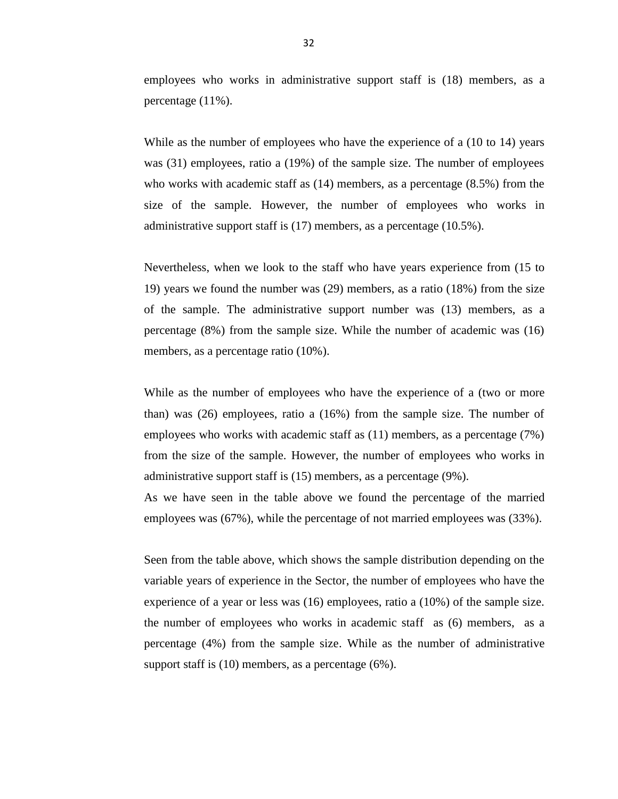employees who works in administrative support staff is (18) members, as a percentage (11%).

While as the number of employees who have the experience of a  $(10 \text{ to } 14)$  years was (31) employees, ratio a (19%) of the sample size. The number of employees who works with academic staff as (14) members, as a percentage (8.5%) from the size of the sample. However, the number of employees who works in administrative support staff is (17) members, as a percentage (10.5%).

Nevertheless, when we look to the staff who have years experience from (15 to 19) years we found the number was (29) members, as a ratio (18%) from the size of the sample. The administrative support number was (13) members, as a percentage (8%) from the sample size. While the number of academic was (16) members, as a percentage ratio (10%).

While as the number of employees who have the experience of a (two or more than) was (26) employees, ratio a (16%) from the sample size. The number of employees who works with academic staff as (11) members, as a percentage (7%) from the size of the sample. However, the number of employees who works in administrative support staff is (15) members, as a percentage (9%).

As we have seen in the table above we found the percentage of the married employees was (67%), while the percentage of not married employees was (33%).

Seen from the table above, which shows the sample distribution depending on the variable years of experience in the Sector, the number of employees who have the experience of a year or less was (16) employees, ratio a (10%) of the sample size. the number of employees who works in academic staff as (6) members, as a percentage (4%) from the sample size. While as the number of administrative support staff is (10) members, as a percentage (6%).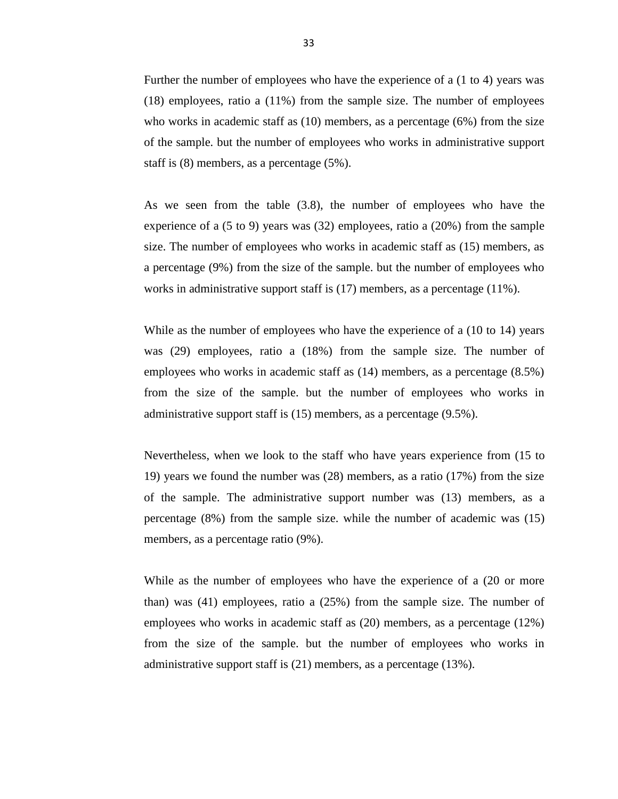Further the number of employees who have the experience of a (1 to 4) years was (18) employees, ratio a (11%) from the sample size. The number of employees who works in academic staff as (10) members, as a percentage (6%) from the size of the sample. but the number of employees who works in administrative support staff is (8) members, as a percentage (5%).

As we seen from the table (3.8), the number of employees who have the experience of a (5 to 9) years was (32) employees, ratio a (20%) from the sample size. The number of employees who works in academic staff as (15) members, as a percentage (9%) from the size of the sample. but the number of employees who works in administrative support staff is (17) members, as a percentage (11%).

While as the number of employees who have the experience of a (10 to 14) years was (29) employees, ratio a (18%) from the sample size. The number of employees who works in academic staff as (14) members, as a percentage (8.5%) from the size of the sample. but the number of employees who works in administrative support staff is (15) members, as a percentage (9.5%).

Nevertheless, when we look to the staff who have years experience from (15 to 19) years we found the number was (28) members, as a ratio (17%) from the size of the sample. The administrative support number was (13) members, as a percentage (8%) from the sample size. while the number of academic was (15) members, as a percentage ratio (9%).

While as the number of employees who have the experience of a (20 or more than) was (41) employees, ratio a (25%) from the sample size. The number of employees who works in academic staff as (20) members, as a percentage (12%) from the size of the sample. but the number of employees who works in administrative support staff is (21) members, as a percentage (13%).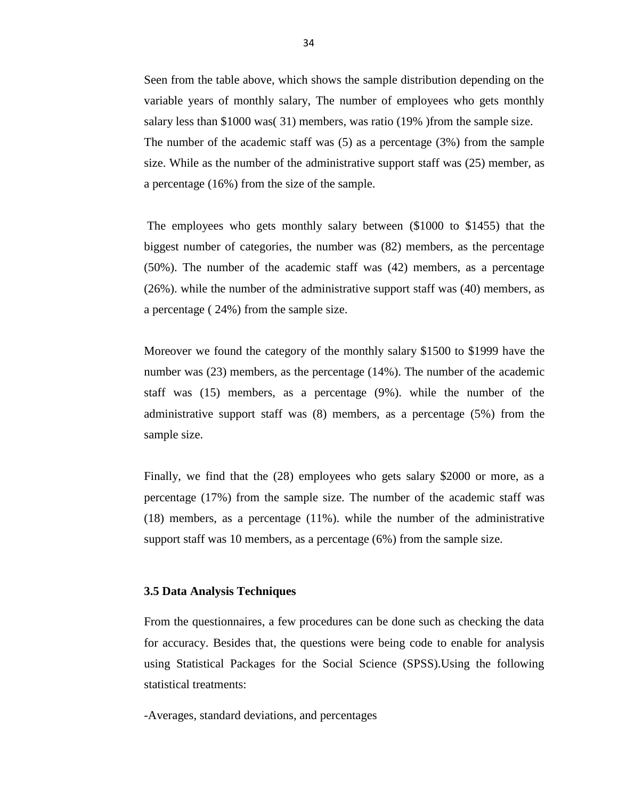Seen from the table above, which shows the sample distribution depending on the variable years of monthly salary, The number of employees who gets monthly salary less than \$1000 was( 31) members, was ratio (19% )from the sample size. The number of the academic staff was (5) as a percentage (3%) from the sample size. While as the number of the administrative support staff was (25) member, as a percentage (16%) from the size of the sample.

The employees who gets monthly salary between (\$1000 to \$1455) that the biggest number of categories, the number was (82) members, as the percentage (50%). The number of the academic staff was (42) members, as a percentage (26%). while the number of the administrative support staff was (40) members, as a percentage ( 24%) from the sample size.

Moreover we found the category of the monthly salary \$1500 to \$1999 have the number was (23) members, as the percentage (14%). The number of the academic staff was (15) members, as a percentage (9%). while the number of the administrative support staff was (8) members, as a percentage (5%) from the sample size.

Finally, we find that the (28) employees who gets salary \$2000 or more, as a percentage (17%) from the sample size. The number of the academic staff was (18) members, as a percentage (11%). while the number of the administrative support staff was 10 members, as a percentage (6%) from the sample size.

#### **3.5 Data Analysis Techniques**

From the questionnaires, a few procedures can be done such as checking the data for accuracy. Besides that, the questions were being code to enable for analysis using Statistical Packages for the Social Science (SPSS).Using the following statistical treatments:

-Averages, standard deviations, and percentages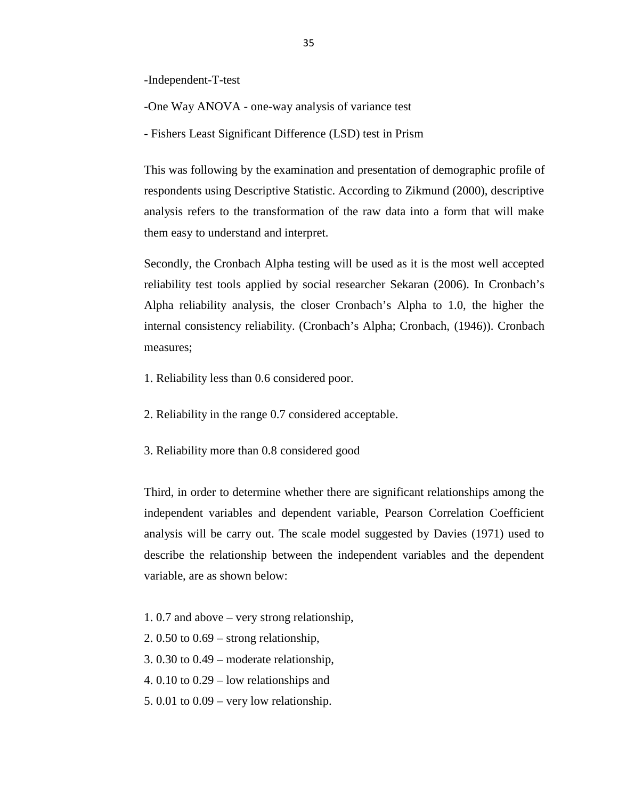-Independent-T-test

-One Way ANOVA - one-way analysis of variance test

- Fishers Least Significant Difference (LSD) test in Prism

This was following by the examination and presentation of demographic profile of respondents using Descriptive Statistic. According to Zikmund (2000), descriptive analysis refers to the transformation of the raw data into a form that will make them easy to understand and interpret.

Secondly, the Cronbach Alpha testing will be used as it is the most well accepted reliability test tools applied by social researcher Sekaran (2006). In Cronbach's Alpha reliability analysis, the closer Cronbach's Alpha to 1.0, the higher the internal consistency reliability. (Cronbach's Alpha; Cronbach, (1946)). Cronbach measures;

- 1. Reliability less than 0.6 considered poor.
- 2. Reliability in the range 0.7 considered acceptable.
- 3. Reliability more than 0.8 considered good

Third, in order to determine whether there are significant relationships among the independent variables and dependent variable, Pearson Correlation Coefficient analysis will be carry out. The scale model suggested by Davies (1971) used to describe the relationship between the independent variables and the dependent variable, are as shown below:

- 1. 0.7 and above very strong relationship,
- 2. 0.50 to 0.69 strong relationship,
- 3. 0.30 to 0.49 moderate relationship,
- 4. 0.10 to 0.29 low relationships and
- 5. 0.01 to 0.09 very low relationship.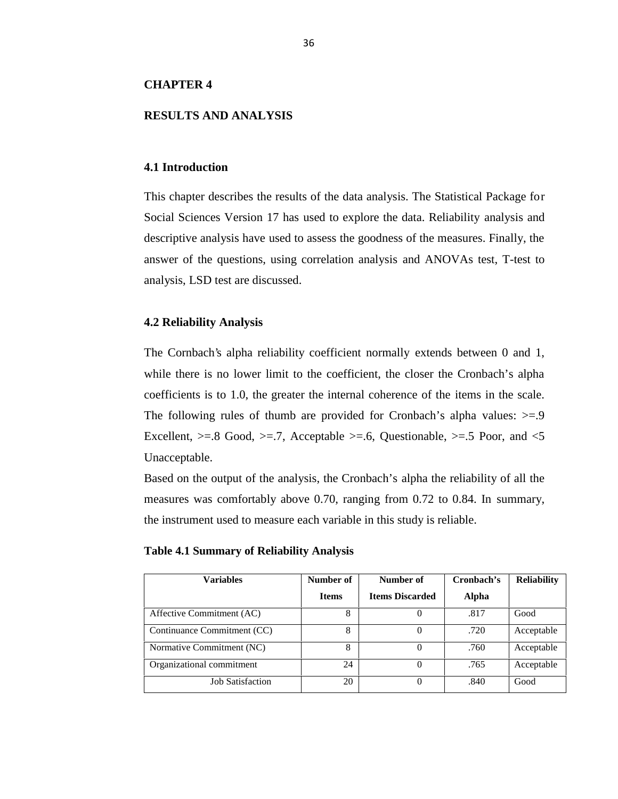## **CHAPTER 4**

### **RESULTS AND ANALYSIS**

#### **4.1 Introduction**

This chapter describes the results of the data analysis. The Statistical Package for Social Sciences Version 17 has used to explore the data. Reliability analysis and descriptive analysis have used to assess the goodness of the measures. Finally, the answer of the questions, using correlation analysis and ANOVAs test, T-test to analysis, LSD test are discussed.

## **4.2 Reliability Analysis**

The Cornbach's alpha reliability coefficient normally extends between 0 and 1, while there is no lower limit to the coefficient, the closer the Cronbach's alpha coefficients is to 1.0, the greater the internal coherence of the items in the scale. The following rules of thumb are provided for Cronbach's alpha values:  $>= 9$ Excellent,  $>= 0.8$  Good,  $>= 0.7$ , Acceptable  $>= 0.6$ , Questionable,  $>= 0.5$  Poor, and  $< 5$ Unacceptable.

Based on the output of the analysis, the Cronbach's alpha the reliability of all the measures was comfortably above 0.70, ranging from 0.72 to 0.84. In summary, the instrument used to measure each variable in this study is reliable.

**Table 4.1 Summary of Reliability Analysis**

| <b>Variables</b>            | Number of    | Number of              |       | <b>Reliability</b> |
|-----------------------------|--------------|------------------------|-------|--------------------|
|                             | <b>Items</b> | <b>Items Discarded</b> | Alpha |                    |
| Affective Commitment (AC)   | 8            |                        | .817  | Good               |
| Continuance Commitment (CC) | 8            |                        | .720  | Acceptable         |
| Normative Commitment (NC)   | 8            | 0                      | .760  | Acceptable         |
| Organizational commitment   | 24           | $\theta$               | .765  | Acceptable         |
| <b>Job Satisfaction</b>     | 20           | 0                      | .840  | Good               |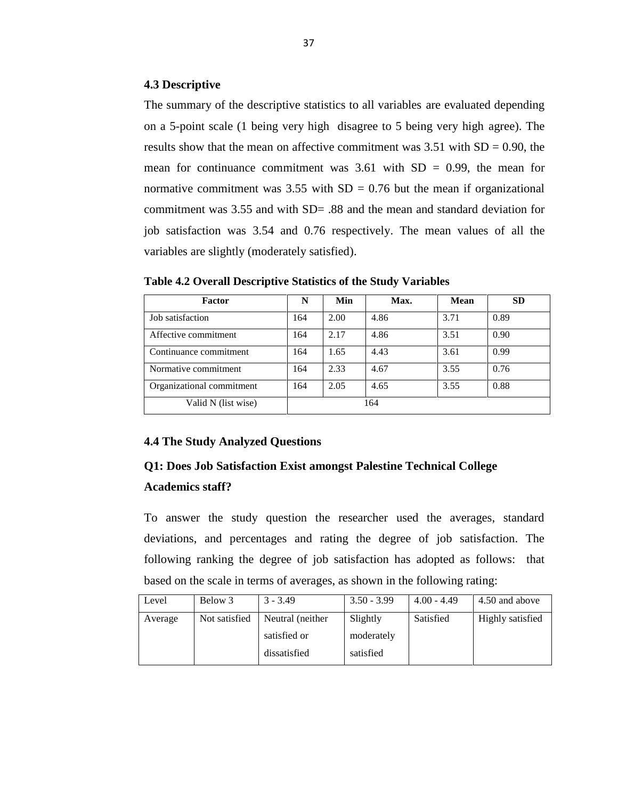## **4.3 Descriptive**

The summary of the descriptive statistics to all variables are evaluated depending on a 5-point scale (1 being very high disagree to 5 being very high agree). The results show that the mean on affective commitment was  $3.51$  with  $SD = 0.90$ , the mean for continuance commitment was  $3.61$  with  $SD = 0.99$ , the mean for normative commitment was  $3.55$  with SD = 0.76 but the mean if organizational commitment was 3.55 and with SD= .88 and the mean and standard deviation for job satisfaction was 3.54 and 0.76 respectively. The mean values of all the variables are slightly (moderately satisfied).

| Factor                    | N   | Min  | Max. | Mean | <b>SD</b> |
|---------------------------|-----|------|------|------|-----------|
| Job satisfaction          | 164 | 2.00 | 4.86 | 3.71 | 0.89      |
| Affective commitment      | 164 | 2.17 | 4.86 | 3.51 | 0.90      |
| Continuance commitment    | 164 | 1.65 | 4.43 | 3.61 | 0.99      |
| Normative commitment      | 164 | 2.33 | 4.67 | 3.55 | 0.76      |
| Organizational commitment | 164 | 2.05 | 4.65 | 3.55 | 0.88      |
| Valid N (list wise)       |     |      | 164  |      |           |

**Table 4.2 Overall Descriptive Statistics of the Study Variables**

## **4.4 The Study Analyzed Questions**

# **Q1: Does Job Satisfaction Exist amongst Palestine Technical College Academics staff?**

To answer the study question the researcher used the averages, standard deviations, and percentages and rating the degree of job satisfaction. The following ranking the degree of job satisfaction has adopted as follows: that based on the scale in terms of averages, as shown in the following rating:

| Level   | Below 3       | $3 - 3.49$       | $3.50 - 3.99$ | $4.00 - 4.49$ | 4.50 and above   |
|---------|---------------|------------------|---------------|---------------|------------------|
| Average | Not satisfied | Neutral (neither | Slightly      | Satisfied     | Highly satisfied |
|         |               | satisfied or     | moderately    |               |                  |
|         |               | dissatisfied     | satisfied     |               |                  |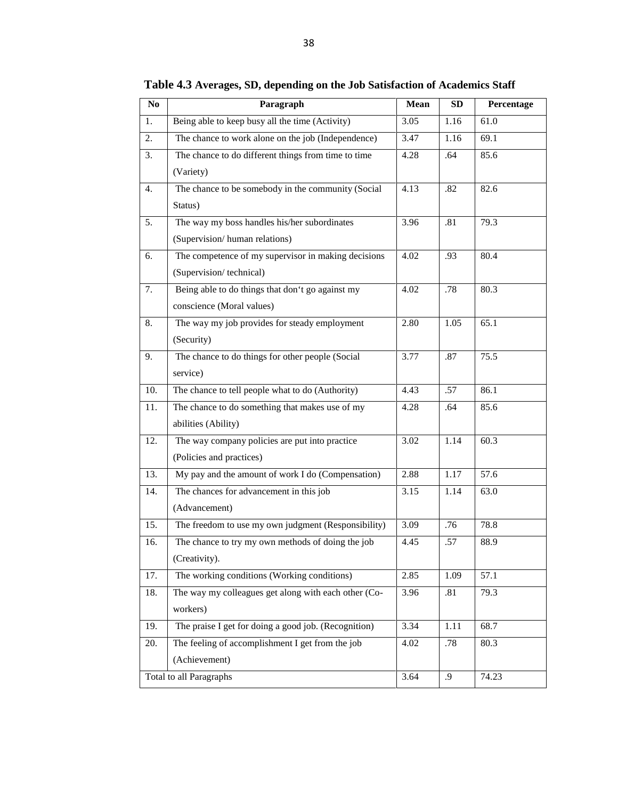| $\bf No$ | Paragraph                                            | Mean | <b>SD</b> | Percentage |
|----------|------------------------------------------------------|------|-----------|------------|
| 1.       | Being able to keep busy all the time (Activity)      | 3.05 | 1.16      | 61.0       |
| 2.       | The chance to work alone on the job (Independence)   | 3.47 | 1.16      | 69.1       |
| 3.       | The chance to do different things from time to time  | 4.28 | .64       | 85.6       |
|          | (Variety)                                            |      |           |            |
| 4.       | The chance to be somebody in the community (Social   | 4.13 | .82       | 82.6       |
|          | Status)                                              |      |           |            |
| 5.       | The way my boss handles his/her subordinates         | 3.96 | .81       | 79.3       |
|          | (Supervision/human relations)                        |      |           |            |
| 6.       | The competence of my supervisor in making decisions  | 4.02 | .93       | 80.4       |
|          | (Supervision/technical)                              |      |           |            |
| 7.       | Being able to do things that don't go against my     | 4.02 | .78       | 80.3       |
|          | conscience (Moral values)                            |      |           |            |
| 8.       | The way my job provides for steady employment        | 2.80 | 1.05      | 65.1       |
|          | (Security)                                           |      |           |            |
| 9.       | The chance to do things for other people (Social     | 3.77 | .87       | 75.5       |
|          | service)                                             |      |           |            |
| 10.      | The chance to tell people what to do (Authority)     | 4.43 | .57       | 86.1       |
| 11.      | The chance to do something that makes use of my      | 4.28 | .64       | 85.6       |
|          | abilities (Ability)                                  |      |           |            |
| 12.      | The way company policies are put into practice       | 3.02 | 1.14      | 60.3       |
|          | (Policies and practices)                             |      |           |            |
| 13.      | My pay and the amount of work I do (Compensation)    | 2.88 | 1.17      | 57.6       |
| 14.      | The chances for advancement in this job              | 3.15 | 1.14      | 63.0       |
|          | (Advancement)                                        |      |           |            |
| 15.      | The freedom to use my own judgment (Responsibility)  | 3.09 | .76       | 78.8       |
| 16.      | The chance to try my own methods of doing the job    | 4.45 | .57       | 88.9       |
|          | (Creativity).                                        |      |           |            |
| 17.      | The working conditions (Working conditions)          | 2.85 | 1.09      | 57.1       |
| 18.      | The way my colleagues get along with each other (Co- | 3.96 | .81       | 79.3       |
|          | workers)                                             |      |           |            |
| 19.      | The praise I get for doing a good job. (Recognition) | 3.34 | 1.11      | 68.7       |
| 20.      | The feeling of accomplishment I get from the job     | 4.02 | .78       | 80.3       |
|          | (Achievement)                                        |      |           |            |
|          | Total to all Paragraphs                              | 3.64 | .9        | 74.23      |

**Table 4.3 Averages, SD, depending on the Job Satisfaction of Academics Staff**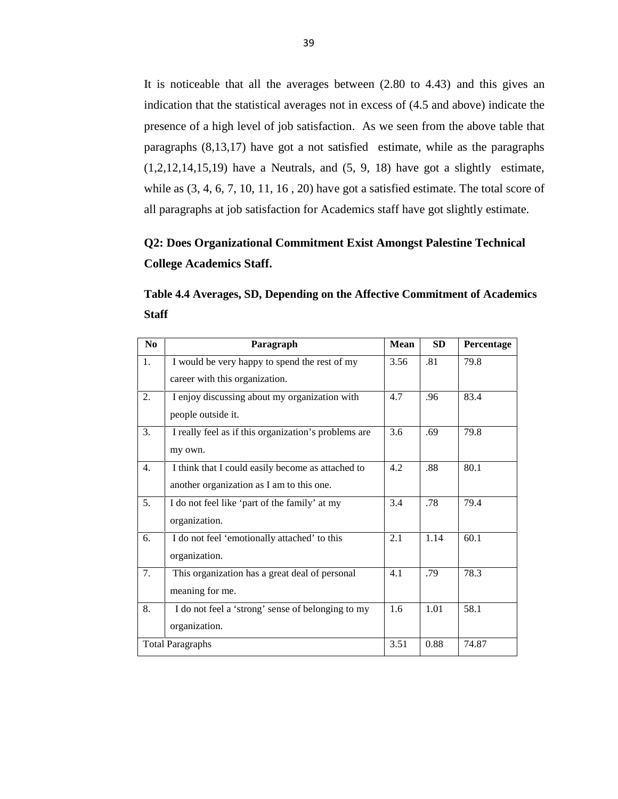It is noticeable that all the averages between (2.80 to 4.43) and this gives an indication that the statistical averages not in excess of (4.5 and above) indicate the presence of a high level of job satisfaction. As we seen from the above table that paragraphs (8,13,17) have got a not satisfied estimate, while as the paragraphs  $(1,2,12,14,15,19)$  have a Neutrals, and  $(5, 9, 18)$  have got a slightly estimate, while as  $(3, 4, 6, 7, 10, 11, 16, 20)$  have got a satisfied estimate. The total score of all paragraphs at job satisfaction for Academics staff have got slightly estimate.

# **Q2: Does Organizational Commitment Exist Amongst Palestine Technical College Academics Staff.**

| Table 4.4 Averages, SD, Depending on the Affective Commitment of Academics |  |
|----------------------------------------------------------------------------|--|
| <b>Staff</b>                                                               |  |

| No | Paragraph                                            | <b>Mean</b> | <b>SD</b> | Percentage |
|----|------------------------------------------------------|-------------|-----------|------------|
| 1. | I would be very happy to spend the rest of my        | 3.56        | .81       | 79.8       |
|    | career with this organization.                       |             |           |            |
| 2. | I enjoy discussing about my organization with        | 4.7         | .96       | 83.4       |
|    | people outside it.                                   |             |           |            |
| 3. | I really feel as if this organization's problems are | 3.6         | .69       | 79.8       |
|    | my own.                                              |             |           |            |
| 4. | I think that I could easily become as attached to    | 4.2         | .88       | 80.1       |
|    | another organization as I am to this one.            |             |           |            |
| 5. | I do not feel like 'part of the family' at my        | 3.4         | .78       | 79.4       |
|    | organization.                                        |             |           |            |
| 6. | I do not feel 'emotionally attached' to this         | 2.1         | 1.14      | 60.1       |
|    | organization.                                        |             |           |            |
| 7. | This organization has a great deal of personal       | 4.1         | .79       | 78.3       |
|    | meaning for me.                                      |             |           |            |
| 8. | I do not feel a 'strong' sense of belonging to my    | 1.6         | 1.01      | 58.1       |
|    | organization.                                        |             |           |            |
|    | <b>Total Paragraphs</b>                              | 3.51        | 0.88      | 74.87      |
|    |                                                      |             |           |            |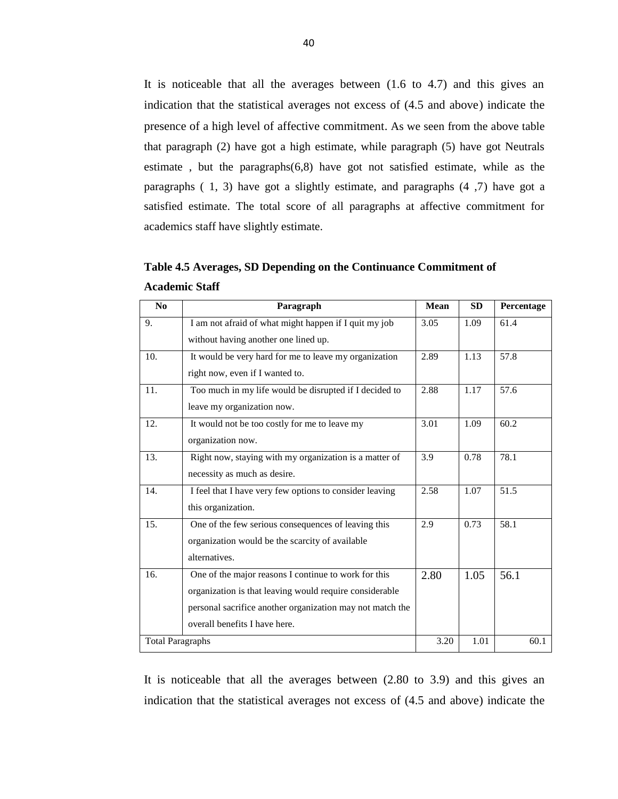It is noticeable that all the averages between (1.6 to 4.7) and this gives an indication that the statistical averages not excess of (4.5 and above) indicate the presence of a high level of affective commitment. As we seen from the above table that paragraph (2) have got a high estimate, while paragraph (5) have got Neutrals estimate, but the paragraphs $(6,8)$  have got not satisfied estimate, while as the paragraphs ( 1, 3) have got a slightly estimate, and paragraphs (4 ,7) have got a satisfied estimate. The total score of all paragraphs at affective commitment for academics staff have slightly estimate.

| No                      | Paragraph                                                 | <b>Mean</b> | <b>SD</b> | Percentage |
|-------------------------|-----------------------------------------------------------|-------------|-----------|------------|
| 9.                      | I am not afraid of what might happen if I quit my job     | 3.05        | 1.09      | 61.4       |
|                         | without having another one lined up.                      |             |           |            |
| 10.                     | It would be very hard for me to leave my organization     | 2.89        | 1.13      | 57.8       |
|                         | right now, even if I wanted to.                           |             |           |            |
| 11.                     | Too much in my life would be disrupted if I decided to    | 2.88        | 1.17      | 57.6       |
|                         | leave my organization now.                                |             |           |            |
| 12.                     | It would not be too costly for me to leave my             | 3.01        | 1.09      | 60.2       |
|                         | organization now.                                         |             |           |            |
| 13.                     | Right now, staying with my organization is a matter of    | 3.9         | 0.78      | 78.1       |
|                         | necessity as much as desire.                              |             |           |            |
| 14.                     | I feel that I have very few options to consider leaving   | 2.58        | 1.07      | 51.5       |
|                         | this organization.                                        |             |           |            |
| 15.                     | One of the few serious consequences of leaving this       | 2.9         | 0.73      | 58.1       |
|                         | organization would be the scarcity of available           |             |           |            |
|                         | alternatives.                                             |             |           |            |
| 16.                     | One of the major reasons I continue to work for this      | 2.80        | 1.05      | 56.1       |
|                         | organization is that leaving would require considerable   |             |           |            |
|                         | personal sacrifice another organization may not match the |             |           |            |
|                         | overall benefits I have here.                             |             |           |            |
| <b>Total Paragraphs</b> |                                                           | 3.20        | 1.01      | 60.1       |

**Table 4.5 Averages, SD Depending on the Continuance Commitment of Academic Staff**

It is noticeable that all the averages between (2.80 to 3.9) and this gives an indication that the statistical averages not excess of (4.5 and above) indicate the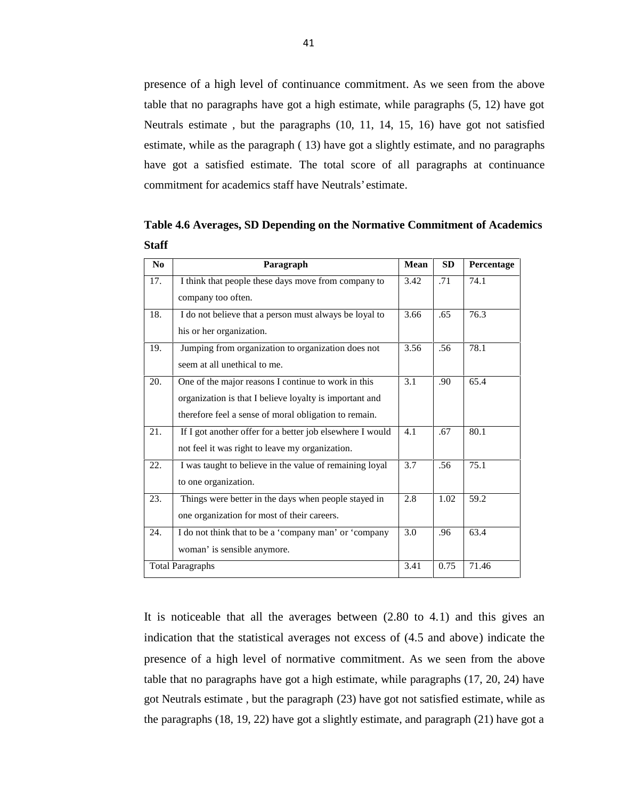presence of a high level of continuance commitment. As we seen from the above table that no paragraphs have got a high estimate, while paragraphs (5, 12) have got Neutrals estimate , but the paragraphs (10, 11, 14, 15, 16) have got not satisfied estimate, while as the paragraph ( 13) have got a slightly estimate, and no paragraphs have got a satisfied estimate. The total score of all paragraphs at continuance commitment for academics staff have Neutrals' estimate.

**Table 4.6 Averages, SD Depending on the Normative Commitment of Academics Staff**

| No  | Paragraph                                                 | <b>Mean</b> | <b>SD</b> | Percentage |
|-----|-----------------------------------------------------------|-------------|-----------|------------|
| 17. | I think that people these days move from company to       | 3.42        | .71       | 74.1       |
|     | company too often.                                        |             |           |            |
| 18. | I do not believe that a person must always be loyal to    | 3.66        | .65       | 76.3       |
|     | his or her organization.                                  |             |           |            |
| 19. | Jumping from organization to organization does not        | 3.56        | .56       | 78.1       |
|     | seem at all unethical to me.                              |             |           |            |
| 20. | One of the major reasons I continue to work in this       | 3.1         | .90       | 65.4       |
|     | organization is that I believe loyalty is important and   |             |           |            |
|     | therefore feel a sense of moral obligation to remain.     |             |           |            |
| 21. | If I got another offer for a better job elsewhere I would | 4.1         | .67       | 80.1       |
|     | not feel it was right to leave my organization.           |             |           |            |
| 22. | I was taught to believe in the value of remaining loyal   | 3.7         | .56       | 75.1       |
|     | to one organization.                                      |             |           |            |
| 23. | Things were better in the days when people stayed in      | 2.8         | 1.02      | 59.2       |
|     | one organization for most of their careers.               |             |           |            |
| 24. | I do not think that to be a 'company man' or 'company     | 3.0         | .96       | 63.4       |
|     | woman' is sensible anymore.                               |             |           |            |
|     | <b>Total Paragraphs</b>                                   | 3.41        | 0.75      | 71.46      |

It is noticeable that all the averages between (2.80 to 4.1) and this gives an indication that the statistical averages not excess of (4.5 and above) indicate the presence of a high level of normative commitment. As we seen from the above table that no paragraphs have got a high estimate, while paragraphs (17, 20, 24) have got Neutrals estimate , but the paragraph (23) have got not satisfied estimate, while as the paragraphs (18, 19, 22) have got a slightly estimate, and paragraph (21) have got a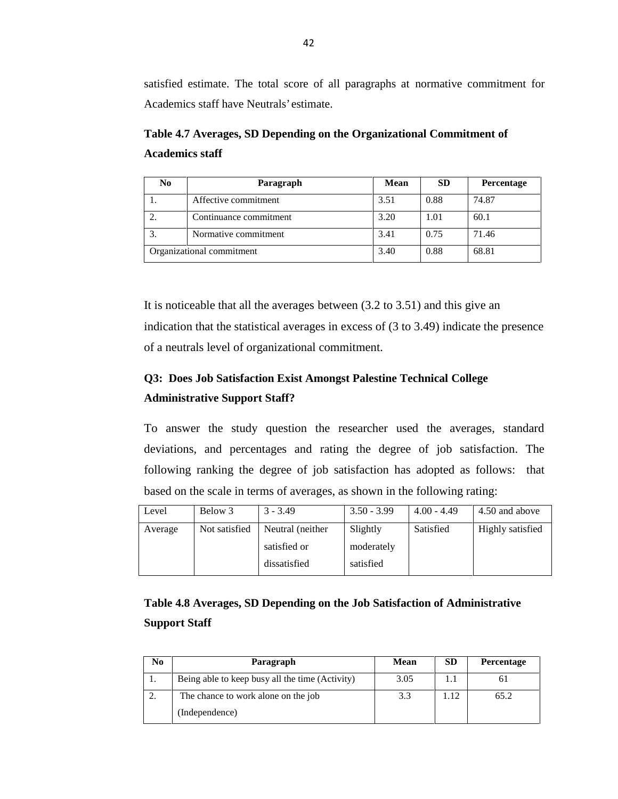satisfied estimate. The total score of all paragraphs at normative commitment for Academics staff have Neutrals' estimate.

**Table 4.7 Averages, SD Depending on the Organizational Commitment of Academics staff**

| No | Paragraph                 | <b>Mean</b> | <b>SD</b> | <b>Percentage</b> |
|----|---------------------------|-------------|-----------|-------------------|
|    | Affective commitment      | 3.51        | 0.88      | 74.87             |
|    | Continuance commitment    | 3.20        | 1.01      | 60.1              |
| 3. | Normative commitment      | 3.41        | 0.75      | 71.46             |
|    | Organizational commitment | 3.40        | 0.88      | 68.81             |

It is noticeable that all the averages between (3.2 to 3.51) and this give an indication that the statistical averages in excess of (3 to 3.49) indicate the presence of a neutrals level of organizational commitment.

## **Q3: Does Job Satisfaction Exist Amongst Palestine Technical College Administrative Support Staff?**

To answer the study question the researcher used the averages, standard deviations, and percentages and rating the degree of job satisfaction. The following ranking the degree of job satisfaction has adopted as follows: that based on the scale in terms of averages, as shown in the following rating:

| Level   | Below 3       | $3 - 3.49$       | $3.50 - 3.99$ | $4.00 - 4.49$ | 4.50 and above   |
|---------|---------------|------------------|---------------|---------------|------------------|
| Average | Not satisfied | Neutral (neither | Slightly      | Satisfied     | Highly satisfied |
|         |               | satisfied or     | moderately    |               |                  |
|         |               | dissatisfied     | satisfied     |               |                  |

# **Table 4.8 Averages, SD Depending on the Job Satisfaction of Administrative Support Staff**

| No       | Paragraph                                       | <b>Mean</b> | <b>SD</b> | <b>Percentage</b> |
|----------|-------------------------------------------------|-------------|-----------|-------------------|
| . .      | Being able to keep busy all the time (Activity) | 3.05        |           |                   |
| <u>.</u> | The chance to work alone on the job             | 3.3         | .12       | 65.2              |
|          | (Independence)                                  |             |           |                   |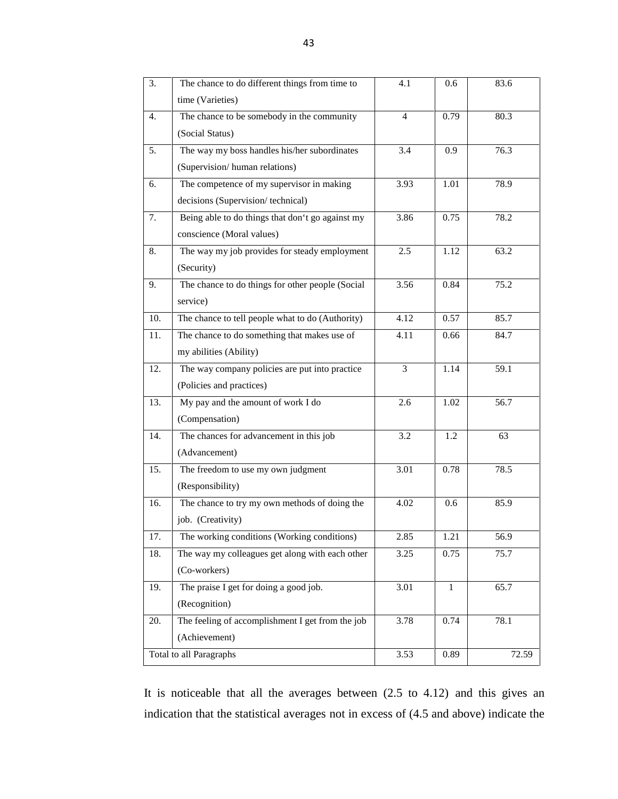| 3.  | The chance to do different things from time to   | 4.1            | 0.6  | 83.6  |
|-----|--------------------------------------------------|----------------|------|-------|
|     | time (Varieties)                                 |                |      |       |
| 4.  | The chance to be somebody in the community       | $\overline{4}$ | 0.79 | 80.3  |
|     | (Social Status)                                  |                |      |       |
| 5.  | The way my boss handles his/her subordinates     | 3.4            | 0.9  | 76.3  |
|     | (Supervision/human relations)                    |                |      |       |
| 6.  | The competence of my supervisor in making        | 3.93           | 1.01 | 78.9  |
|     | decisions (Supervision/technical)                |                |      |       |
| 7.  | Being able to do things that don't go against my | 3.86           | 0.75 | 78.2  |
|     | conscience (Moral values)                        |                |      |       |
| 8.  | The way my job provides for steady employment    | 2.5            | 1.12 | 63.2  |
|     | (Security)                                       |                |      |       |
| 9.  | The chance to do things for other people (Social | 3.56           | 0.84 | 75.2  |
|     | service)                                         |                |      |       |
| 10. | The chance to tell people what to do (Authority) | 4.12           | 0.57 | 85.7  |
| 11. | The chance to do something that makes use of     | 4.11           | 0.66 | 84.7  |
|     | my abilities (Ability)                           |                |      |       |
| 12. | The way company policies are put into practice   | 3              | 1.14 | 59.1  |
|     | (Policies and practices)                         |                |      |       |
| 13. | My pay and the amount of work I do               | 2.6            | 1.02 | 56.7  |
|     | (Compensation)                                   |                |      |       |
| 14. | The chances for advancement in this job          | 3.2            | 1.2  | 63    |
|     | (Advancement)                                    |                |      |       |
| 15. | The freedom to use my own judgment               | 3.01           | 0.78 | 78.5  |
|     | (Responsibility)                                 |                |      |       |
| 16. | The chance to try my own methods of doing the    | 4.02           | 0.6  | 85.9  |
|     | job. (Creativity)                                |                |      |       |
| 17. | The working conditions (Working conditions)      | 2.85           | 1.21 | 56.9  |
| 18. | The way my colleagues get along with each other  | 3.25           | 0.75 | 75.7  |
|     | (Co-workers)                                     |                |      |       |
| 19. | The praise I get for doing a good job.           | 3.01           | 1    | 65.7  |
|     | (Recognition)                                    |                |      |       |
| 20. | The feeling of accomplishment I get from the job | 3.78           | 0.74 | 78.1  |
|     | (Achievement)                                    |                |      |       |
|     | Total to all Paragraphs                          | 3.53           | 0.89 | 72.59 |

It is noticeable that all the averages between (2.5 to 4.12) and this gives an indication that the statistical averages not in excess of (4.5 and above) indicate the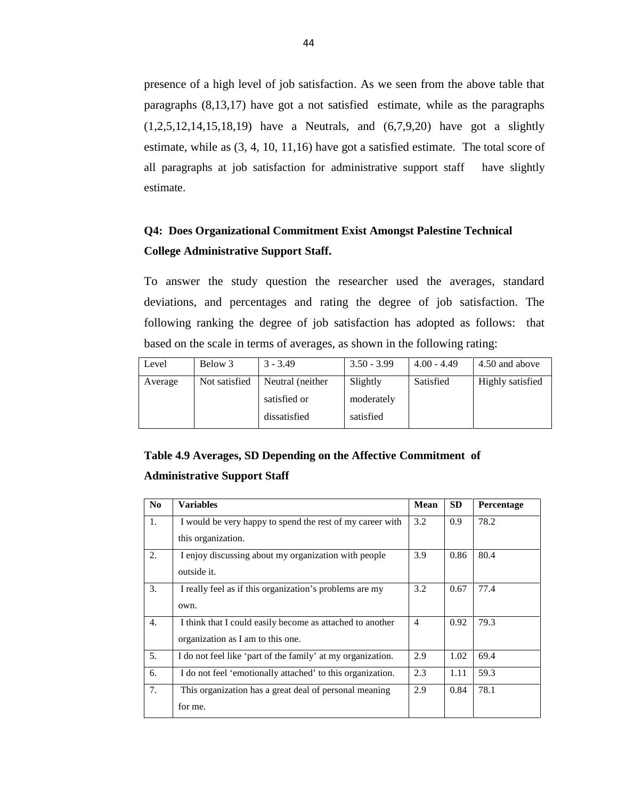presence of a high level of job satisfaction. As we seen from the above table that paragraphs (8,13,17) have got a not satisfied estimate, while as the paragraphs (1,2,5,12,14,15,18,19) have a Neutrals, and (6,7,9,20) have got a slightly estimate, while as (3, 4, 10, 11,16) have got a satisfied estimate. The total score of all paragraphs at job satisfaction for administrative support staff have slightly estimate.

## **Q4: Does Organizational Commitment Exist Amongst Palestine Technical College Administrative Support Staff.**

To answer the study question the researcher used the averages, standard deviations, and percentages and rating the degree of job satisfaction. The following ranking the degree of job satisfaction has adopted as follows: that based on the scale in terms of averages, as shown in the following rating:

| Level   | Below 3       | $3 - 3.49$       | $3.50 - 3.99$ | $4.00 - 4.49$ | 4.50 and above   |
|---------|---------------|------------------|---------------|---------------|------------------|
| Average | Not satisfied | Neutral (neither | Slightly      | Satisfied     | Highly satisfied |
|         |               | satisfied or     | moderately    |               |                  |
|         |               | dissatisfied     | satisfied     |               |                  |

# **Table 4.9 Averages, SD Depending on the Affective Commitment of Administrative Support Staff**

| N <sub>0</sub> | <b>Variables</b>                                            | <b>Mean</b>    | SD.  | Percentage |
|----------------|-------------------------------------------------------------|----------------|------|------------|
| 1.             | I would be very happy to spend the rest of my career with   | 3.2            | 0.9  | 78.2       |
|                | this organization.                                          |                |      |            |
| 2.             | I enjoy discussing about my organization with people        | 3.9            | 0.86 | 80.4       |
|                | outside it.                                                 |                |      |            |
| 3.             | I really feel as if this organization's problems are my     | 3.2            | 0.67 | 77.4       |
|                | own.                                                        |                |      |            |
| 4.             | I think that I could easily become as attached to another   | $\overline{4}$ | 0.92 | 79.3       |
|                | organization as I am to this one.                           |                |      |            |
| 5.             | I do not feel like 'part of the family' at my organization. | 2.9            | 1.02 | 69.4       |
| 6.             | I do not feel 'emotionally attached' to this organization.  | 2.3            | 1.11 | 59.3       |
| 7.             | This organization has a great deal of personal meaning      | 2.9            | 0.84 | 78.1       |
|                | for me.                                                     |                |      |            |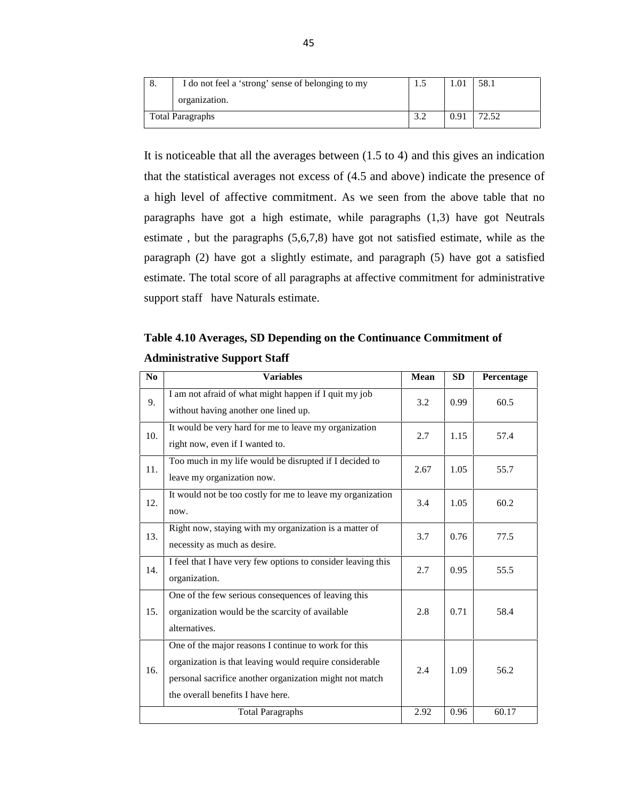| I do not feel a 'strong' sense of belonging to my | ن د               |      | 58.1  |
|---------------------------------------------------|-------------------|------|-------|
| organization.                                     |                   |      |       |
| <b>Total Paragraphs</b>                           | $\gamma$<br>ے . د | 0.91 | 72.52 |

It is noticeable that all the averages between (1.5 to 4) and this gives an indication that the statistical averages not excess of (4.5 and above) indicate the presence of a high level of affective commitment. As we seen from the above table that no paragraphs have got a high estimate, while paragraphs (1,3) have got Neutrals estimate , but the paragraphs (5,6,7,8) have got not satisfied estimate, while as the paragraph (2) have got a slightly estimate, and paragraph (5) have got a satisfied estimate. The total score of all paragraphs at affective commitment for administrative support staff have Naturals estimate.

## **Table 4.10 Averages, SD Depending on the Continuance Commitment of Administrative Support Staff**

| N <sub>0</sub> | <b>Variables</b>                                                                                                                                                                                                | <b>Mean</b> | <b>SD</b> | Percentage |
|----------------|-----------------------------------------------------------------------------------------------------------------------------------------------------------------------------------------------------------------|-------------|-----------|------------|
| 9.             | I am not afraid of what might happen if I quit my job<br>without having another one lined up.                                                                                                                   | 3.2         | 0.99      | 60.5       |
| 10.            | It would be very hard for me to leave my organization<br>right now, even if I wanted to.                                                                                                                        | 2.7         | 1.15      | 57.4       |
| 11.            | Too much in my life would be disrupted if I decided to<br>leave my organization now.                                                                                                                            | 2.67        | 1.05      | 55.7       |
| 12.            | It would not be too costly for me to leave my organization<br>now.                                                                                                                                              | 3.4         | 1.05      | 60.2       |
| 13.            | Right now, staying with my organization is a matter of<br>necessity as much as desire.                                                                                                                          | 3.7         | 0.76      | 77.5       |
| 14.            | I feel that I have very few options to consider leaving this<br>organization.                                                                                                                                   | 2.7         | 0.95      | 55.5       |
| 15.            | One of the few serious consequences of leaving this<br>organization would be the scarcity of available<br>alternatives.                                                                                         | 2.8         | 0.71      | 58.4       |
| 16.            | One of the major reasons I continue to work for this<br>organization is that leaving would require considerable<br>personal sacrifice another organization might not match<br>the overall benefits I have here. | 2.4         | 1.09      | 56.2       |
|                | <b>Total Paragraphs</b>                                                                                                                                                                                         | 2.92        | 0.96      | 60.17      |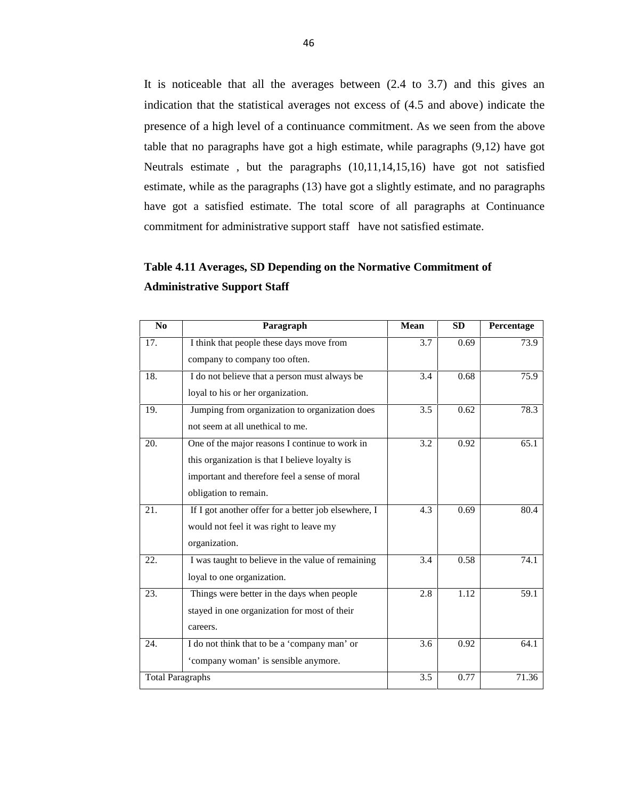It is noticeable that all the averages between (2.4 to 3.7) and this gives an indication that the statistical averages not excess of (4.5 and above) indicate the presence of a high level of a continuance commitment. As we seen from the above table that no paragraphs have got a high estimate, while paragraphs (9,12) have got Neutrals estimate , but the paragraphs (10,11,14,15,16) have got not satisfied estimate, while as the paragraphs (13) have got a slightly estimate, and no paragraphs have got a satisfied estimate. The total score of all paragraphs at Continuance commitment for administrative support staff have not satisfied estimate.

## **Table 4.11 Averages, SD Depending on the Normative Commitment of Administrative Support Staff**

| N <sub>0</sub>          | Paragraph                                            | Mean | <b>SD</b> | Percentage |
|-------------------------|------------------------------------------------------|------|-----------|------------|
| 17.                     | I think that people these days move from             | 3.7  | 0.69      | 73.9       |
|                         | company to company too often.                        |      |           |            |
| 18.                     | I do not believe that a person must always be        | 3.4  | 0.68      | 75.9       |
|                         | loyal to his or her organization.                    |      |           |            |
| 19.                     | Jumping from organization to organization does       | 3.5  | 0.62      | 78.3       |
|                         | not seem at all unethical to me.                     |      |           |            |
| 20.                     | One of the major reasons I continue to work in       | 3.2  | 0.92      | 65.1       |
|                         | this organization is that I believe loyalty is       |      |           |            |
|                         | important and therefore feel a sense of moral        |      |           |            |
|                         | obligation to remain.                                |      |           |            |
| 21.                     | If I got another offer for a better job elsewhere, I | 4.3  | 0.69      | 80.4       |
|                         | would not feel it was right to leave my              |      |           |            |
|                         | organization.                                        |      |           |            |
| 22.                     | I was taught to believe in the value of remaining    | 3.4  | 0.58      | 74.1       |
|                         | loyal to one organization.                           |      |           |            |
| 23.                     | Things were better in the days when people           | 2.8  | 1.12      | 59.1       |
|                         | stayed in one organization for most of their         |      |           |            |
|                         | careers.                                             |      |           |            |
| 24.                     | I do not think that to be a 'company man' or         | 3.6  | 0.92      | 64.1       |
|                         | 'company woman' is sensible anymore.                 |      |           |            |
| <b>Total Paragraphs</b> |                                                      | 3.5  | 0.77      | 71.36      |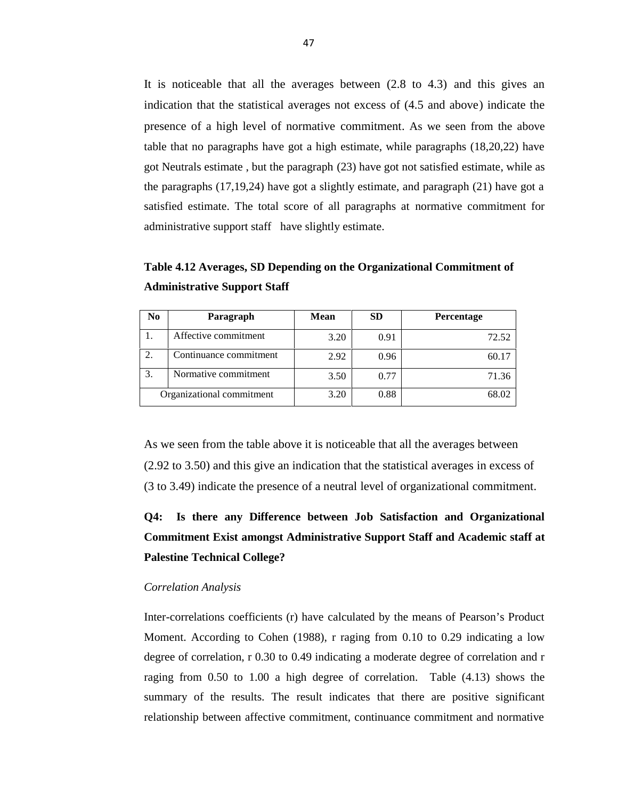It is noticeable that all the averages between (2.8 to 4.3) and this gives an indication that the statistical averages not excess of (4.5 and above) indicate the presence of a high level of normative commitment. As we seen from the above table that no paragraphs have got a high estimate, while paragraphs (18,20,22) have got Neutrals estimate , but the paragraph (23) have got not satisfied estimate, while as the paragraphs (17,19,24) have got a slightly estimate, and paragraph (21) have got a satisfied estimate. The total score of all paragraphs at normative commitment for administrative support staff have slightly estimate.

**Table 4.12 Averages, SD Depending on the Organizational Commitment of Administrative Support Staff**

| No | Paragraph                 | <b>Mean</b> | <b>SD</b> | Percentage |
|----|---------------------------|-------------|-----------|------------|
|    | Affective commitment      | 3.20        | 0.91      | 72.52      |
| 2. | Continuance commitment    | 2.92        | 0.96      | 60.17      |
| 3. | Normative commitment      | 3.50        | 0.77      | 71.36      |
|    | Organizational commitment | 3.20        | 0.88      | 68.02      |

As we seen from the table above it is noticeable that all the averages between (2.92 to 3.50) and this give an indication that the statistical averages in excess of (3 to 3.49) indicate the presence of a neutral level of organizational commitment.

# **Q4: Is there any Difference between Job Satisfaction and Organizational Commitment Exist amongst Administrative Support Staff and Academic staff at Palestine Technical College?**

#### *Correlation Analysis*

Inter-correlations coefficients (r) have calculated by the means of Pearson's Product Moment. According to Cohen (1988), r raging from 0.10 to 0.29 indicating a low degree of correlation, r 0.30 to 0.49 indicating a moderate degree of correlation and r raging from 0.50 to 1.00 a high degree of correlation. Table (4.13) shows the summary of the results. The result indicates that there are positive significant relationship between affective commitment, continuance commitment and normative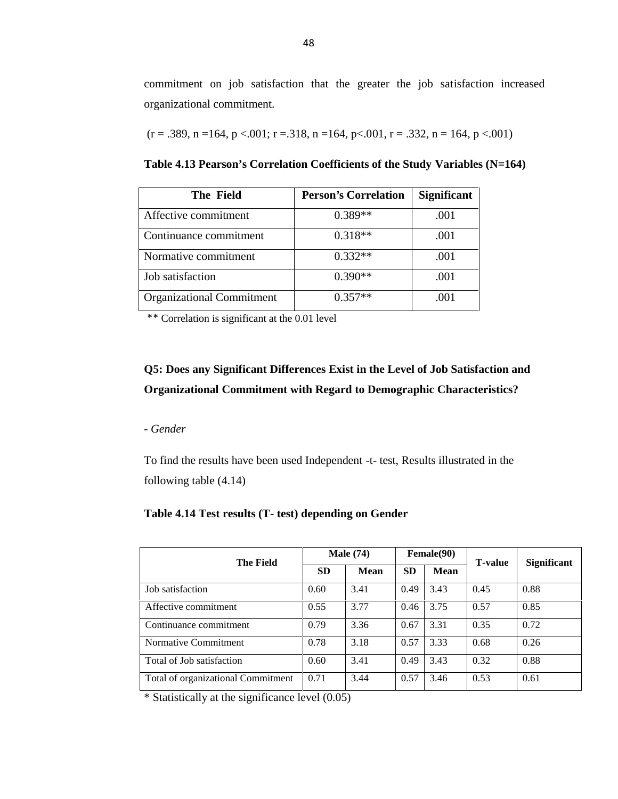commitment on job satisfaction that the greater the job satisfaction increased organizational commitment.

$$
(r=.389, n=164, p<.001; r=.318, n=164, p<.001, r=.332, n=164, p<.001)
$$

**Table 4.13 Pearson's Correlation Coefficients of the Study Variables (N=164)**

| The Field                        | <b>Person's Correlation</b> | <b>Significant</b> |
|----------------------------------|-----------------------------|--------------------|
| Affective commitment             | $0.389**$                   | .001               |
| Continuance commitment           | $0.318**$                   | .001               |
| Normative commitment             | $0.332**$                   | .001               |
| Job satisfaction                 | $0.390**$                   | .001               |
| <b>Organizational Commitment</b> | $0.357**$                   | .001               |

\*\* Correlation is significant at the 0.01 level

## **Q5: Does any Significant Differences Exist in the Level of Job Satisfaction and Organizational Commitment with Regard to Demographic Characteristics?**

*- Gender*

To find the results have been used Independent -t- test, Results illustrated in the following table (4.14)

#### **Table 4.14 Test results (T- test) depending on Gender**

| <b>The Field</b>                   | <b>Male</b> (74) |      | <b>Female</b> (90) |      | <b>T-value</b> | <b>Significant</b> |  |
|------------------------------------|------------------|------|--------------------|------|----------------|--------------------|--|
|                                    | <b>SD</b>        | Mean | <b>SD</b>          | Mean |                |                    |  |
| Job satisfaction                   | 0.60             | 3.41 | 0.49               | 3.43 | 0.45           | 0.88               |  |
| Affective commitment               | 0.55             | 3.77 | 0.46               | 3.75 | 0.57           | 0.85               |  |
| Continuance commitment             | 0.79             | 3.36 | 0.67               | 3.31 | 0.35           | 0.72               |  |
| Normative Commitment               | 0.78             | 3.18 | 0.57               | 3.33 | 0.68           | 0.26               |  |
| Total of Job satisfaction          | 0.60             | 3.41 | 0.49               | 3.43 | 0.32           | 0.88               |  |
| Total of organizational Commitment | 0.71             | 3.44 | 0.57               | 3.46 | 0.53           | 0.61               |  |

\* Statistically at the significance level (0.05)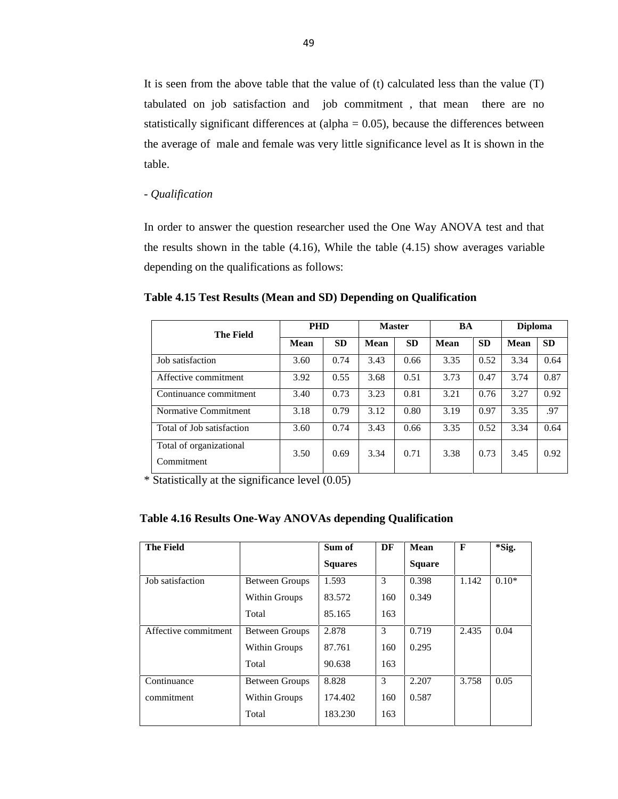It is seen from the above table that the value of (t) calculated less than the value (T) tabulated on job satisfaction and job commitment , that mean there are no statistically significant differences at  $\alpha$  (alpha = 0.05), because the differences between the average of male and female was very little significance level as It is shown in the table.

#### *- Qualification*

In order to answer the question researcher used the One Way ANOVA test and that the results shown in the table (4.16), While the table (4.15) show averages variable depending on the qualifications as follows:

|  | Table 4.15 Test Results (Mean and SD) Depending on Qualification |  |
|--|------------------------------------------------------------------|--|
|--|------------------------------------------------------------------|--|

| <b>The Field</b>                      | <b>PHD</b>  |           | <b>Master</b> |           | <b>BA</b>   |           | <b>Diploma</b> |           |
|---------------------------------------|-------------|-----------|---------------|-----------|-------------|-----------|----------------|-----------|
|                                       | <b>Mean</b> | <b>SD</b> | <b>Mean</b>   | <b>SD</b> | <b>Mean</b> | <b>SD</b> | <b>Mean</b>    | <b>SD</b> |
| Job satisfaction                      | 3.60        | 0.74      | 3.43          | 0.66      | 3.35        | 0.52      | 3.34           | 0.64      |
| Affective commitment                  | 3.92        | 0.55      | 3.68          | 0.51      | 3.73        | 0.47      | 3.74           | 0.87      |
| Continuance commitment                | 3.40        | 0.73      | 3.23          | 0.81      | 3.21        | 0.76      | 3.27           | 0.92      |
| Normative Commitment                  | 3.18        | 0.79      | 3.12          | 0.80      | 3.19        | 0.97      | 3.35           | .97       |
| Total of Job satisfaction             | 3.60        | 0.74      | 3.43          | 0.66      | 3.35        | 0.52      | 3.34           | 0.64      |
| Total of organizational<br>Commitment | 3.50        | 0.69      | 3.34          | 0.71      | 3.38        | 0.73      | 3.45           | 0.92      |

 $*$  Statistically at the significance level  $(0.05)$ 

| Table 4.16 Results One-Way ANOVAs depending Qualification |  |  |
|-----------------------------------------------------------|--|--|
|                                                           |  |  |

| <b>The Field</b>     |                       | Sum of         | DF  | Mean          | $\mathbf{F}$ | *Sig.   |
|----------------------|-----------------------|----------------|-----|---------------|--------------|---------|
|                      |                       | <b>Squares</b> |     | <b>Square</b> |              |         |
| Job satisfaction     | <b>Between Groups</b> | 1.593          | 3   | 0.398         | 1.142        | $0.10*$ |
|                      | Within Groups         | 83.572         | 160 | 0.349         |              |         |
|                      | Total                 | 85.165         | 163 |               |              |         |
| Affective commitment | <b>Between Groups</b> | 2.878          | 3   | 0.719         | 2.435        | 0.04    |
|                      | Within Groups         | 87.761         | 160 | 0.295         |              |         |
|                      | Total                 | 90.638         | 163 |               |              |         |
| Continuance          | <b>Between Groups</b> | 8.828          | 3   | 2.207         | 3.758        | 0.05    |
| commitment           | Within Groups         | 174.402        | 160 | 0.587         |              |         |
|                      | Total                 | 183.230        | 163 |               |              |         |
|                      |                       |                |     |               |              |         |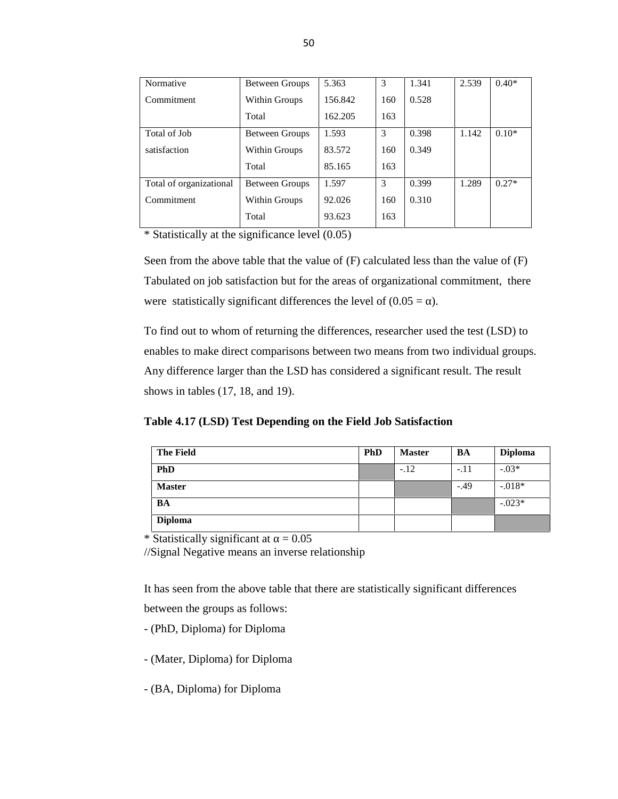| Normative               | <b>Between Groups</b> | 5.363   | 3   | 1.341 | 2.539 | $0.40*$ |
|-------------------------|-----------------------|---------|-----|-------|-------|---------|
| Commitment              | Within Groups         | 156.842 | 160 | 0.528 |       |         |
|                         | Total                 | 162.205 | 163 |       |       |         |
| Total of Job            | <b>Between Groups</b> | 1.593   | 3   | 0.398 | 1.142 | $0.10*$ |
| satisfaction            | Within Groups         | 83.572  | 160 | 0.349 |       |         |
|                         | Total                 | 85.165  | 163 |       |       |         |
| Total of organizational | Between Groups        | 1.597   | 3   | 0.399 | 1.289 | $0.27*$ |
| Commitment              | Within Groups         | 92.026  | 160 | 0.310 |       |         |
|                         | Total                 | 93.623  | 163 |       |       |         |

\* Statistically at the significance level  $(0.05)$ 

Seen from the above table that the value of (F) calculated less than the value of (F) Tabulated on job satisfaction but for the areas of organizational commitment, there were statistically significant differences the level of  $(0.05 = )$ .

To find out to whom of returning the differences, researcher used the test (LSD) to enables to make direct comparisons between two means from two individual groups. Any difference larger than the LSD has considered a significant result. The result shows in tables (17, 18, and 19).

**Table 4.17 (LSD) Test Depending on the Field Job Satisfaction**

| <b>The Field</b> | <b>PhD</b> | <b>Master</b> | BA     | <b>Diploma</b> |
|------------------|------------|---------------|--------|----------------|
| <b>PhD</b>       |            | $-.12$        | $-.11$ | $-.03*$        |
| <b>Master</b>    |            |               | $-.49$ | $-0.018*$      |
| BA               |            |               |        | $-.023*$       |
| <b>Diploma</b>   |            |               |        |                |

\* Statistically significant at  $= 0.05$ 

//Signal Negative means an inverse relationship

It has seen from the above table that there are statistically significant differences between the groups as follows:

- (PhD, Diploma) for Diploma

- (Mater, Diploma) for Diploma
- (BA, Diploma) for Diploma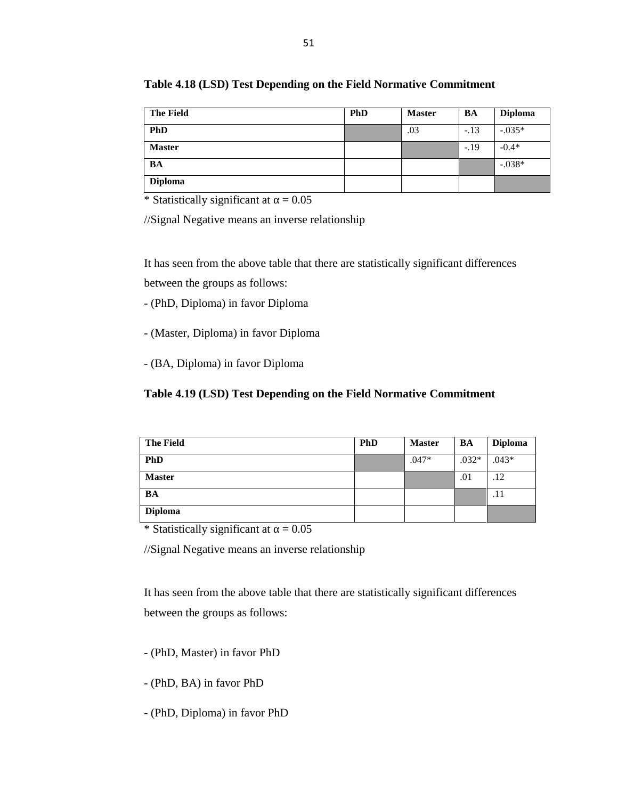| <b>The Field</b> | <b>PhD</b> | <b>Master</b> | BA     | <b>Diploma</b> |
|------------------|------------|---------------|--------|----------------|
| <b>PhD</b>       |            | .03           | $-.13$ | $-0.035*$      |
| <b>Master</b>    |            |               | $-.19$ | $-0.4*$        |
| BA               |            |               |        | $-.038*$       |
| <b>Diploma</b>   |            |               |        |                |

**Table 4.18 (LSD) Test Depending on the Field Normative Commitment**

//Signal Negative means an inverse relationship

It has seen from the above table that there are statistically significant differences between the groups as follows:

- (PhD, Diploma) in favor Diploma
- (Master, Diploma) in favor Diploma
- (BA, Diploma) in favor Diploma

#### **Table 4.19 (LSD) Test Depending on the Field Normative Commitment**

| <b>The Field</b> | <b>PhD</b> | <b>Master</b> | BA      | <b>Diploma</b> |
|------------------|------------|---------------|---------|----------------|
| <b>PhD</b>       |            | $.047*$       | $.032*$ | $.043*$        |
| <b>Master</b>    |            |               | .01     | .12            |
| BA               |            |               |         | .11            |
| <b>Diploma</b>   |            |               |         |                |

\* Statistically significant at  $= 0.05$ 

//Signal Negative means an inverse relationship

It has seen from the above table that there are statistically significant differences between the groups as follows:

- (PhD, Master) in favor PhD
- (PhD, BA) in favor PhD
- (PhD, Diploma) in favor PhD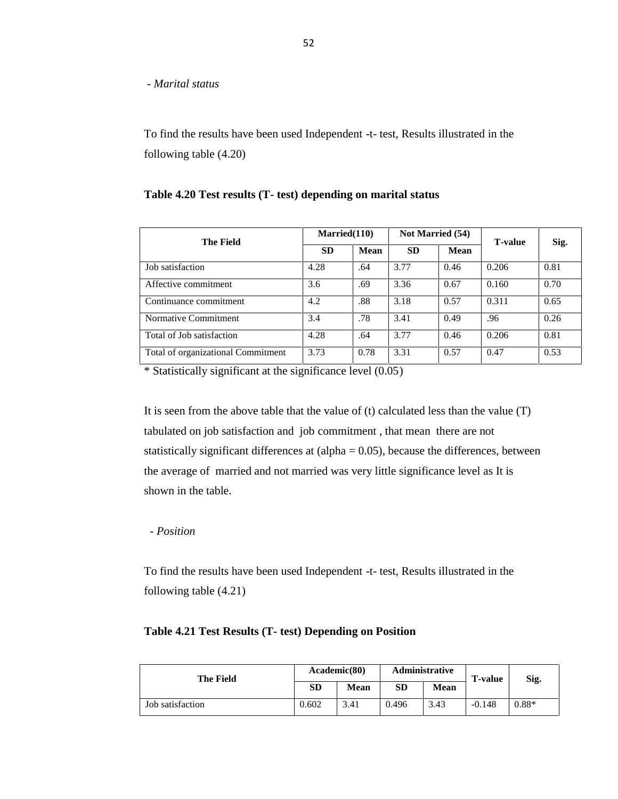*- Marital status*

To find the results have been used Independent -t- test, Results illustrated in the following table (4.20)

#### **Table 4.20 Test results (T- test) depending on marital status**

| <b>The Field</b>                   | Married(110) |             | Not Married (54) |             | <b>T-value</b> | Sig. |
|------------------------------------|--------------|-------------|------------------|-------------|----------------|------|
|                                    | <b>SD</b>    | <b>Mean</b> | <b>SD</b>        | <b>Mean</b> |                |      |
| Job satisfaction                   | 4.28         | .64         | 3.77             | 0.46        | 0.206          | 0.81 |
| Affective commitment               | 3.6          | .69         | 3.36             | 0.67        | 0.160          | 0.70 |
| Continuance commitment             | 4.2          | .88         | 3.18             | 0.57        | 0.311          | 0.65 |
| Normative Commitment               | 3.4          | .78         | 3.41             | 0.49        | .96            | 0.26 |
| Total of Job satisfaction          | 4.28         | .64         | 3.77             | 0.46        | 0.206          | 0.81 |
| Total of organizational Commitment | 3.73         | 0.78        | 3.31             | 0.57        | 0.47           | 0.53 |

\* Statistically significant at the significance level (0.05)

It is seen from the above table that the value of (t) calculated less than the value (T) tabulated on job satisfaction and job commitment , that mean there are not statistically significant differences at  $\alpha$  (alpha = 0.05), because the differences, between the average of married and not married was very little significance level as It is shown in the table.

#### *- Position*

To find the results have been used Independent -t- test, Results illustrated in the following table (4.21)

### **Table 4.21 Test Results (T- test) Depending on Position**

| <b>The Field</b> | Academic(80) |             |       | <b>Administrative</b> | <b>T-value</b> | Sig.    |
|------------------|--------------|-------------|-------|-----------------------|----------------|---------|
|                  | SD           | <b>Mean</b> | SD    | Mean                  |                |         |
| Job satisfaction | 0.602        | 3.41        | 0.496 | 3.43                  | $-0.148$       | $0.88*$ |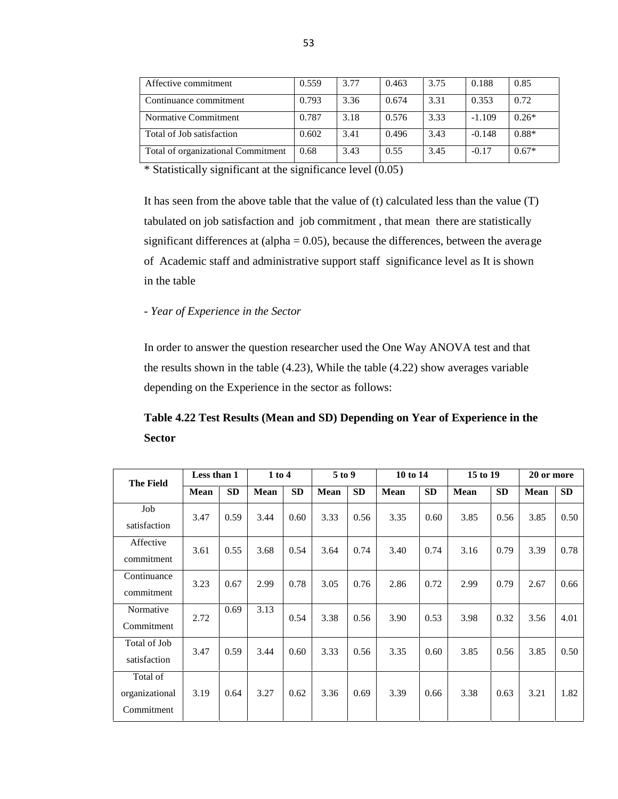| Affective commitment               | 0.559 | 3.77 | 0.463 | 3.75 | 0.188    | 0.85    |
|------------------------------------|-------|------|-------|------|----------|---------|
| Continuance commitment             | 0.793 | 3.36 | 0.674 | 3.31 | 0.353    | 0.72    |
| Normative Commitment               | 0.787 | 3.18 | 0.576 | 3.33 | $-1.109$ | $0.26*$ |
| Total of Job satisfaction          | 0.602 | 3.41 | 0.496 | 3.43 | $-0.148$ | $0.88*$ |
| Total of organizational Commitment | 0.68  | 3.43 | 0.55  | 3.45 | $-0.17$  | $0.67*$ |

\* Statistically significant at the significance level (0.05)

It has seen from the above table that the value of (t) calculated less than the value (T) tabulated on job satisfaction and job commitment , that mean there are statistically significant differences at  $\text{(alpha} = 0.05)$ , because the differences, between the average of Academic staff and administrative support staff significance level as It is shown in the table

#### *- Year of Experience in the Sector*

In order to answer the question researcher used the One Way ANOVA test and that the results shown in the table (4.23), While the table (4.22) show averages variable depending on the Experience in the sector as follows:

**Table 4.22 Test Results (Mean and SD) Depending on Year of Experience in the Sector**

| <b>The Field</b>                         | Less than 1 |           | $1$ to $4$  |           | 5 to 9      |           | 10 to 14    |      | 15 to 19    |           | 20 or more  |           |
|------------------------------------------|-------------|-----------|-------------|-----------|-------------|-----------|-------------|------|-------------|-----------|-------------|-----------|
|                                          | Mean        | <b>SD</b> | <b>Mean</b> | <b>SD</b> | <b>Mean</b> | <b>SD</b> | <b>Mean</b> | SD   | <b>Mean</b> | <b>SD</b> | <b>Mean</b> | <b>SD</b> |
| Job<br>satisfaction                      | 3.47        | 0.59      | 3.44        | 0.60      | 3.33        | 0.56      | 3.35        | 0.60 | 3.85        | 0.56      | 3.85        | 0.50      |
| Affective<br>commitment                  | 3.61        | 0.55      | 3.68        | 0.54      | 3.64        | 0.74      | 3.40        | 0.74 | 3.16        | 0.79      | 3.39        | 0.78      |
| Continuance<br>commitment                | 3.23        | 0.67      | 2.99        | 0.78      | 3.05        | 0.76      | 2.86        | 0.72 | 2.99        | 0.79      | 2.67        | 0.66      |
| Normative<br>Commitment                  | 2.72        | 0.69      | 3.13        | 0.54      | 3.38        | 0.56      | 3.90        | 0.53 | 3.98        | 0.32      | 3.56        | 4.01      |
| Total of Job<br>satisfaction             | 3.47        | 0.59      | 3.44        | 0.60      | 3.33        | 0.56      | 3.35        | 0.60 | 3.85        | 0.56      | 3.85        | 0.50      |
| Total of<br>organizational<br>Commitment | 3.19        | 0.64      | 3.27        | 0.62      | 3.36        | 0.69      | 3.39        | 0.66 | 3.38        | 0.63      | 3.21        | 1.82      |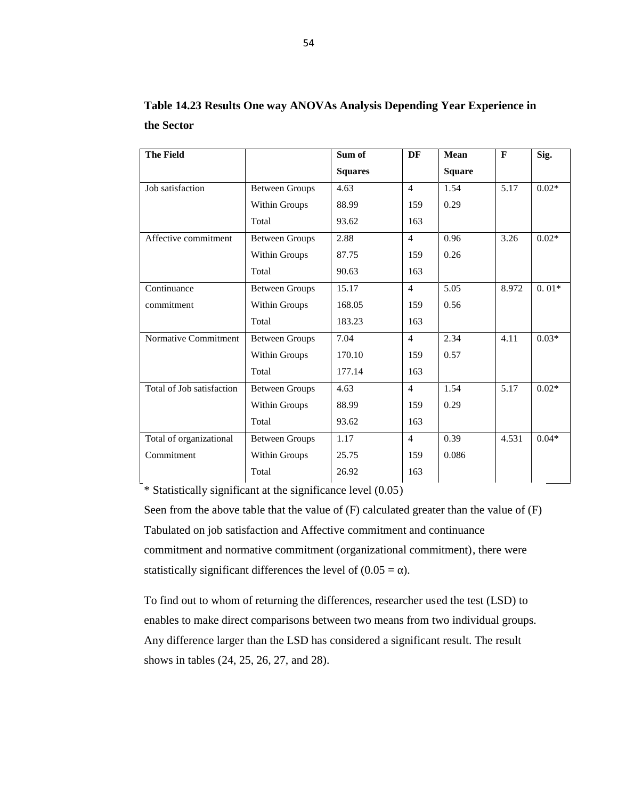|                       | Sum of         | DF             | <b>Mean</b>   | $\mathbf{F}$ | Sig.    |
|-----------------------|----------------|----------------|---------------|--------------|---------|
|                       | <b>Squares</b> |                | <b>Square</b> |              |         |
| <b>Between Groups</b> | 4.63           | $\overline{4}$ | 1.54          | 5.17         | $0.02*$ |
| Within Groups         | 88.99          | 159            | 0.29          |              |         |
| Total                 | 93.62          | 163            |               |              |         |
| <b>Between Groups</b> | 2.88           | $\overline{4}$ | 0.96          | 3.26         | $0.02*$ |
| Within Groups         | 87.75          | 159            | 0.26          |              |         |
| Total                 | 90.63          | 163            |               |              |         |
| <b>Between Groups</b> | 15.17          | $\overline{4}$ | 5.05          | 8.972        | $0.01*$ |
| Within Groups         | 168.05         | 159            | 0.56          |              |         |
| Total                 | 183.23         | 163            |               |              |         |
| <b>Between Groups</b> | 7.04           | $\overline{4}$ | 2.34          | 4.11         | $0.03*$ |
| Within Groups         | 170.10         | 159            | 0.57          |              |         |
| Total                 | 177.14         | 163            |               |              |         |
| <b>Between Groups</b> | 4.63           | $\overline{4}$ | 1.54          | 5.17         | $0.02*$ |
| Within Groups         | 88.99          | 159            | 0.29          |              |         |
| Total                 | 93.62          | 163            |               |              |         |
| <b>Between Groups</b> | 1.17           | $\overline{4}$ | 0.39          | 4.531        | $0.04*$ |
| Within Groups         | 25.75          | 159            | 0.086         |              |         |
| Total                 | 26.92          | 163            |               |              |         |
|                       |                |                |               |              |         |

**Table 14.23 Results One way ANOVAs Analysis Depending Year Experience in the Sector**

\* Statistically significant at the significance level (0.05)

Seen from the above table that the value of (F) calculated greater than the value of (F) Tabulated on job satisfaction and Affective commitment and continuance commitment and normative commitment (organizational commitment), there were statistically significant differences the level of  $(0.05 = )$ .

To find out to whom of returning the differences, researcher used the test (LSD) to enables to make direct comparisons between two means from two individual groups. Any difference larger than the LSD has considered a significant result. The result shows in tables (24, 25, 26, 27, and 28).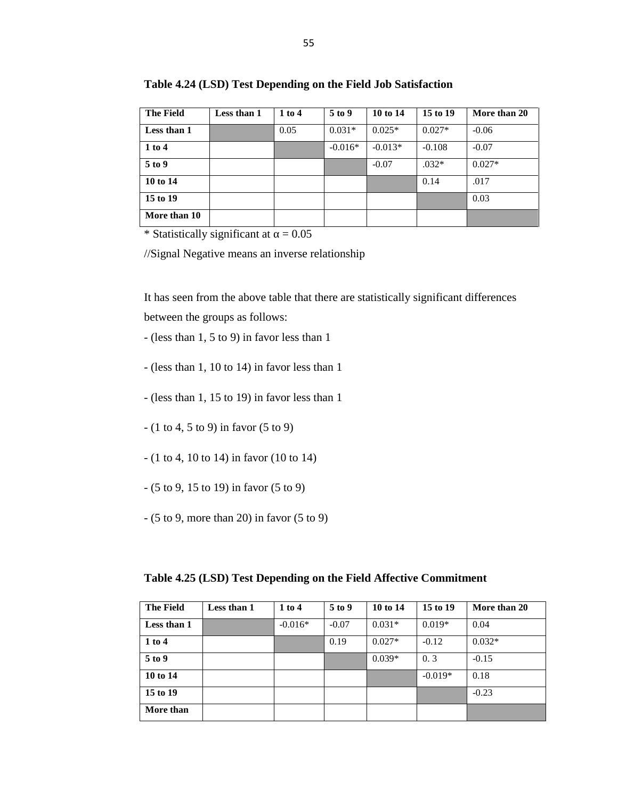| <b>The Field</b> | Less than 1 | 1 to 4 | 5 to 9    | 10 to 14  | 15 to 19 | More than 20 |
|------------------|-------------|--------|-----------|-----------|----------|--------------|
| Less than 1      |             | 0.05   | $0.031*$  | $0.025*$  | $0.027*$ | $-0.06$      |
| 1 to 4           |             |        | $-0.016*$ | $-0.013*$ | $-0.108$ | $-0.07$      |
| 5 to 9           |             |        |           | $-0.07$   | $.032*$  | $0.027*$     |
| 10 to 14         |             |        |           |           | 0.14     | .017         |
| 15 to 19         |             |        |           |           |          | 0.03         |
| More than 10     |             |        |           |           |          |              |

**Table 4.24 (LSD) Test Depending on the Field Job Satisfaction**

//Signal Negative means an inverse relationship

It has seen from the above table that there are statistically significant differences between the groups as follows:

- (less than 1, 5 to 9) in favor less than 1
- (less than 1, 10 to 14) in favor less than 1
- (less than 1, 15 to 19) in favor less than 1
- (1 to 4, 5 to 9) in favor (5 to 9)
- (1 to 4, 10 to 14) in favor (10 to 14)
- (5 to 9, 15 to 19) in favor (5 to 9)
- (5 to 9, more than 20) in favor (5 to 9)

**Table 4.25 (LSD) Test Depending on the Field Affective Commitment**

| <b>The Field</b> | Less than 1 | $1$ to $4$ | 5 to 9  | 10 to 14 | 15 to 19  | More than 20 |
|------------------|-------------|------------|---------|----------|-----------|--------------|
| Less than 1      |             | $-0.016*$  | $-0.07$ | $0.031*$ | $0.019*$  | 0.04         |
| 1 to 4           |             |            | 0.19    | $0.027*$ | $-0.12$   | $0.032*$     |
| 5 to 9           |             |            |         | $0.039*$ | 0.3       | $-0.15$      |
| 10 to 14         |             |            |         |          | $-0.019*$ | 0.18         |
| 15 to 19         |             |            |         |          |           | $-0.23$      |
| More than        |             |            |         |          |           |              |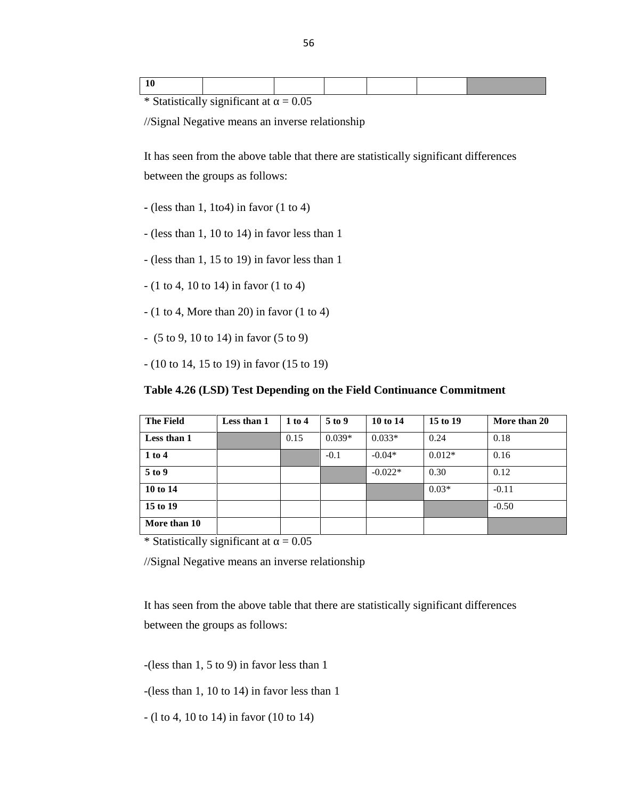//Signal Negative means an inverse relationship

It has seen from the above table that there are statistically significant differences between the groups as follows:

- **-** (less than 1, 1to4) in favor (1 to 4)
- (less than 1, 10 to 14) in favor less than 1
- (less than 1, 15 to 19) in favor less than 1
- (1 to 4, 10 to 14) in favor (1 to 4)
- $(1 to 4, More than 20)$  in favor  $(1 to 4)$
- (5 to 9, 10 to 14) in favor (5 to 9)
- (10 to 14, 15 to 19) in favor (15 to 19)

#### **Table 4.26 (LSD) Test Depending on the Field Continuance Commitment**

| <b>The Field</b> | Less than 1 | 1 to 4 | 5 to 9   | 10 to 14  | 15 to 19 | More than 20 |
|------------------|-------------|--------|----------|-----------|----------|--------------|
| Less than 1      |             | 0.15   | $0.039*$ | $0.033*$  | 0.24     | 0.18         |
| 1 to 4           |             |        | $-0.1$   | $-0.04*$  | $0.012*$ | 0.16         |
| 5 to 9           |             |        |          | $-0.022*$ | 0.30     | 0.12         |
| 10 to 14         |             |        |          |           | $0.03*$  | $-0.11$      |
| 15 to 19         |             |        |          |           |          | $-0.50$      |
| More than 10     |             |        |          |           |          |              |

\* Statistically significant at  $= 0.05$ 

//Signal Negative means an inverse relationship

It has seen from the above table that there are statistically significant differences between the groups as follows:

-(less than 1, 5 to 9) in favor less than 1

-(less than 1, 10 to 14) in favor less than 1

- (l to 4, 10 to 14) in favor (10 to 14)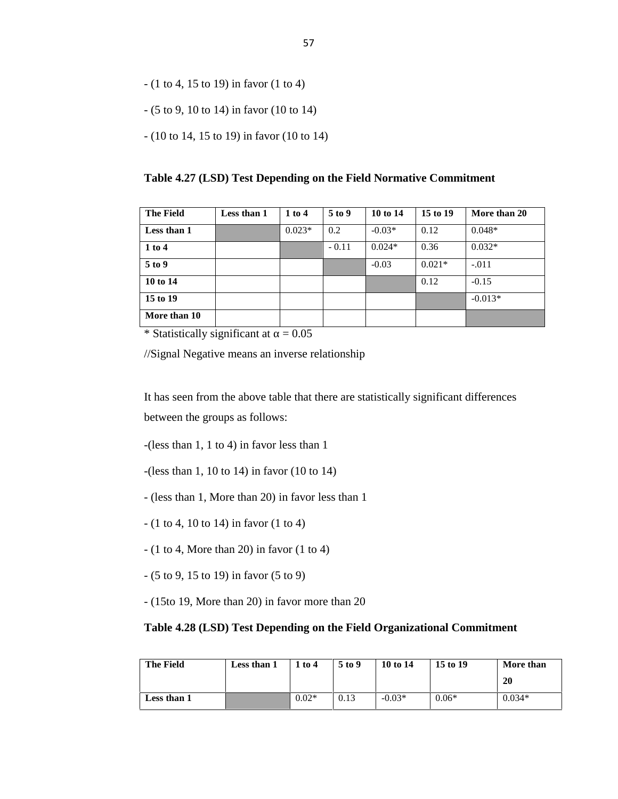- (1 to 4, 15 to 19) in favor (1 to 4)
- (5 to 9, 10 to 14) in favor (10 to 14)
- (10 to 14, 15 to 19) in favor (10 to 14)

**Table 4.27 (LSD) Test Depending on the Field Normative Commitment**

| <b>The Field</b> | Less than 1 | $1$ to $4$ | $5$ to 9 | 10 to 14 | 15 to 19 | More than 20 |
|------------------|-------------|------------|----------|----------|----------|--------------|
| Less than 1      |             | $0.023*$   | 0.2      | $-0.03*$ | 0.12     | $0.048*$     |
| 1 to 4           |             |            | $-0.11$  | $0.024*$ | 0.36     | $0.032*$     |
| 5 to 9           |             |            |          | $-0.03$  | $0.021*$ | $-.011$      |
| 10 to 14         |             |            |          |          | 0.12     | $-0.15$      |
| 15 to 19         |             |            |          |          |          | $-0.013*$    |
| More than 10     |             |            |          |          |          |              |

//Signal Negative means an inverse relationship

It has seen from the above table that there are statistically significant differences between the groups as follows:

-(less than 1, 1 to 4) in favor less than 1

-(less than 1, 10 to 14) in favor (10 to 14)

- (less than 1, More than 20) in favor less than 1
- (1 to 4, 10 to 14) in favor (1 to 4)
- $(1 to 4, More than 20)$  in favor  $(1 to 4)$
- (5 to 9, 15 to 19) in favor (5 to 9)
- (15to 19, More than 20) in favor more than 20

#### **Table 4.28 (LSD) Test Depending on the Field Organizational Commitment**

| <b>The Field</b> | Less than 1 | $1$ to $4$ | 5 to 9 | 10 to 14 | 15 to 19 | More than |
|------------------|-------------|------------|--------|----------|----------|-----------|
|                  |             |            |        |          |          | 20        |
| Less than 1      |             | $0.02*$    | 0.13   | $-0.03*$ | $0.06*$  | $0.034*$  |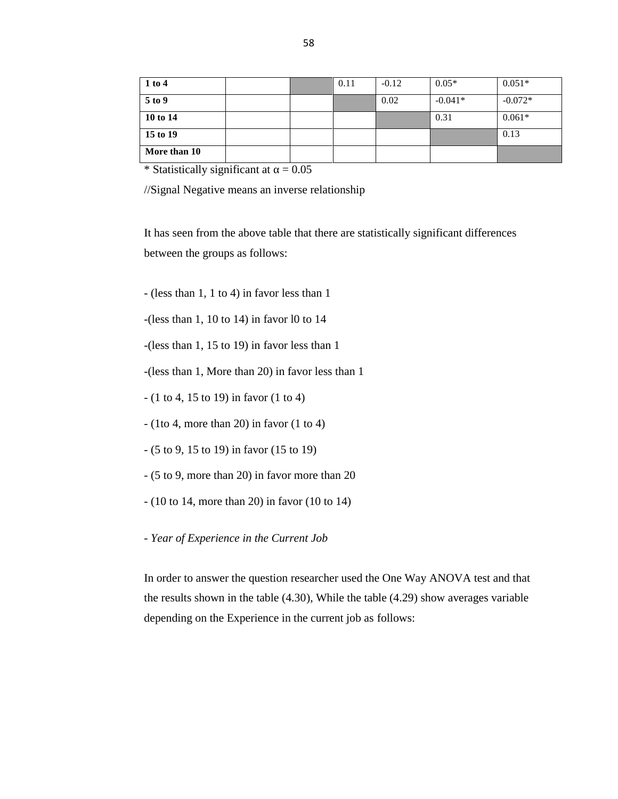| 1 to 4       |  | 0.11 | $-0.12$ | $0.05*$   | $0.051*$  |
|--------------|--|------|---------|-----------|-----------|
| 5 to 9       |  |      | 0.02    | $-0.041*$ | $-0.072*$ |
| 10 to 14     |  |      |         | 0.31      | $0.061*$  |
| 15 to 19     |  |      |         |           | 0.13      |
| More than 10 |  |      |         |           |           |

//Signal Negative means an inverse relationship

It has seen from the above table that there are statistically significant differences between the groups as follows:

- (less than 1, 1 to 4) in favor less than 1

 $-($ less than 1, 10 to 14) in favor 10 to 14

-(less than 1, 15 to 19) in favor less than 1

-(less than 1, More than 20) in favor less than 1

- (1 to 4, 15 to 19) in favor (1 to 4)
- (1to 4, more than 20) in favor (1 to 4)
- (5 to 9, 15 to 19) in favor (15 to 19)
- (5 to 9, more than 20) in favor more than 20
- (10 to 14, more than 20) in favor (10 to 14)
- *- Year of Experience in the Current Job*

In order to answer the question researcher used the One Way ANOVA test and that the results shown in the table (4.30), While the table (4.29) show averages variable depending on the Experience in the current job as follows: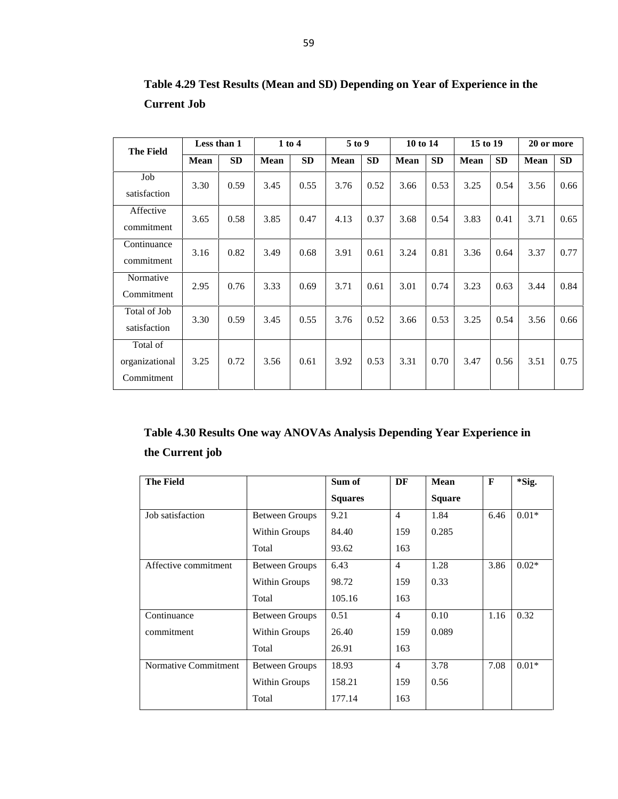| <b>The Field</b>                         | Less than 1 |           | $1$ to $4$  |           | 5 to 9      |           | 10 to 14 |           | 15 to 19 |           | 20 or more |           |
|------------------------------------------|-------------|-----------|-------------|-----------|-------------|-----------|----------|-----------|----------|-----------|------------|-----------|
|                                          | Mean        | <b>SD</b> | <b>Mean</b> | <b>SD</b> | <b>Mean</b> | <b>SD</b> | Mean     | <b>SD</b> | Mean     | <b>SD</b> | Mean       | <b>SD</b> |
| Job<br>satisfaction                      | 3.30        | 0.59      | 3.45        | 0.55      | 3.76        | 0.52      | 3.66     | 0.53      | 3.25     | 0.54      | 3.56       | 0.66      |
| Affective<br>commitment                  | 3.65        | 0.58      | 3.85        | 0.47      | 4.13        | 0.37      | 3.68     | 0.54      | 3.83     | 0.41      | 3.71       | 0.65      |
| Continuance<br>commitment                | 3.16        | 0.82      | 3.49        | 0.68      | 3.91        | 0.61      | 3.24     | 0.81      | 3.36     | 0.64      | 3.37       | 0.77      |
| Normative<br>Commitment                  | 2.95        | 0.76      | 3.33        | 0.69      | 3.71        | 0.61      | 3.01     | 0.74      | 3.23     | 0.63      | 3.44       | 0.84      |
| Total of Job<br>satisfaction             | 3.30        | 0.59      | 3.45        | 0.55      | 3.76        | 0.52      | 3.66     | 0.53      | 3.25     | 0.54      | 3.56       | 0.66      |
| Total of<br>organizational<br>Commitment | 3.25        | 0.72      | 3.56        | 0.61      | 3.92        | 0.53      | 3.31     | 0.70      | 3.47     | 0.56      | 3.51       | 0.75      |

**Table 4.29 Test Results (Mean and SD) Depending on Year of Experience in the Current Job**

# **Table 4.30 Results One way ANOVAs Analysis Depending Year Experience in the Current job**

| <b>The Field</b>     |                | Sum of         | DF             | <b>Mean</b>   | $\mathbf{F}$ | *Sig.   |
|----------------------|----------------|----------------|----------------|---------------|--------------|---------|
|                      |                | <b>Squares</b> |                | <b>Square</b> |              |         |
| Job satisfaction     | Between Groups | 9.21           | $\overline{4}$ | 1.84          | 6.46         | $0.01*$ |
|                      | Within Groups  | 84.40          | 159            | 0.285         |              |         |
|                      | Total          | 93.62          | 163            |               |              |         |
| Affective commitment | Between Groups | 6.43           | $\overline{4}$ | 1.28          | 3.86         | $0.02*$ |
|                      | Within Groups  | 98.72          | 159            | 0.33          |              |         |
|                      | Total          | 105.16         | 163            |               |              |         |
| Continuance          | Between Groups | 0.51           | $\overline{4}$ | 0.10          | 1.16         | 0.32    |
| commitment           | Within Groups  | 26.40          | 159            | 0.089         |              |         |
|                      | Total          | 26.91          | 163            |               |              |         |
| Normative Commitment | Between Groups | 18.93          | $\overline{4}$ | 3.78          | 7.08         | $0.01*$ |
|                      | Within Groups  | 158.21         | 159            | 0.56          |              |         |
|                      | Total          | 177.14         | 163            |               |              |         |
|                      |                |                |                |               |              |         |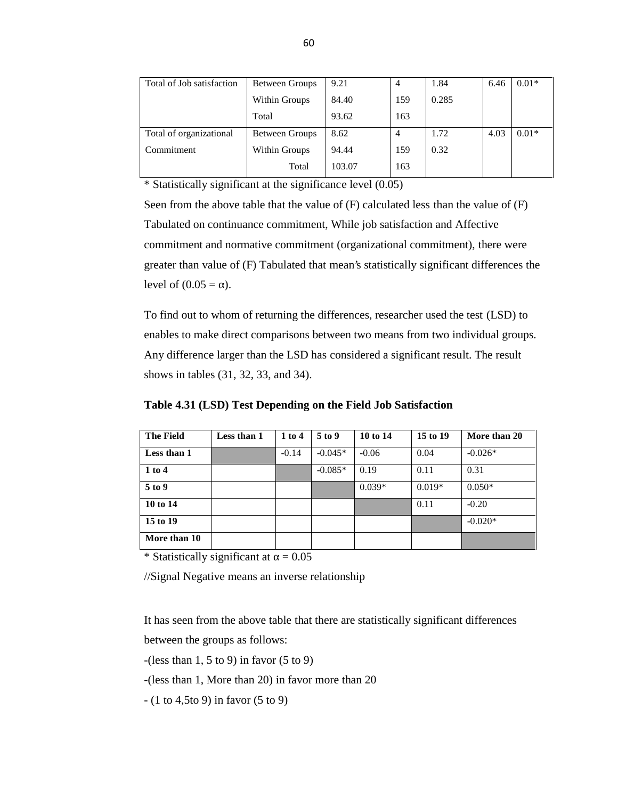| Total of Job satisfaction | Between Groups | 9.21   | $\overline{4}$ | 1.84  | 6.46 | $0.01*$ |
|---------------------------|----------------|--------|----------------|-------|------|---------|
|                           | Within Groups  | 84.40  | 159            | 0.285 |      |         |
|                           | Total          | 93.62  | 163            |       |      |         |
| Total of organizational   | Between Groups | 8.62   | 4              | 1.72  | 4.03 | $0.01*$ |
| Commitment                | Within Groups  | 94.44  | 159            | 0.32  |      |         |
|                           | Total          | 103.07 | 163            |       |      |         |

\* Statistically significant at the significance level (0.05)

Seen from the above table that the value of (F) calculated less than the value of (F) Tabulated on continuance commitment, While job satisfaction and Affective commitment and normative commitment (organizational commitment), there were greater than value of (F) Tabulated that mean's statistically significant differences the level of  $(0.05 = )$ .

To find out to whom of returning the differences, researcher used the test (LSD) to enables to make direct comparisons between two means from two individual groups. Any difference larger than the LSD has considered a significant result. The result shows in tables (31, 32, 33, and 34).

|  |  | Table 4.31 (LSD) Test Depending on the Field Job Satisfaction |  |
|--|--|---------------------------------------------------------------|--|
|--|--|---------------------------------------------------------------|--|

| <b>The Field</b> | Less than 1 | $1$ to $4$ | 5 to 9    | 10 to 14 | 15 to 19 | More than 20 |
|------------------|-------------|------------|-----------|----------|----------|--------------|
| Less than 1      |             | $-0.14$    | $-0.045*$ | $-0.06$  | 0.04     | $-0.026*$    |
| 1 to 4           |             |            | $-0.085*$ | 0.19     | 0.11     | 0.31         |
| 5 to 9           |             |            |           | $0.039*$ | $0.019*$ | $0.050*$     |
| 10 to 14         |             |            |           |          | 0.11     | $-0.20$      |
| 15 to 19         |             |            |           |          |          | $-0.020*$    |
| More than 10     |             |            |           |          |          |              |

\* Statistically significant at  $= 0.05$ 

//Signal Negative means an inverse relationship

It has seen from the above table that there are statistically significant differences

between the groups as follows:

 $-(\text{less than } 1, 5 \text{ to } 9)$  in favor  $(5 \text{ to } 9)$ 

-(less than 1, More than 20) in favor more than 20

 $- (1 to 4, 5 to 9)$  in favor  $(5 to 9)$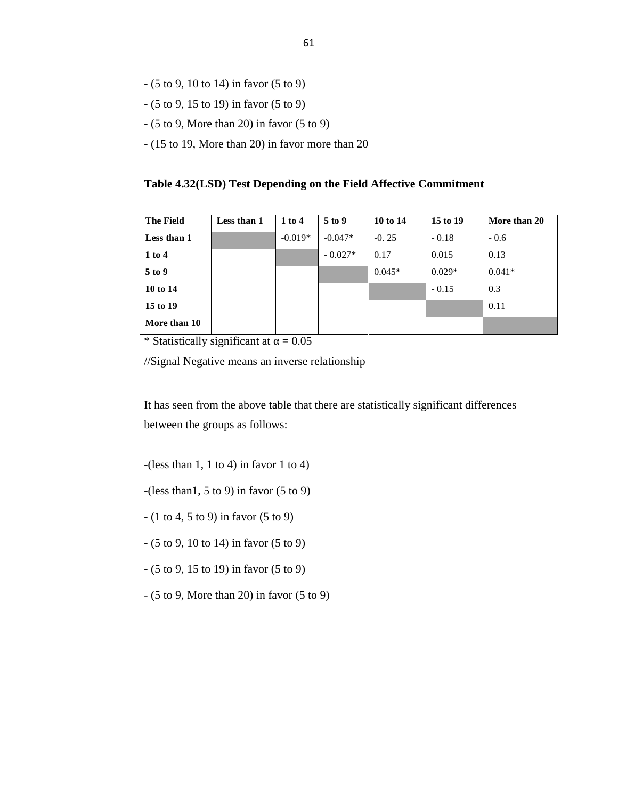- (5 to 9, 10 to 14) in favor (5 to 9)
- (5 to 9, 15 to 19) in favor (5 to 9)
- (5 to 9, More than 20) in favor (5 to 9)
- (15 to 19, More than 20) in favor more than 20

#### **Table 4.32(LSD) Test Depending on the Field Affective Commitment**

| <b>The Field</b> | Less than 1 | 1 to 4    | 5 to 9    | 10 to 14 | 15 to 19 | More than 20 |
|------------------|-------------|-----------|-----------|----------|----------|--------------|
| Less than 1      |             | $-0.019*$ | $-0.047*$ | $-0.25$  | $-0.18$  | $-0.6$       |
| 1 to 4           |             |           | $-0.027*$ | 0.17     | 0.015    | 0.13         |
| 5 to 9           |             |           |           | $0.045*$ | $0.029*$ | $0.041*$     |
| 10 to 14         |             |           |           |          | $-0.15$  | 0.3          |
| 15 to 19         |             |           |           |          |          | 0.11         |
| More than 10     |             |           |           |          |          |              |

\* Statistically significant at  $= 0.05$ 

//Signal Negative means an inverse relationship

It has seen from the above table that there are statistically significant differences between the groups as follows:

 $-(\text{less than } 1, 1 \text{ to } 4)$  in favor 1 to 4)

 $-(\text{less than}1, 5 \text{ to } 9)$  in favor  $(5 \text{ to } 9)$ 

 $- (1 to 4, 5 to 9)$  in favor  $(5 to 9)$ 

- (5 to 9, 10 to 14) in favor (5 to 9)

- (5 to 9, 15 to 19) in favor (5 to 9)
- (5 to 9, More than 20) in favor (5 to 9)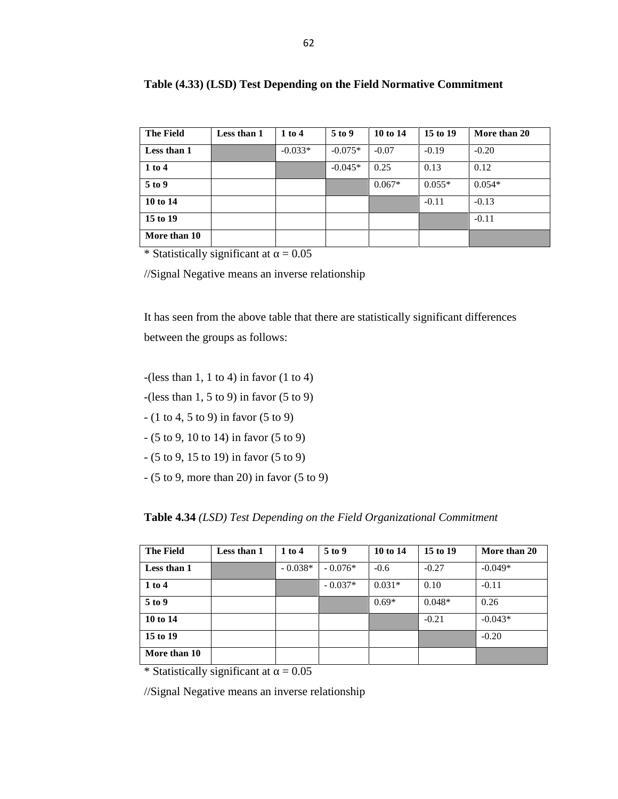| <b>The Field</b> | Less than 1 | 1 to 4    | $5$ to 9  | 10 to 14 | 15 to 19 | More than 20 |
|------------------|-------------|-----------|-----------|----------|----------|--------------|
| Less than 1      |             | $-0.033*$ | $-0.075*$ | $-0.07$  | $-0.19$  | $-0.20$      |
| 1 to 4           |             |           | $-0.045*$ | 0.25     | 0.13     | 0.12         |
| 5 to 9           |             |           |           | $0.067*$ | $0.055*$ | $0.054*$     |
| 10 to 14         |             |           |           |          | $-0.11$  | $-0.13$      |
| 15 to 19         |             |           |           |          |          | $-0.11$      |
| More than 10     |             |           |           |          |          |              |

### **Table (4.33) (LSD) Test Depending on the Field Normative Commitment**

\* Statistically significant at  $= 0.05$ 

//Signal Negative means an inverse relationship

It has seen from the above table that there are statistically significant differences between the groups as follows:

 $-(\text{less than } 1, 1 \text{ to } 4)$  in favor  $(1 \text{ to } 4)$ 

- $-(\text{less than } 1, 5 \text{ to } 9)$  in favor  $(5 \text{ to } 9)$
- $(1 to 4, 5 to 9)$  in favor  $(5 to 9)$
- (5 to 9, 10 to 14) in favor (5 to 9)
- (5 to 9, 15 to 19) in favor (5 to 9)
- (5 to 9, more than 20) in favor (5 to 9)

**Table 4.34** *(LSD) Test Depending on the Field Organizational Commitment*

| <b>The Field</b> | Less than 1 | 1 to 4    | 5 to 9    | 10 to 14 | 15 to 19 | More than 20 |
|------------------|-------------|-----------|-----------|----------|----------|--------------|
| Less than 1      |             | $-0.038*$ | $-0.076*$ | $-0.6$   | $-0.27$  | $-0.049*$    |
| 1 to 4           |             |           | $-0.037*$ | $0.031*$ | 0.10     | $-0.11$      |
| 5 to 9           |             |           |           | $0.69*$  | $0.048*$ | 0.26         |
| 10 to 14         |             |           |           |          | $-0.21$  | $-0.043*$    |
| 15 to 19         |             |           |           |          |          | $-0.20$      |
| More than 10     |             |           |           |          |          |              |

\* Statistically significant at  $= 0.05$ 

//Signal Negative means an inverse relationship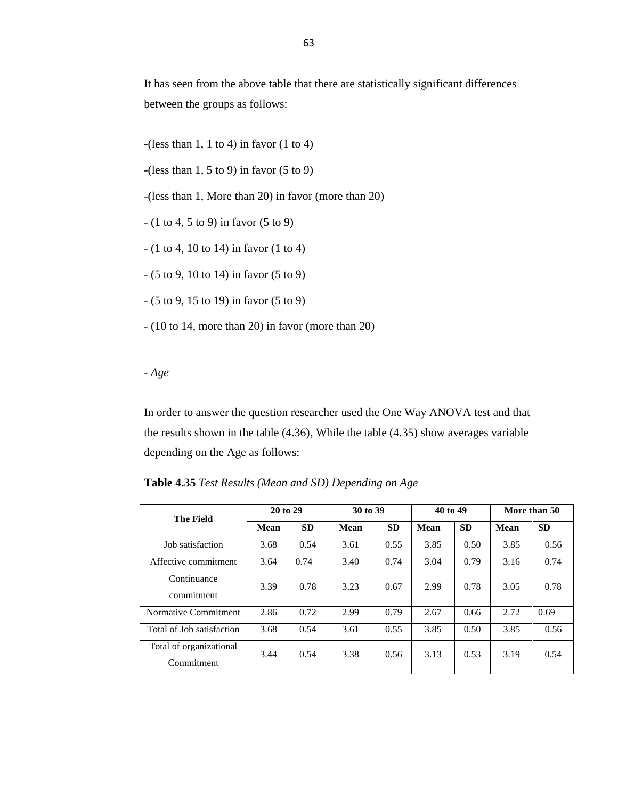It has seen from the above table that there are statistically significant differences between the groups as follows:

- $-(\text{less than } 1, 1 \text{ to } 4)$  in favor  $(1 \text{ to } 4)$
- $-(\text{less than } 1, 5 \text{ to } 9)$  in favor  $(5 \text{ to } 9)$

-(less than 1, More than 20) in favor (more than 20)

- (1 to 4, 5 to 9) in favor (5 to 9)
- (1 to 4, 10 to 14) in favor (1 to 4)
- (5 to 9, 10 to 14) in favor (5 to 9)
- (5 to 9, 15 to 19) in favor (5 to 9)
- (10 to 14, more than 20) in favor (more than 20)

*- Age*

In order to answer the question researcher used the One Way ANOVA test and that the results shown in the table (4.36), While the table (4.35) show averages variable depending on the Age as follows:

**Table 4.35** *Test Results (Mean and SD) Depending on Age*

| <b>The Field</b>                      | 20 to 29    |           | 30 to 39    |           | 40 to 49    |           | More than 50 |           |
|---------------------------------------|-------------|-----------|-------------|-----------|-------------|-----------|--------------|-----------|
|                                       | <b>Mean</b> | <b>SD</b> | <b>Mean</b> | <b>SD</b> | <b>Mean</b> | <b>SD</b> | <b>Mean</b>  | <b>SD</b> |
| Job satisfaction                      | 3.68        | 0.54      | 3.61        | 0.55      | 3.85        | 0.50      | 3.85         | 0.56      |
| Affective commitment                  | 3.64        | 0.74      | 3.40        | 0.74      | 3.04        | 0.79      | 3.16         | 0.74      |
| Continuance<br>commitment             | 3.39        | 0.78      | 3.23        | 0.67      | 2.99        | 0.78      | 3.05         | 0.78      |
| Normative Commitment                  | 2.86        | 0.72      | 2.99        | 0.79      | 2.67        | 0.66      | 2.72         | 0.69      |
| Total of Job satisfaction             | 3.68        | 0.54      | 3.61        | 0.55      | 3.85        | 0.50      | 3.85         | 0.56      |
| Total of organizational<br>Commitment | 3.44        | 0.54      | 3.38        | 0.56      | 3.13        | 0.53      | 3.19         | 0.54      |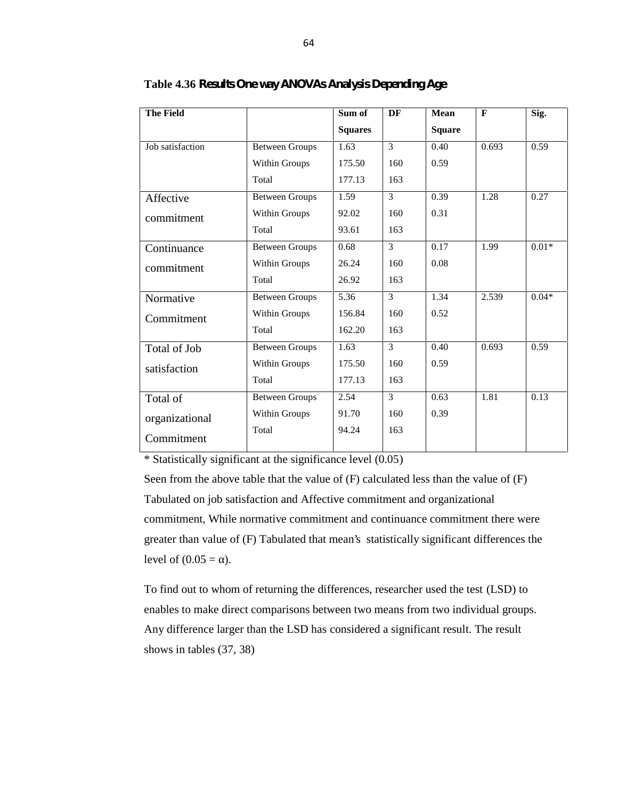| <b>The Field</b> |                       | Sum of         | DF             | Mean          | $\mathbf{F}$ | Sig.    |
|------------------|-----------------------|----------------|----------------|---------------|--------------|---------|
|                  |                       | <b>Squares</b> |                | <b>Square</b> |              |         |
| Job satisfaction | <b>Between Groups</b> | 1.63           | $\mathfrak{Z}$ | 0.40          | 0.693        | 0.59    |
|                  | Within Groups         | 175.50         | 160            | 0.59          |              |         |
|                  | Total                 | 177.13         | 163            |               |              |         |
| Affective        | <b>Between Groups</b> | 1.59           | 3              | 0.39          | 1.28         | 0.27    |
| commitment       | Within Groups         | 92.02          | 160            | 0.31          |              |         |
|                  | Total                 | 93.61          | 163            |               |              |         |
| Continuance      | <b>Between Groups</b> | 0.68           | 3              | 0.17          | 1.99         | $0.01*$ |
| commitment       | Within Groups         | 26.24          | 160            | 0.08          |              |         |
|                  | Total                 | 26.92          | 163            |               |              |         |
| Normative        | <b>Between Groups</b> | 5.36           | 3              | 1.34          | 2.539        | $0.04*$ |
| Commitment       | Within Groups         | 156.84         | 160            | 0.52          |              |         |
|                  | Total                 | 162.20         | 163            |               |              |         |
| Total of Job     | <b>Between Groups</b> | 1.63           | 3              | 0.40          | 0.693        | 0.59    |
| satisfaction     | Within Groups         | 175.50         | 160            | 0.59          |              |         |
|                  | Total                 | 177.13         | 163            |               |              |         |
| Total of         | <b>Between Groups</b> | 2.54           | 3              | 0.63          | 1.81         | 0.13    |
| organizational   | Within Groups         | 91.70          | 160            | 0.39          |              |         |
| Commitment       | Total                 | 94.24          | 163            |               |              |         |

**Table 4.36** *Results One way ANOVAs Analysis Depending Age*

\* Statistically significant at the significance level (0.05)

Seen from the above table that the value of (F) calculated less than the value of (F) Tabulated on job satisfaction and Affective commitment and organizational commitment, While normative commitment and continuance commitment there were greater than value of (F) Tabulated that mean's statistically significant differences the level of  $(0.05 = )$ .

To find out to whom of returning the differences, researcher used the test (LSD) to enables to make direct comparisons between two means from two individual groups. Any difference larger than the LSD has considered a significant result. The result shows in tables (37, 38)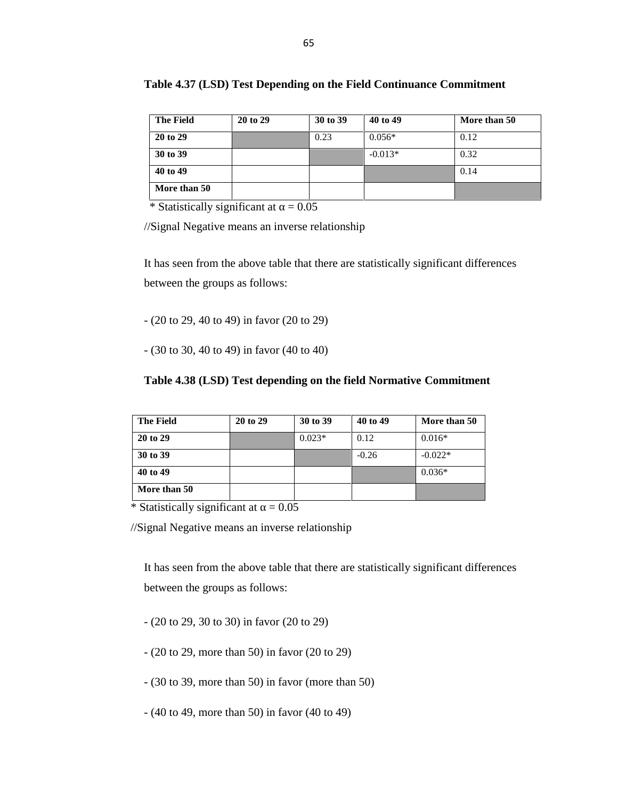| <b>The Field</b> | 20 to 29 | 30 to 39 | 40 to 49  | More than 50 |
|------------------|----------|----------|-----------|--------------|
| 20 to 29         |          | 0.23     | $0.056*$  | 0.12         |
| 30 to 39         |          |          | $-0.013*$ | 0.32         |
| 40 to 49         |          |          |           | 0.14         |
| More than 50     |          |          |           |              |

|  |  | Table 4.37 (LSD) Test Depending on the Field Continuance Commitment |  |
|--|--|---------------------------------------------------------------------|--|
|--|--|---------------------------------------------------------------------|--|

//Signal Negative means an inverse relationship

It has seen from the above table that there are statistically significant differences between the groups as follows:

- (20 to 29, 40 to 49) in favor (20 to 29)

- (30 to 30, 40 to 49) in favor (40 to 40)

#### **Table 4.38 (LSD) Test depending on the field Normative Commitment**

| <b>The Field</b> | 20 to 29 | 30 to 39 | 40 to 49 | More than 50 |
|------------------|----------|----------|----------|--------------|
| 20 to 29         |          | $0.023*$ | 0.12     | $0.016*$     |
| 30 to 39         |          |          | $-0.26$  | $-0.022*$    |
| 40 to 49         |          |          |          | $0.036*$     |
| More than 50     |          |          |          |              |

\* Statistically significant at  $= 0.05$ 

//Signal Negative means an inverse relationship

It has seen from the above table that there are statistically significant differences between the groups as follows:

- (20 to 29, 30 to 30) in favor (20 to 29)
- (20 to 29, more than 50) in favor (20 to 29)
- (30 to 39, more than 50) in favor (more than 50)
- (40 to 49, more than 50) in favor (40 to 49)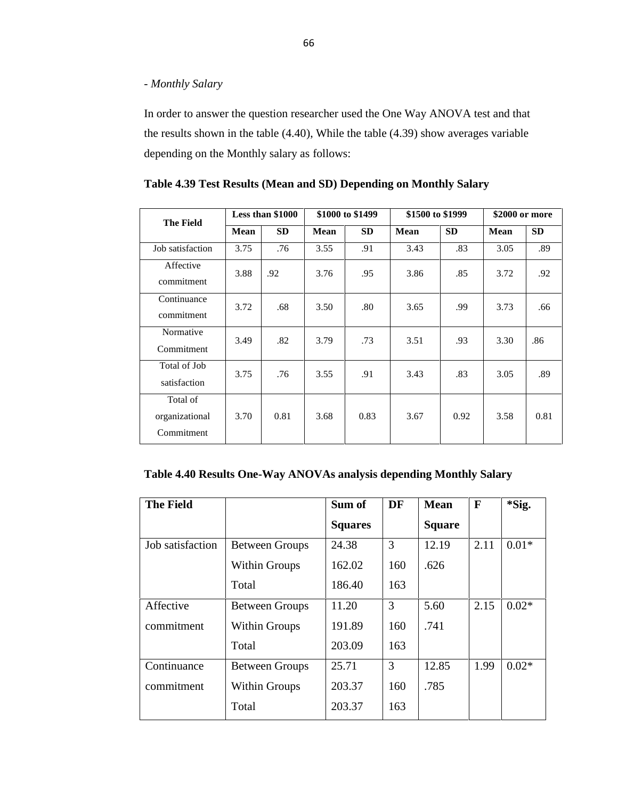### *- Monthly Salary*

In order to answer the question researcher used the One Way ANOVA test and that the results shown in the table (4.40), While the table (4.39) show averages variable depending on the Monthly salary as follows:

| <b>The Field</b>                         |             | Less than \$1000<br>\$1000 to \$1499 |             |           | \$1500 to \$1999 | \$2000 or more |             |           |
|------------------------------------------|-------------|--------------------------------------|-------------|-----------|------------------|----------------|-------------|-----------|
|                                          | <b>Mean</b> | <b>SD</b>                            | <b>Mean</b> | <b>SD</b> | Mean             | <b>SD</b>      | <b>Mean</b> | <b>SD</b> |
| Job satisfaction                         | 3.75        | .76                                  | 3.55        | .91       | 3.43             | .83            | 3.05        | .89       |
| Affective<br>commitment                  | 3.88        | .92                                  | 3.76        | .95       | 3.86             | .85            | 3.72        | .92       |
| Continuance<br>commitment                | 3.72        | .68                                  | 3.50        | .80       | 3.65             | .99            | 3.73        | .66       |
| Normative<br>Commitment                  | 3.49        | .82                                  | 3.79        | .73       | 3.51             | .93            | 3.30        | .86       |
| Total of Job<br>satisfaction             | 3.75        | .76                                  | 3.55        | .91       | 3.43             | .83            | 3.05        | .89       |
| Total of<br>organizational<br>Commitment | 3.70        | 0.81                                 | 3.68        | 0.83      | 3.67             | 0.92           | 3.58        | 0.81      |

|  |  | Table 4.39 Test Results (Mean and SD) Depending on Monthly Salary |
|--|--|-------------------------------------------------------------------|
|  |  |                                                                   |

### **Table 4.40 Results One-Way ANOVAs analysis depending Monthly Salary**

| <b>The Field</b> |                       | Sum of         | <b>DF</b> | <b>Mean</b>   | $\mathbf F$ | *Sig.   |
|------------------|-----------------------|----------------|-----------|---------------|-------------|---------|
|                  |                       | <b>Squares</b> |           | <b>Square</b> |             |         |
| Job satisfaction | <b>Between Groups</b> | 24.38          | 3         | 12.19         | 2.11        | $0.01*$ |
|                  | Within Groups         | 162.02         | 160       | .626          |             |         |
|                  | Total                 | 186.40         | 163       |               |             |         |
| Affective        | <b>Between Groups</b> | 11.20          | 3         | 5.60          | 2.15        | $0.02*$ |
| commitment       | Within Groups         | 191.89         | 160       | .741          |             |         |
|                  | Total                 | 203.09         | 163       |               |             |         |
| Continuance      | <b>Between Groups</b> | 25.71          | 3         | 12.85         | 1.99        | $0.02*$ |
| commitment       | <b>Within Groups</b>  | 203.37         | 160       | .785          |             |         |
|                  | Total                 | 203.37         | 163       |               |             |         |
|                  |                       |                |           |               |             |         |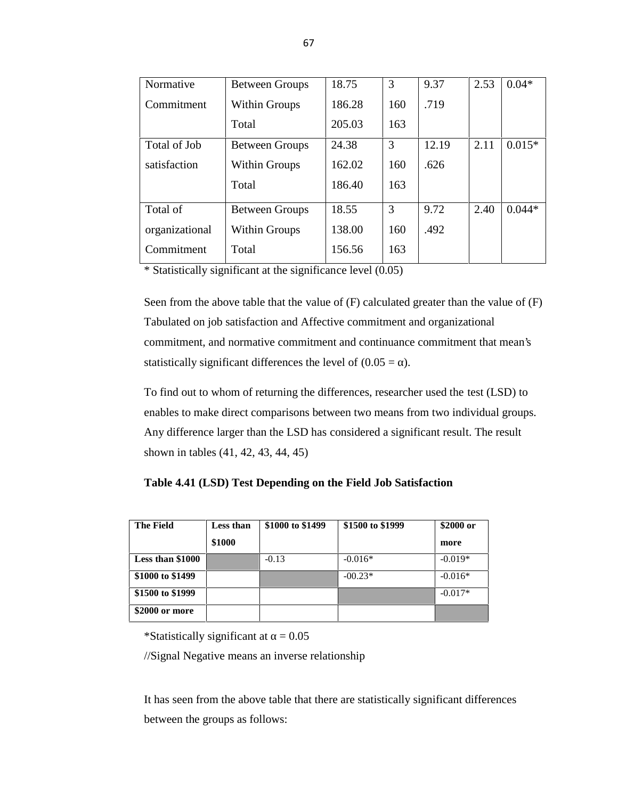| Normative      | <b>Between Groups</b> | 18.75  | 3   | 9.37  | 2.53 | $0.04*$  |  |
|----------------|-----------------------|--------|-----|-------|------|----------|--|
| Commitment     | Within Groups         | 186.28 | 160 | .719  |      |          |  |
|                | Total                 | 205.03 | 163 |       |      |          |  |
| Total of Job   | <b>Between Groups</b> | 24.38  | 3   | 12.19 | 2.11 | $0.015*$ |  |
| satisfaction   | Within Groups         | 162.02 | 160 | .626  |      |          |  |
|                | Total                 | 186.40 | 163 |       |      |          |  |
| Total of       | <b>Between Groups</b> | 18.55  | 3   | 9.72  | 2.40 | $0.044*$ |  |
| organizational | Within Groups         | 138.00 | 160 | .492  |      |          |  |
| Commitment     | Total                 | 156.56 | 163 |       |      |          |  |

\* Statistically significant at the significance level (0.05)

Seen from the above table that the value of (F) calculated greater than the value of (F) Tabulated on job satisfaction and Affective commitment and organizational commitment, and normative commitment and continuance commitment that mean's statistically significant differences the level of  $(0.05 = )$ .

To find out to whom of returning the differences, researcher used the test (LSD) to enables to make direct comparisons between two means from two individual groups. Any difference larger than the LSD has considered a significant result. The result shown in tables (41, 42, 43, 44, 45)

**Table 4.41 (LSD) Test Depending on the Field Job Satisfaction**

| <b>The Field</b> | Less than | \$1000 to \$1499 | \$1500 to \$1999 | \$2000 or |
|------------------|-----------|------------------|------------------|-----------|
|                  | \$1000    |                  |                  | more      |
| Less than \$1000 |           | $-0.13$          | $-0.016*$        | $-0.019*$ |
| \$1000 to \$1499 |           |                  | $-00.23*$        | $-0.016*$ |
| \$1500 to \$1999 |           |                  |                  | $-0.017*$ |
| \$2000 or more   |           |                  |                  |           |

\*Statistically significant at  $= 0.05$ 

//Signal Negative means an inverse relationship

It has seen from the above table that there are statistically significant differences between the groups as follows: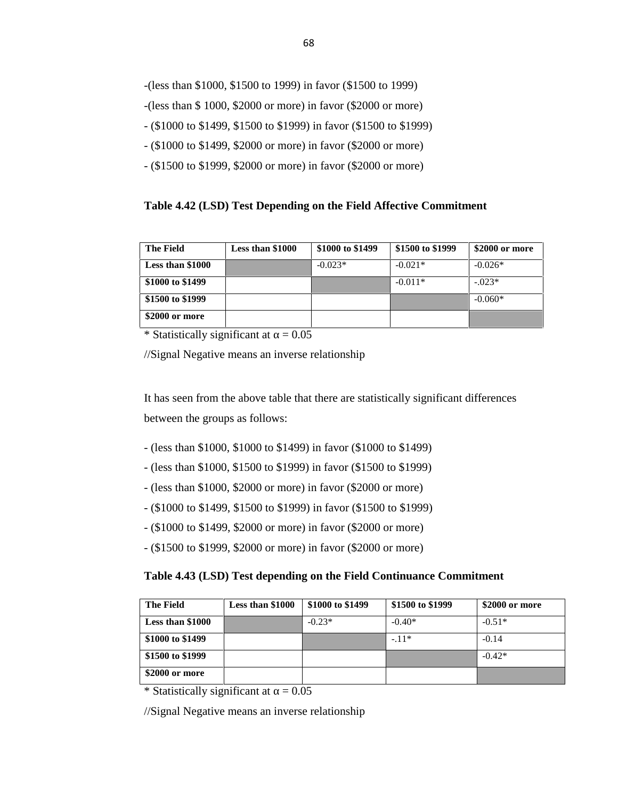- -(less than \$1000, \$1500 to 1999) in favor (\$1500 to 1999)
- -(less than \$ 1000, \$2000 or more) in favor (\$2000 or more)
- (\$1000 to \$1499, \$1500 to \$1999) in favor (\$1500 to \$1999)
- (\$1000 to \$1499, \$2000 or more) in favor (\$2000 or more)
- (\$1500 to \$1999, \$2000 or more) in favor (\$2000 or more)

#### **Table 4.42 (LSD) Test Depending on the Field Affective Commitment**

| <b>The Field</b> | Less than \$1000 | \$1000 to \$1499 | \$1500 to \$1999 | \$2000 or more |
|------------------|------------------|------------------|------------------|----------------|
| Less than \$1000 |                  | $-0.023*$        | $-0.021*$        | $-0.026*$      |
| \$1000 to \$1499 |                  |                  | $-0.011*$        | $-.023*$       |
| \$1500 to \$1999 |                  |                  |                  | $-0.060*$      |
| \$2000 or more   |                  |                  |                  |                |

\* Statistically significant at  $= 0.05$ 

//Signal Negative means an inverse relationship

It has seen from the above table that there are statistically significant differences between the groups as follows:

- (less than \$1000, \$1000 to \$1499) in favor (\$1000 to \$1499)
- (less than \$1000, \$1500 to \$1999) in favor (\$1500 to \$1999)
- (less than \$1000, \$2000 or more) in favor (\$2000 or more)
- (\$1000 to \$1499, \$1500 to \$1999) in favor (\$1500 to \$1999)
- (\$1000 to \$1499, \$2000 or more) in favor (\$2000 or more)
- (\$1500 to \$1999, \$2000 or more) in favor (\$2000 or more)

#### **Table 4.43 (LSD) Test depending on the Field Continuance Commitment**

| <b>The Field</b> | Less than \$1000 | \$1000 to \$1499 | \$1500 to \$1999 | \$2000 or more |
|------------------|------------------|------------------|------------------|----------------|
| Less than \$1000 |                  | $-0.23*$         | $-0.40*$         | $-0.51*$       |
| \$1000 to \$1499 |                  |                  | $-.11*$          | $-0.14$        |
| \$1500 to \$1999 |                  |                  |                  | $-0.42*$       |
| \$2000 or more   |                  |                  |                  |                |

\* Statistically significant at  $= 0.05$ 

//Signal Negative means an inverse relationship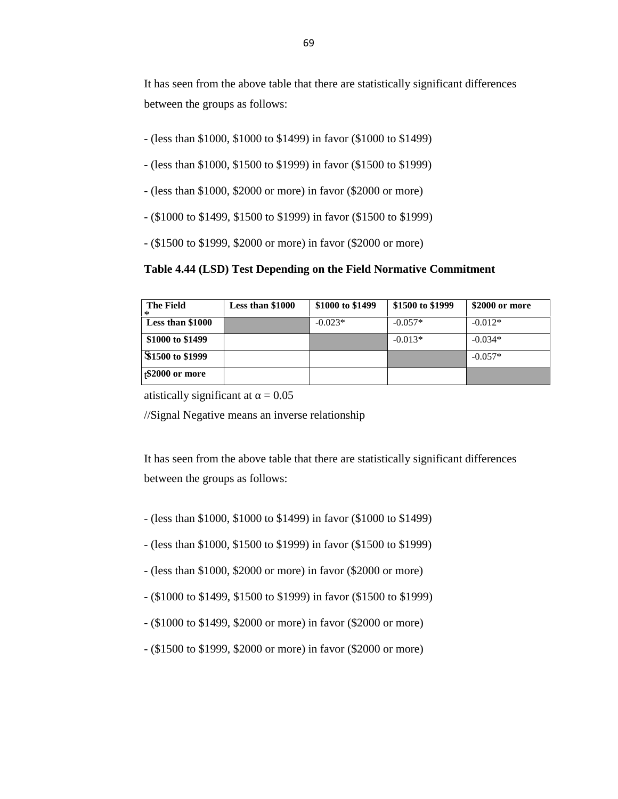It has seen from the above table that there are statistically significant differences between the groups as follows:

- (less than \$1000, \$1000 to \$1499) in favor (\$1000 to \$1499)
- (less than \$1000, \$1500 to \$1999) in favor (\$1500 to \$1999)
- (less than \$1000, \$2000 or more) in favor (\$2000 or more)
- (\$1000 to \$1499, \$1500 to \$1999) in favor (\$1500 to \$1999)
- (\$1500 to \$1999, \$2000 or more) in favor (\$2000 or more)

#### **Table 4.44 (LSD) Test Depending on the Field Normative Commitment**

| <b>The Field</b><br>$^{\ast}$ | Less than \$1000 | \$1000 to \$1499 | \$1500 to \$1999 | \$2000 or more |
|-------------------------------|------------------|------------------|------------------|----------------|
| Less than \$1000              |                  | $-0.023*$        | $-0.057*$        | $-0.012*$      |
| \$1000 to \$1499              |                  |                  | $-0.013*$        | $-0.034*$      |
| \$1500 to \$1999              |                  |                  |                  | $-0.057*$      |
| $\frac{1}{2}2000$ or more     |                  |                  |                  |                |

atistically significant at  $= 0.05$ 

//Signal Negative means an inverse relationship

It has seen from the above table that there are statistically significant differences between the groups as follows:

- (less than \$1000, \$1000 to \$1499) in favor (\$1000 to \$1499)
- (less than \$1000, \$1500 to \$1999) in favor (\$1500 to \$1999)
- (less than \$1000, \$2000 or more) in favor (\$2000 or more)
- (\$1000 to \$1499, \$1500 to \$1999) in favor (\$1500 to \$1999)
- (\$1000 to \$1499, \$2000 or more) in favor (\$2000 or more)
- (\$1500 to \$1999, \$2000 or more) in favor (\$2000 or more)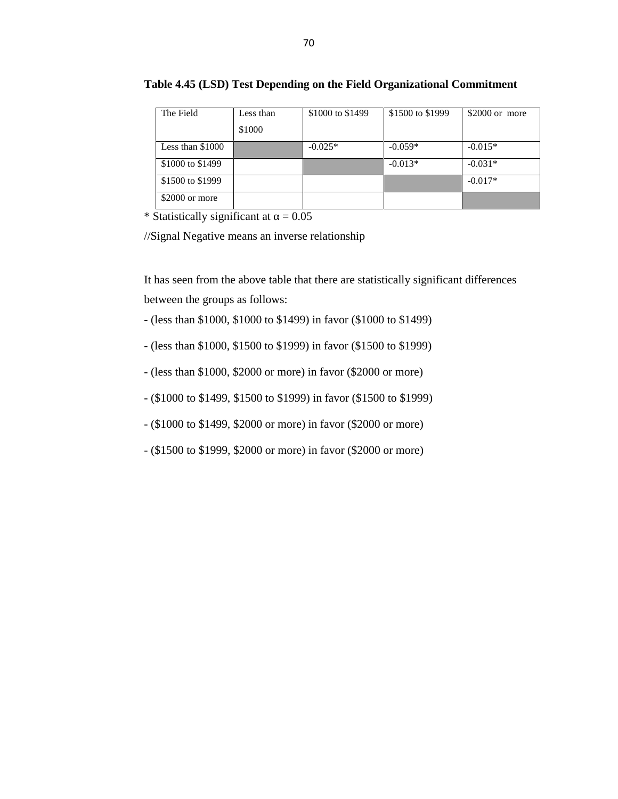| The Field        | Less than | \$1000 to \$1499 | \$1500 to \$1999 | \$2000 or more |
|------------------|-----------|------------------|------------------|----------------|
|                  | \$1000    |                  |                  |                |
| Less than \$1000 |           | $-0.025*$        | $-0.059*$        | $-0.015*$      |
| \$1000 to \$1499 |           |                  | $-0.013*$        | $-0.031*$      |
| \$1500 to \$1999 |           |                  |                  | $-0.017*$      |
| \$2000 or more   |           |                  |                  |                |

#### **Table 4.45 (LSD) Test Depending on the Field Organizational Commitment**

\* Statistically significant at  $= 0.05$ 

//Signal Negative means an inverse relationship

It has seen from the above table that there are statistically significant differences between the groups as follows:

- (less than \$1000, \$1000 to \$1499) in favor (\$1000 to \$1499)
- (less than \$1000, \$1500 to \$1999) in favor (\$1500 to \$1999)
- (less than \$1000, \$2000 or more) in favor (\$2000 or more)
- (\$1000 to \$1499, \$1500 to \$1999) in favor (\$1500 to \$1999)
- (\$1000 to \$1499, \$2000 or more) in favor (\$2000 or more)
- (\$1500 to \$1999, \$2000 or more) in favor (\$2000 or more)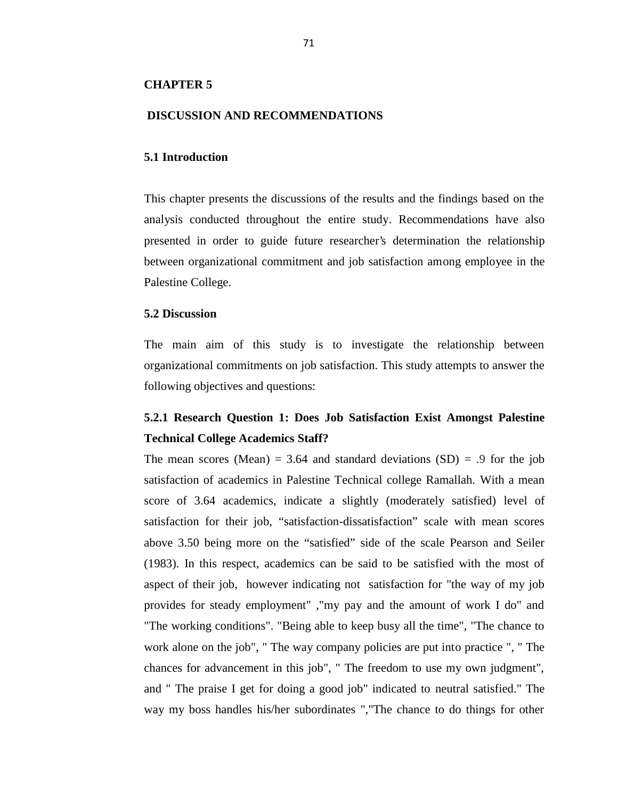#### **CHAPTER 5**

#### **DISCUSSION AND RECOMMENDATIONS**

#### **5.1 Introduction**

This chapter presents the discussions of the results and the findings based on the analysis conducted throughout the entire study. Recommendations have also presented in order to guide future researcher's determination the relationship between organizational commitment and job satisfaction among employee in the Palestine College.

#### **5.2 Discussion**

The main aim of this study is to investigate the relationship between organizational commitments on job satisfaction. This study attempts to answer the following objectives and questions:

### **5.2.1 Research Question 1: Does Job Satisfaction Exist Amongst Palestine Technical College Academics Staff?**

The mean scores (Mean) = 3.64 and standard deviations  $(SD)$  = .9 for the job satisfaction of academics in Palestine Technical college Ramallah. With a mean score of 3.64 academics, indicate a slightly (moderately satisfied) level of satisfaction for their job, "satisfaction-dissatisfaction" scale with mean scores above 3.50 being more on the "satisfied" side of the scale Pearson and Seiler (1983). In this respect, academics can be said to be satisfied with the most of aspect of their job, however indicating not satisfaction for "the way of my job provides for steady employment" ,"my pay and the amount of work I do" and "The working conditions". "Being able to keep busy all the time", "The chance to work alone on the job", " The way company policies are put into practice ", " The chances for advancement in this job", " The freedom to use my own judgment", and " The praise I get for doing a good job" indicated to neutral satisfied." The way my boss handles his/her subordinates ","The chance to do things for other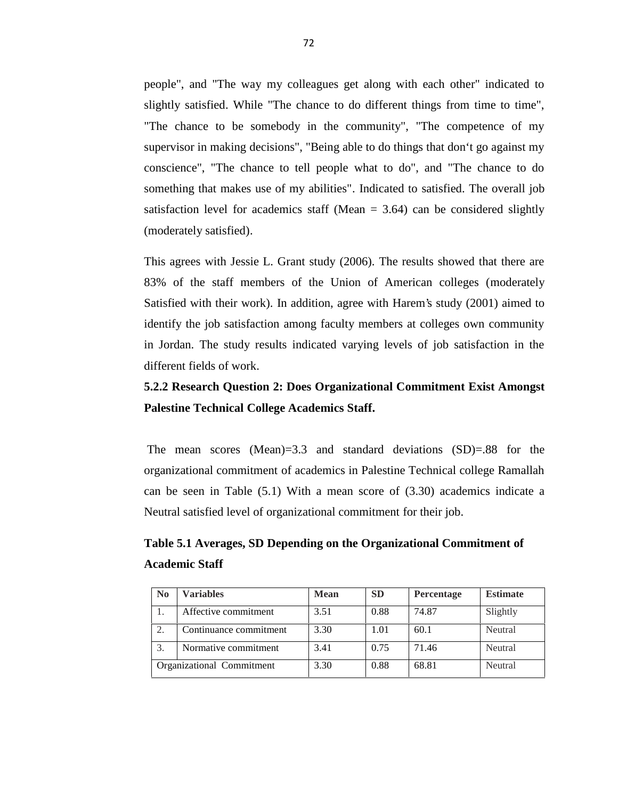people", and "The way my colleagues get along with each other" indicated to slightly satisfied. While "The chance to do different things from time to time", "The chance to be somebody in the community", "The competence of my supervisor in making decisions", "Being able to do things that don't go against my conscience", "The chance to tell people what to do", and "The chance to do something that makes use of my abilities". Indicated to satisfied. The overall job satisfaction level for academics staff (Mean  $= 3.64$ ) can be considered slightly (moderately satisfied).

This agrees with Jessie L. Grant study (2006). The results showed that there are 83% of the staff members of the Union of American colleges (moderately Satisfied with their work). In addition, agree with Harem's study (2001) aimed to identify the job satisfaction among faculty members at colleges own community in Jordan. The study results indicated varying levels of job satisfaction in the different fields of work.

## **5.2.2 Research Question 2: Does Organizational Commitment Exist Amongst Palestine Technical College Academics Staff.**

The mean scores (Mean)=3.3 and standard deviations (SD)=.88 for the organizational commitment of academics in Palestine Technical college Ramallah can be seen in Table (5.1) With a mean score of (3.30) academics indicate a Neutral satisfied level of organizational commitment for their job.

# **Table 5.1 Averages, SD Depending on the Organizational Commitment of Academic Staff**

| $\bf No$ | <b>Variables</b>          | Mean | <b>SD</b> | <b>Percentage</b> | <b>Estimate</b> |
|----------|---------------------------|------|-----------|-------------------|-----------------|
|          | Affective commitment      | 3.51 | 0.88      | 74.87             | Slightly        |
| 2.       | Continuance commitment    | 3.30 | 1.01      | 60.1              | Neutral         |
| 3.       | Normative commitment      | 3.41 | 0.75      | 71.46             | Neutral         |
|          | Organizational Commitment | 3.30 | 0.88      | 68.81             | Neutral         |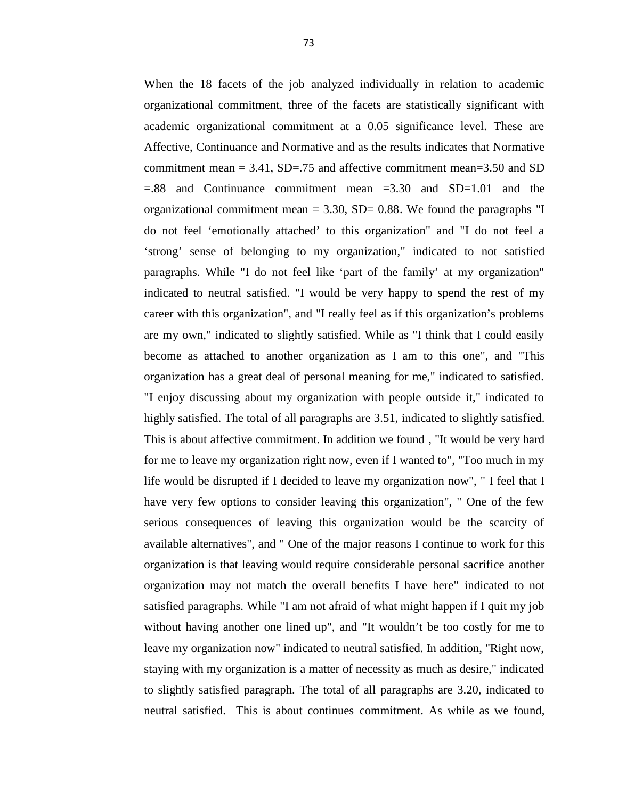When the 18 facets of the job analyzed individually in relation to academic organizational commitment, three of the facets are statistically significant with academic organizational commitment at a 0.05 significance level. These are Affective, Continuance and Normative and as the results indicates that Normative commitment mean  $= 3.41$ , SD=.75 and affective commitment mean=3.50 and SD =.88 and Continuance commitment mean =3.30 and SD=1.01 and the organizational commitment mean  $= 3.30$ , SD= 0.88. We found the paragraphs "I do not feel 'emotionally attached' to this organization" and "I do not feel a 'strong' sense of belonging to my organization," indicated to not satisfied paragraphs. While "I do not feel like 'part of the family' at my organization" indicated to neutral satisfied. "I would be very happy to spend the rest of my career with this organization", and "I really feel as if this organization's problems are my own," indicated to slightly satisfied. While as "I think that I could easily become as attached to another organization as I am to this one", and "This organization has a great deal of personal meaning for me," indicated to satisfied. "I enjoy discussing about my organization with people outside it," indicated to highly satisfied. The total of all paragraphs are 3.51, indicated to slightly satisfied. This is about affective commitment. In addition we found , "It would be very hard for me to leave my organization right now, even if I wanted to", "Too much in my life would be disrupted if I decided to leave my organization now", " I feel that I have very few options to consider leaving this organization", " One of the few serious consequences of leaving this organization would be the scarcity of available alternatives", and " One of the major reasons I continue to work for this organization is that leaving would require considerable personal sacrifice another organization may not match the overall benefits I have here" indicated to not satisfied paragraphs. While "I am not afraid of what might happen if I quit my job without having another one lined up", and "It wouldn't be too costly for me to leave my organization now" indicated to neutral satisfied. In addition, "Right now, staying with my organization is a matter of necessity as much as desire," indicated to slightly satisfied paragraph. The total of all paragraphs are 3.20, indicated to neutral satisfied. This is about continues commitment. As while as we found,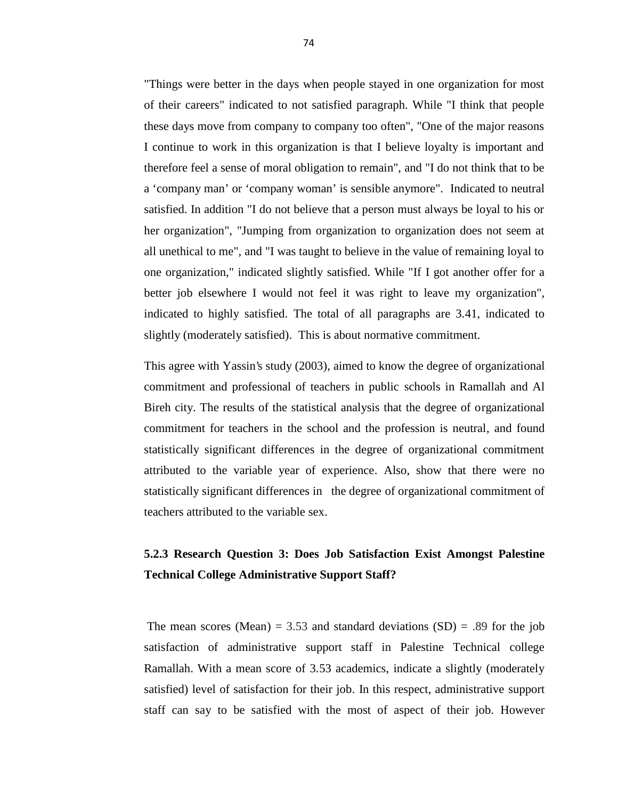"Things were better in the days when people stayed in one organization for most of their careers" indicated to not satisfied paragraph. While "I think that people these days move from company to company too often", "One of the major reasons I continue to work in this organization is that I believe loyalty is important and therefore feel a sense of moral obligation to remain", and "I do not think that to be a 'company man' or 'company woman' is sensible anymore". Indicated to neutral satisfied. In addition "I do not believe that a person must always be loyal to his or her organization", "Jumping from organization to organization does not seem at all unethical to me", and "I was taught to believe in the value of remaining loyal to one organization," indicated slightly satisfied. While "If I got another offer for a better job elsewhere I would not feel it was right to leave my organization", indicated to highly satisfied. The total of all paragraphs are 3.41, indicated to slightly (moderately satisfied). This is about normative commitment.

This agree with Yassin's study (2003), aimed to know the degree of organizational commitment and professional of teachers in public schools in Ramallah and Al Bireh city. The results of the statistical analysis that the degree of organizational commitment for teachers in the school and the profession is neutral, and found statistically significant differences in the degree of organizational commitment attributed to the variable year of experience. Also, show that there were no statistically significant differences in the degree of organizational commitment of teachers attributed to the variable sex.

## **5.2.3 Research Question 3: Does Job Satisfaction Exist Amongst Palestine Technical College Administrative Support Staff?**

The mean scores (Mean) = 3.53 and standard deviations  $(SD)$  = .89 for the job satisfaction of administrative support staff in Palestine Technical college Ramallah. With a mean score of 3.53 academics, indicate a slightly (moderately satisfied) level of satisfaction for their job. In this respect, administrative support staff can say to be satisfied with the most of aspect of their job. However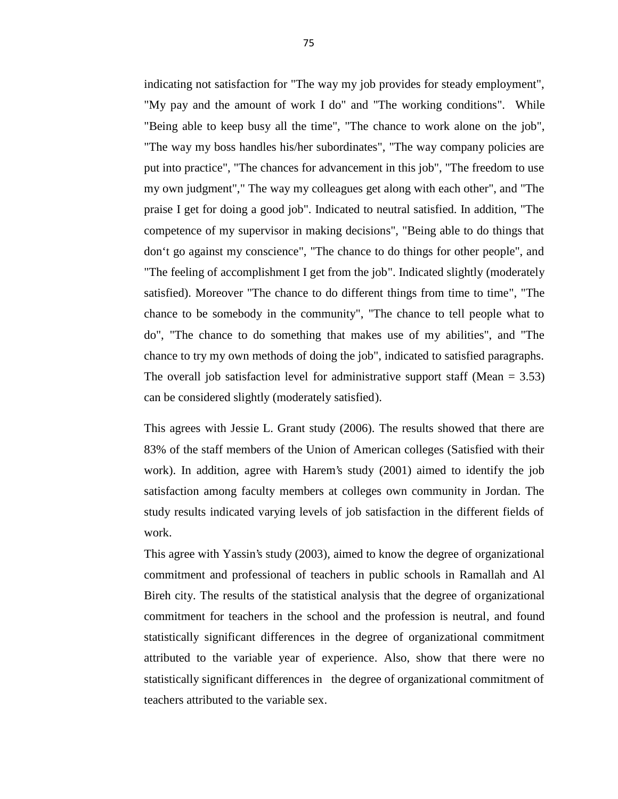indicating not satisfaction for "The way my job provides for steady employment", "My pay and the amount of work I do" and "The working conditions". While "Being able to keep busy all the time", "The chance to work alone on the job", "The way my boss handles his/her subordinates", "The way company policies are put into practice", "The chances for advancement in this job", "The freedom to use my own judgment"," The way my colleagues get along with each other", and "The praise I get for doing a good job". Indicated to neutral satisfied. In addition, "The competence of my supervisor in making decisions", "Being able to do things that don't go against my conscience", "The chance to do things for other people", and "The feeling of accomplishment I get from the job". Indicated slightly (moderately satisfied). Moreover "The chance to do different things from time to time", "The chance to be somebody in the community", "The chance to tell people what to do", "The chance to do something that makes use of my abilities", and "The chance to try my own methods of doing the job", indicated to satisfied paragraphs. The overall job satisfaction level for administrative support staff (Mean  $= 3.53$ ) can be considered slightly (moderately satisfied).

This agrees with Jessie L. Grant study (2006). The results showed that there are 83% of the staff members of the Union of American colleges (Satisfied with their work). In addition, agree with Harem's study (2001) aimed to identify the job satisfaction among faculty members at colleges own community in Jordan. The study results indicated varying levels of job satisfaction in the different fields of work.

This agree with Yassin's study (2003), aimed to know the degree of organizational commitment and professional of teachers in public schools in Ramallah and Al Bireh city. The results of the statistical analysis that the degree of organizational commitment for teachers in the school and the profession is neutral, and found statistically significant differences in the degree of organizational commitment attributed to the variable year of experience. Also, show that there were no statistically significant differences in the degree of organizational commitment of teachers attributed to the variable sex.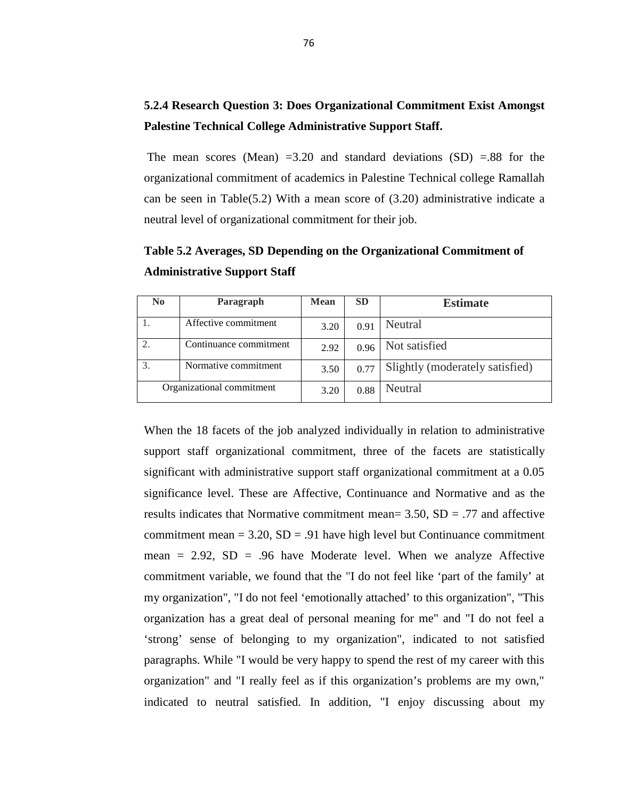## **5.2.4 Research Question 3: Does Organizational Commitment Exist Amongst Palestine Technical College Administrative Support Staff.**

The mean scores (Mean)  $=3.20$  and standard deviations (SD)  $=88$  for the organizational commitment of academics in Palestine Technical college Ramallah can be seen in Table(5.2) With a mean score of (3.20) administrative indicate a neutral level of organizational commitment for their job.

| N <sub>0</sub>            | Paragraph              | <b>Mean</b> | <b>SD</b> | <b>Estimate</b>                 |
|---------------------------|------------------------|-------------|-----------|---------------------------------|
|                           | Affective commitment   | 3.20        | 0.91      | Neutral                         |
|                           | Continuance commitment | 2.92        | 0.96      | Not satisfied                   |
|                           | Normative commitment   | 3.50        | 0.77      | Slightly (moderately satisfied) |
| Organizational commitment |                        | 3.20        | 0.88      | Neutral                         |

**Table 5.2 Averages, SD Depending on the Organizational Commitment of Administrative Support Staff**

When the 18 facets of the job analyzed individually in relation to administrative support staff organizational commitment, three of the facets are statistically significant with administrative support staff organizational commitment at a 0.05 significance level. These are Affective, Continuance and Normative and as the results indicates that Normative commitment mean=  $3.50$ ,  $SD = .77$  and affective commitment mean  $= 3.20$ ,  $SD = .91$  have high level but Continuance commitment mean  $= 2.92$ ,  $SD = .96$  have Moderate level. When we analyze Affective commitment variable, we found that the "I do not feel like 'part of the family' at my organization", "I do not feel 'emotionally attached' to this organization", "This organization has a great deal of personal meaning for me" and "I do not feel a 'strong' sense of belonging to my organization", indicated to not satisfied paragraphs. While "I would be very happy to spend the rest of my career with this organization" and "I really feel as if this organization's problems are my own," indicated to neutral satisfied. In addition, "I enjoy discussing about my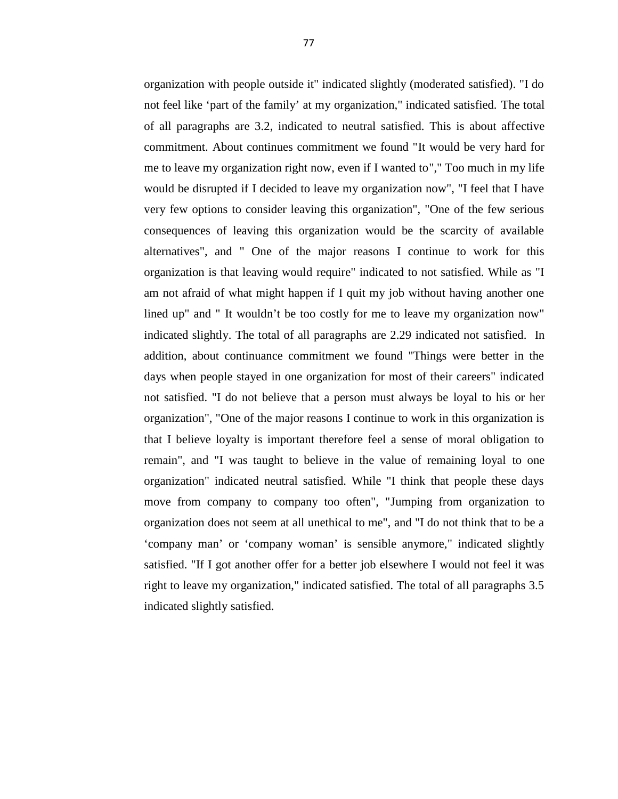organization with people outside it" indicated slightly (moderated satisfied). "I do not feel like 'part of the family' at my organization," indicated satisfied. The total of all paragraphs are 3.2, indicated to neutral satisfied. This is about affective commitment. About continues commitment we found "It would be very hard for me to leave my organization right now, even if I wanted to"," Too much in my life would be disrupted if I decided to leave my organization now", "I feel that I have very few options to consider leaving this organization", "One of the few serious consequences of leaving this organization would be the scarcity of available alternatives", and " One of the major reasons I continue to work for this organization is that leaving would require" indicated to not satisfied. While as "I am not afraid of what might happen if I quit my job without having another one lined up" and " It wouldn't be too costly for me to leave my organization now" indicated slightly. The total of all paragraphs are 2.29 indicated not satisfied. In addition, about continuance commitment we found "Things were better in the days when people stayed in one organization for most of their careers" indicated not satisfied. "I do not believe that a person must always be loyal to his or her organization", "One of the major reasons I continue to work in this organization is that I believe loyalty is important therefore feel a sense of moral obligation to remain", and "I was taught to believe in the value of remaining loyal to one organization" indicated neutral satisfied. While "I think that people these days move from company to company too often", "Jumping from organization to organization does not seem at all unethical to me", and "I do not think that to be a 'company man' or 'company woman' is sensible anymore," indicated slightly satisfied. "If I got another offer for a better job elsewhere I would not feel it was right to leave my organization," indicated satisfied. The total of all paragraphs 3.5 indicated slightly satisfied.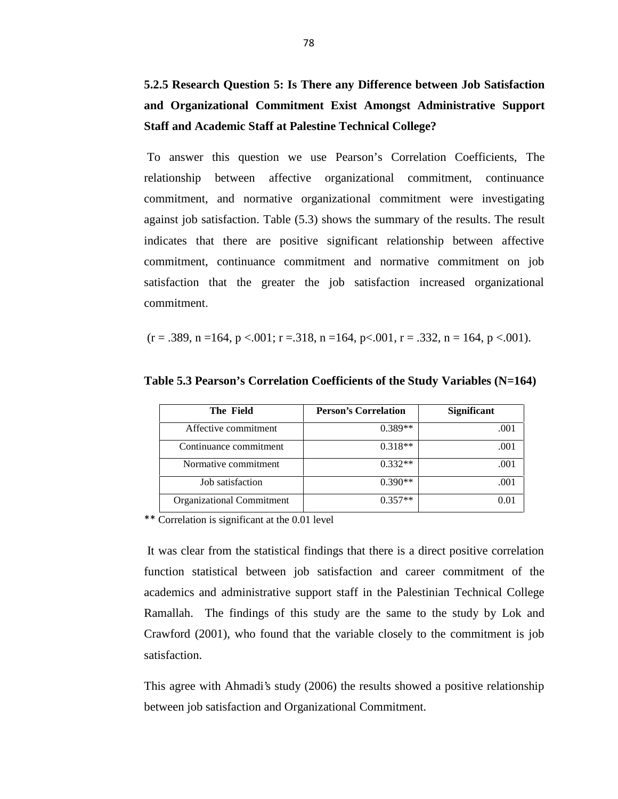**5.2.5 Research Question 5: Is There any Difference between Job Satisfaction and Organizational Commitment Exist Amongst Administrative Support Staff and Academic Staff at Palestine Technical College?**

To answer this question we use Pearson's Correlation Coefficients, The relationship between affective organizational commitment, continuance commitment, and normative organizational commitment were investigating against job satisfaction. Table (5.3) shows the summary of the results. The result indicates that there are positive significant relationship between affective commitment, continuance commitment and normative commitment on job satisfaction that the greater the job satisfaction increased organizational commitment.

$$
(r=.389, n=164, p<.001; r=.318, n=164, p<.001, r=.332, n=164, p<.001).
$$

| <b>The Field</b>          | <b>Person's Correlation</b> | <b>Significant</b> |
|---------------------------|-----------------------------|--------------------|
| Affective commitment      | $0.389**$                   | .001               |
| Continuance commitment    | $0.318**$                   | .001               |
| Normative commitment      | $0.332**$                   | .001               |
| Job satisfaction          | $0.390**$                   | .001               |
| Organizational Commitment | $0.357**$                   | 0.01               |

**Table 5.3 Pearson's Correlation Coefficients of the Study Variables (N=164)**

\*\* Correlation is significant at the 0.01 level

It was clear from the statistical findings that there is a direct positive correlation function statistical between job satisfaction and career commitment of the academics and administrative support staff in the Palestinian Technical College Ramallah. The findings of this study are the same to the study by Lok and Crawford (2001), who found that the variable closely to the commitment is job satisfaction.

This agree with Ahmadi's study (2006) the results showed a positive relationship between job satisfaction and Organizational Commitment.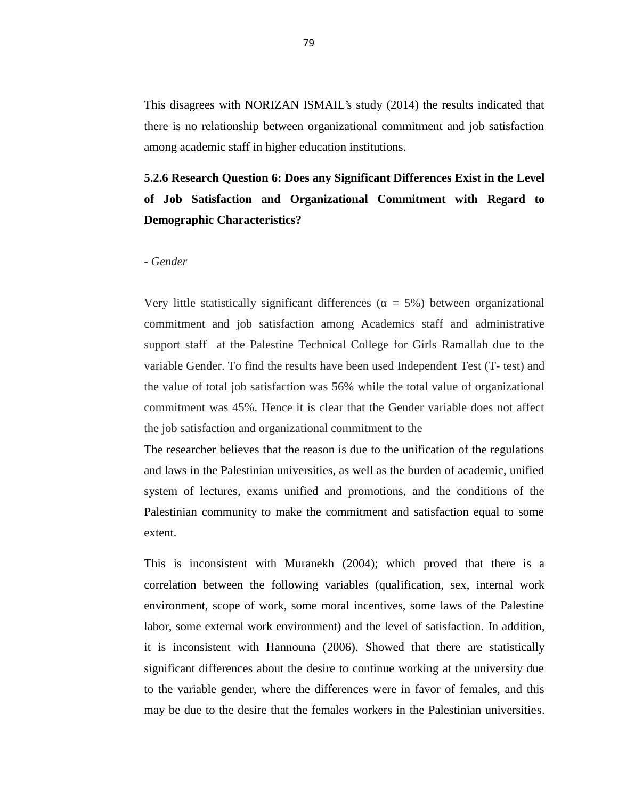This disagrees with NORIZAN ISMAIL's study (2014) the results indicated that there is no relationship between organizational commitment and job satisfaction among academic staff in higher education institutions.

# **5.2.6 Research Question 6: Does any Significant Differences Exist in the Level of Job Satisfaction and Organizational Commitment with Regard to Demographic Characteristics?**

#### *- Gender*

Very little statistically significant differences ( $= 5\%$ ) between organizational commitment and job satisfaction among Academics staff and administrative support staff at the Palestine Technical College for Girls Ramallah due to the variable Gender. To find the results have been used Independent Test (T- test) and the value of total job satisfaction was 56% while the total value of organizational commitment was 45%. Hence it is clear that the Gender variable does not affect the job satisfaction and organizational commitment to the

The researcher believes that the reason is due to the unification of the regulations and laws in the Palestinian universities, as well as the burden of academic, unified system of lectures, exams unified and promotions, and the conditions of the Palestinian community to make the commitment and satisfaction equal to some extent.

This is inconsistent with Muranekh (2004); which proved that there is a correlation between the following variables (qualification, sex, internal work environment, scope of work, some moral incentives, some laws of the Palestine labor, some external work environment) and the level of satisfaction. In addition, it is inconsistent with Hannouna (2006). Showed that there are statistically significant differences about the desire to continue working at the university due to the variable gender, where the differences were in favor of females, and this may be due to the desire that the females workers in the Palestinian universities.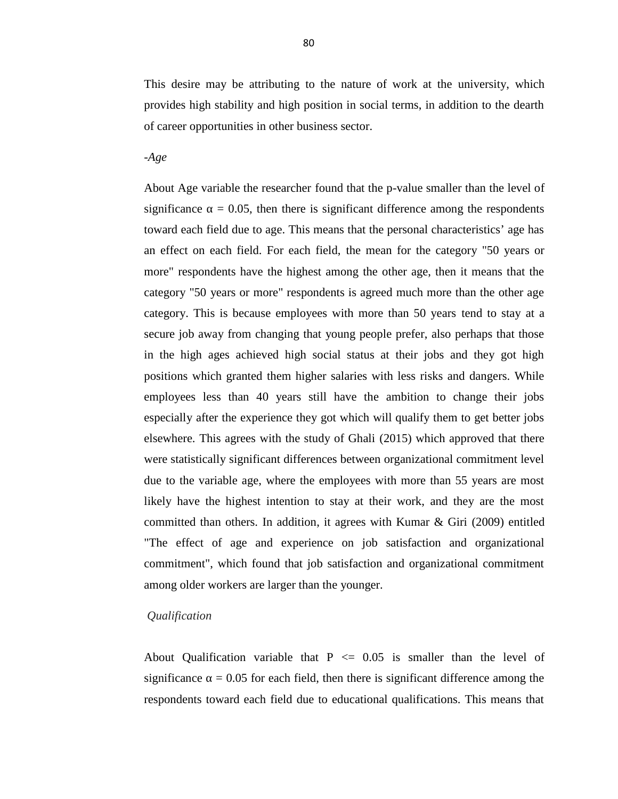This desire may be attributing to the nature of work at the university, which provides high stability and high position in social terms, in addition to the dearth of career opportunities in other business sector.

-*Age*

About Age variable the researcher found that the p-value smaller than the level of significance  $\approx$  = 0.05, then there is significant difference among the respondents toward each field due to age. This means that the personal characteristics' age has an effect on each field. For each field, the mean for the category "50 years or more" respondents have the highest among the other age, then it means that the category "50 years or more" respondents is agreed much more than the other age category. This is because employees with more than 50 years tend to stay at a secure job away from changing that young people prefer, also perhaps that those in the high ages achieved high social status at their jobs and they got high positions which granted them higher salaries with less risks and dangers. While employees less than 40 years still have the ambition to change their jobs especially after the experience they got which will qualify them to get better jobs elsewhere. This agrees with the study of Ghali (2015) which approved that there were statistically significant differences between organizational commitment level due to the variable age, where the employees with more than 55 years are most likely have the highest intention to stay at their work, and they are the most committed than others. In addition, it agrees with Kumar & Giri (2009) entitled "The effect of age and experience on job satisfaction and organizational commitment", which found that job satisfaction and organizational commitment among older workers are larger than the younger.

#### *Qualification*

About Qualification variable that  $P \le 0.05$  is smaller than the level of significance  $\approx$  = 0.05 for each field, then there is significant difference among the respondents toward each field due to educational qualifications. This means that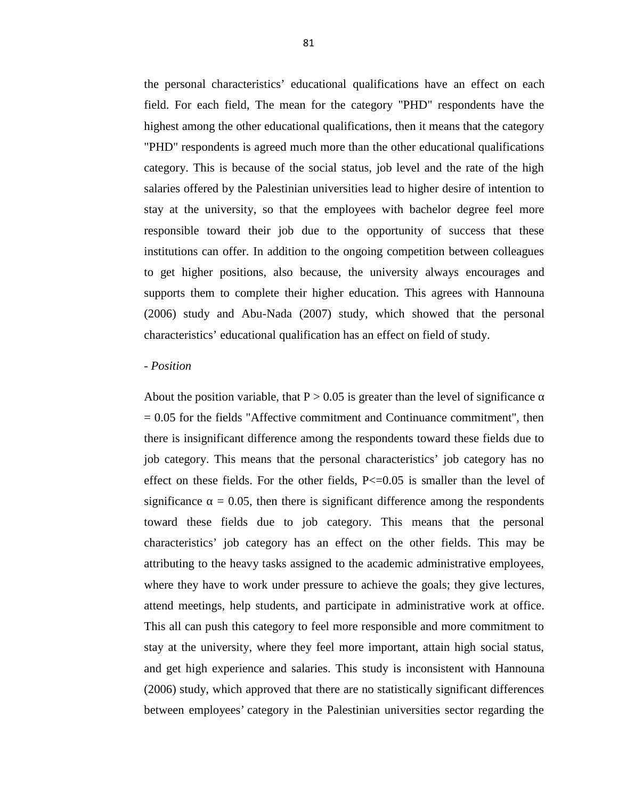the personal characteristics' educational qualifications have an effect on each field. For each field, The mean for the category "PHD" respondents have the highest among the other educational qualifications, then it means that the category "PHD" respondents is agreed much more than the other educational qualifications category. This is because of the social status, job level and the rate of the high salaries offered by the Palestinian universities lead to higher desire of intention to stay at the university, so that the employees with bachelor degree feel more responsible toward their job due to the opportunity of success that these institutions can offer. In addition to the ongoing competition between colleagues to get higher positions, also because, the university always encourages and supports them to complete their higher education. This agrees with Hannouna (2006) study and Abu-Nada (2007) study, which showed that the personal characteristics' educational qualification has an effect on field of study.

#### - *Position*

About the position variable, that  $P > 0.05$  is greater than the level of significance  $= 0.05$  for the fields "Affective commitment and Continuance commitment", then there is insignificant difference among the respondents toward these fields due to job category. This means that the personal characteristics' job category has no effect on these fields. For the other fields,  $P \le 0.05$  is smaller than the level of significance  $\approx$  = 0.05, then there is significant difference among the respondents toward these fields due to job category. This means that the personal characteristics' job category has an effect on the other fields. This may be attributing to the heavy tasks assigned to the academic administrative employees, where they have to work under pressure to achieve the goals; they give lectures, attend meetings, help students, and participate in administrative work at office. This all can push this category to feel more responsible and more commitment to stay at the university, where they feel more important, attain high social status, and get high experience and salaries. This study is inconsistent with Hannouna (2006) study, which approved that there are no statistically significant differences between employees' category in the Palestinian universities sector regarding the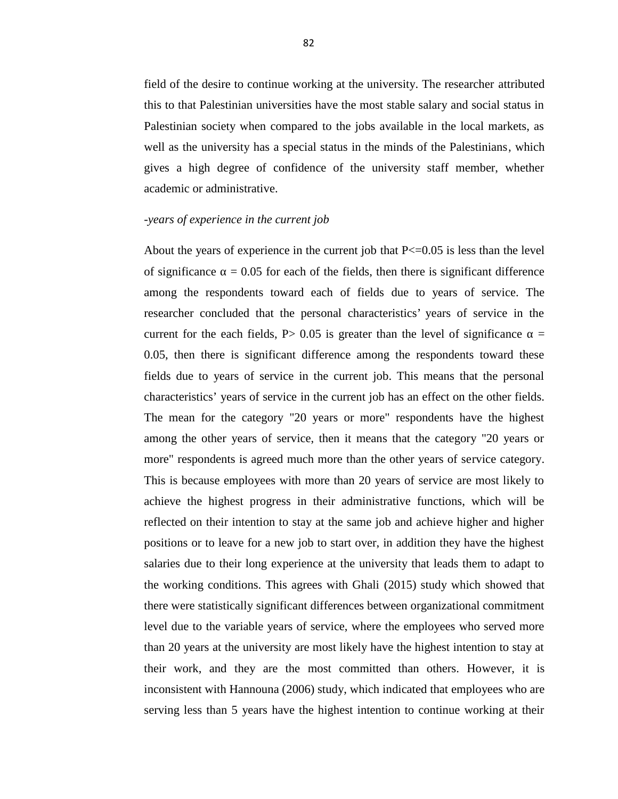field of the desire to continue working at the university. The researcher attributed this to that Palestinian universities have the most stable salary and social status in Palestinian society when compared to the jobs available in the local markets, as well as the university has a special status in the minds of the Palestinians, which gives a high degree of confidence of the university staff member, whether academic or administrative.

#### *-years of experience in the current job*

About the years of experience in the current job that  $P \leq 0.05$  is less than the level of significance  $= 0.05$  for each of the fields, then there is significant difference among the respondents toward each of fields due to years of service. The researcher concluded that the personal characteristics' years of service in the current for the each fields,  $P > 0.05$  is greater than the level of significance  $\equiv$ 0.05, then there is significant difference among the respondents toward these fields due to years of service in the current job. This means that the personal characteristics' years of service in the current job has an effect on the other fields. The mean for the category "20 years or more" respondents have the highest among the other years of service, then it means that the category "20 years or more" respondents is agreed much more than the other years of service category. This is because employees with more than 20 years of service are most likely to achieve the highest progress in their administrative functions, which will be reflected on their intention to stay at the same job and achieve higher and higher positions or to leave for a new job to start over, in addition they have the highest salaries due to their long experience at the university that leads them to adapt to the working conditions. This agrees with Ghali (2015) study which showed that there were statistically significant differences between organizational commitment level due to the variable years of service, where the employees who served more than 20 years at the university are most likely have the highest intention to stay at their work, and they are the most committed than others. However, it is inconsistent with Hannouna (2006) study, which indicated that employees who are serving less than 5 years have the highest intention to continue working at their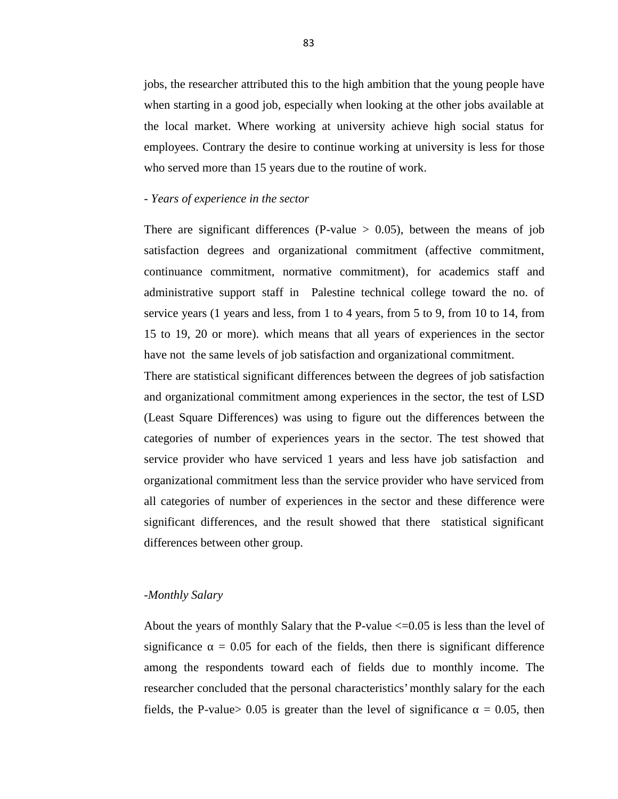jobs, the researcher attributed this to the high ambition that the young people have when starting in a good job, especially when looking at the other jobs available at the local market. Where working at university achieve high social status for employees. Contrary the desire to continue working at university is less for those who served more than 15 years due to the routine of work.

### *- Years of experience in the sector*

There are significant differences (P-value  $> 0.05$ ), between the means of job satisfaction degrees and organizational commitment (affective commitment, continuance commitment, normative commitment), for academics staff and administrative support staff in Palestine technical college toward the no. of service years (1 years and less, from 1 to 4 years, from 5 to 9, from 10 to 14, from 15 to 19, 20 or more). which means that all years of experiences in the sector have not the same levels of job satisfaction and organizational commitment.

There are statistical significant differences between the degrees of job satisfaction and organizational commitment among experiences in the sector, the test of LSD (Least Square Differences) was using to figure out the differences between the categories of number of experiences years in the sector. The test showed that service provider who have serviced 1 years and less have job satisfaction and organizational commitment less than the service provider who have serviced from all categories of number of experiences in the sector and these difference were significant differences, and the result showed that there statistical significant differences between other group.

# *-Monthly Salary*

About the years of monthly Salary that the P-value  $\leq$  = 0.05 is less than the level of significance  $\approx$  = 0.05 for each of the fields, then there is significant difference among the respondents toward each of fields due to monthly income. The researcher concluded that the personal characteristics' monthly salary for the each fields, the P-value  $0.05$  is greater than the level of significance  $= 0.05$ , then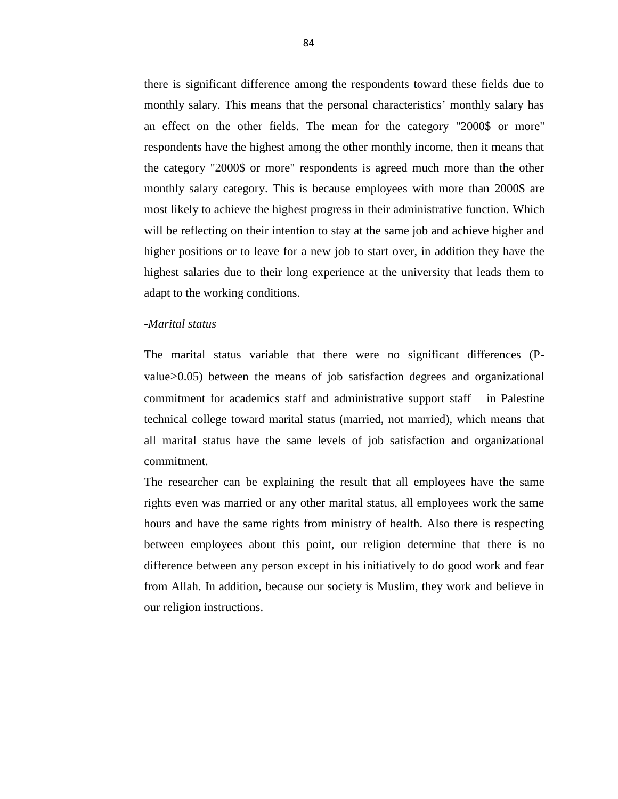there is significant difference among the respondents toward these fields due to monthly salary. This means that the personal characteristics' monthly salary has an effect on the other fields. The mean for the category "2000\$ or more" respondents have the highest among the other monthly income, then it means that the category "2000\$ or more" respondents is agreed much more than the other monthly salary category. This is because employees with more than 2000\$ are most likely to achieve the highest progress in their administrative function. Which will be reflecting on their intention to stay at the same job and achieve higher and higher positions or to leave for a new job to start over, in addition they have the highest salaries due to their long experience at the university that leads them to adapt to the working conditions.

## *-Marital status*

The marital status variable that there were no significant differences (P value>0.05) between the means of job satisfaction degrees and organizational commitment for academics staff and administrative support staff in Palestine technical college toward marital status (married, not married), which means that all marital status have the same levels of job satisfaction and organizational commitment.

The researcher can be explaining the result that all employees have the same rights even was married or any other marital status, all employees work the same hours and have the same rights from ministry of health. Also there is respecting between employees about this point, our religion determine that there is no difference between any person except in his initiatively to do good work and fear from Allah. In addition, because our society is Muslim, they work and believe in our religion instructions.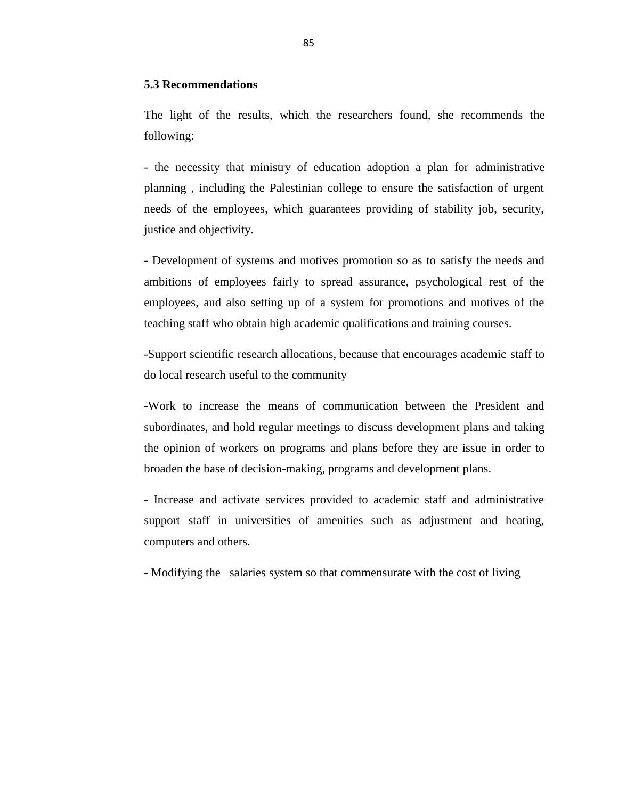#### **5.3 Recommendations**

The light of the results, which the researchers found, she recommends the following:

- the necessity that ministry of education adoption a plan for administrative planning , including the Palestinian college to ensure the satisfaction of urgent needs of the employees, which guarantees providing of stability job, security, justice and objectivity.

- Development of systems and motives promotion so as to satisfy the needs and ambitions of employees fairly to spread assurance, psychological rest of the employees, and also setting up of a system for promotions and motives of the teaching staff who obtain high academic qualifications and training courses.

-Support scientific research allocations, because that encourages academic staff to do local research useful to the community

-Work to increase the means of communication between the President and subordinates, and hold regular meetings to discuss development plans and taking the opinion of workers on programs and plans before they are issue in order to broaden the base of decision-making, programs and development plans.

- Increase and activate services provided to academic staff and administrative support staff in universities of amenities such as adjustment and heating, computers and others.

- Modifying the salaries system so that commensurate with the cost of living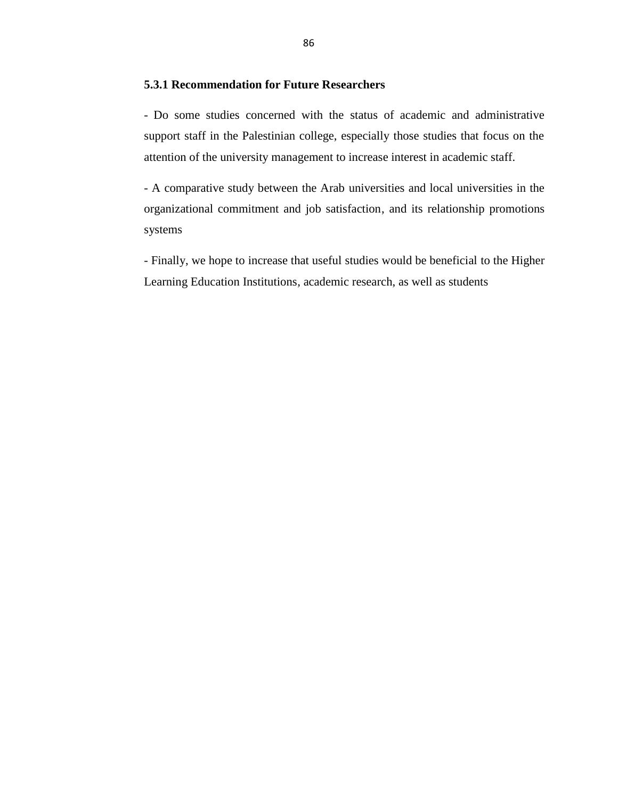# **5.3.1 Recommendation for Future Researchers**

- Do some studies concerned with the status of academic and administrative support staff in the Palestinian college, especially those studies that focus on the attention of the university management to increase interest in academic staff.

- A comparative study between the Arab universities and local universities in the organizational commitment and job satisfaction, and its relationship promotions systems

- Finally, we hope to increase that useful studies would be beneficial to the Higher Learning Education Institutions, academic research, as well as students